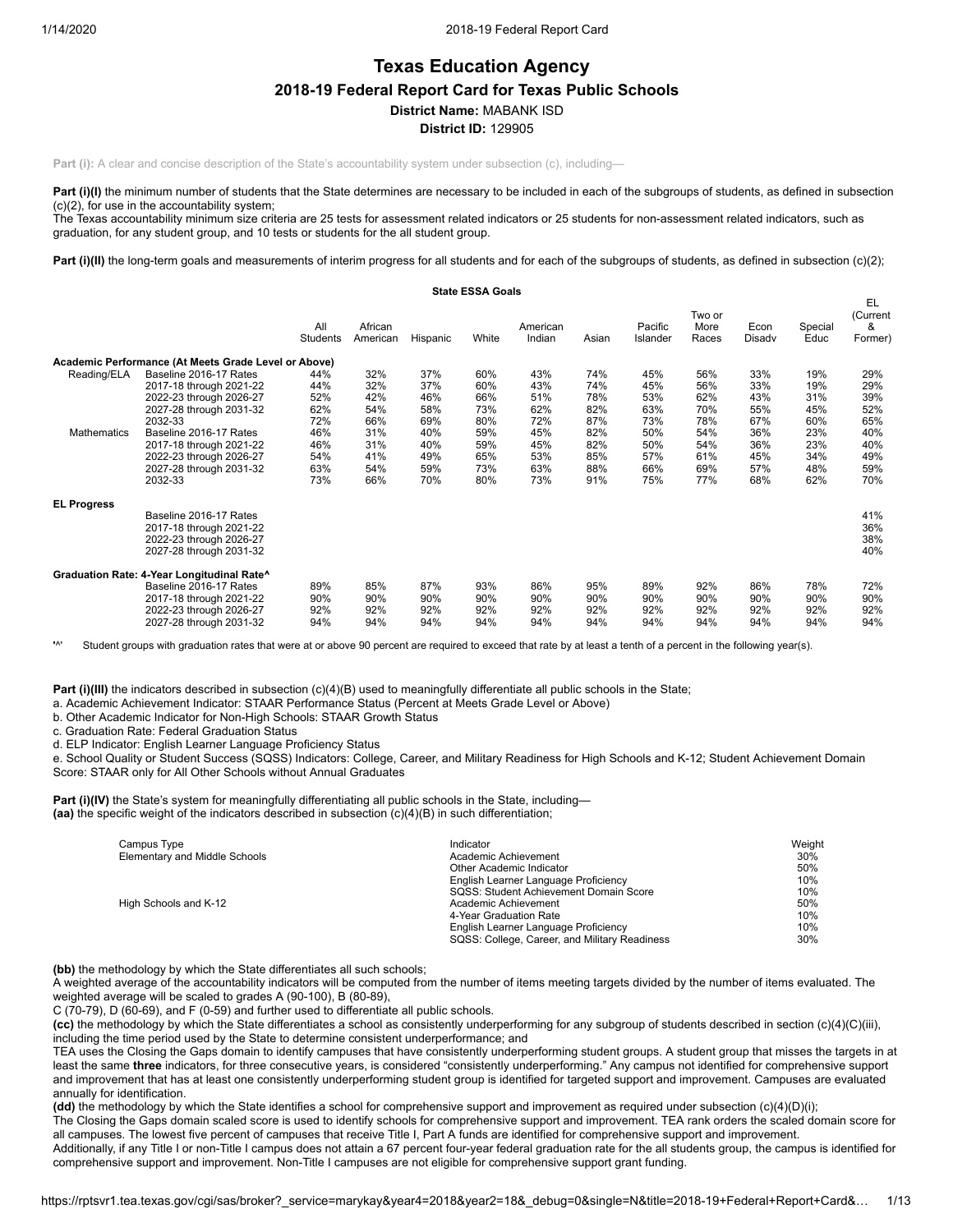# **Texas Education Agency 2018-19 Federal Report Card for Texas Public Schools District Name:** MABANK ISD **District ID:** 129905

**Part (i):** A clear and concise description of the State's accountability system under subsection (c), including-

Part (i)(I) the minimum number of students that the State determines are necessary to be included in each of the subgroups of students, as defined in subsection (c)(2), for use in the accountability system;

The Texas accountability minimum size criteria are 25 tests for assessment related indicators or 25 students for non-assessment related indicators, such as graduation, for any student group, and 10 tests or students for the all student group.

Part (i)(II) the long-term goals and measurements of interim progress for all students and for each of the subgroups of students, as defined in subsection (c)(2);

|                            |                                                                                                                                                                                                                                          |                                                                    |                                                                    |                                                                    | <b>State ESSA Goals</b>                                            |                                                                    |                                                                    |                                                                    |                                                                    |                                                                    |                                                                    |                                                                    |
|----------------------------|------------------------------------------------------------------------------------------------------------------------------------------------------------------------------------------------------------------------------------------|--------------------------------------------------------------------|--------------------------------------------------------------------|--------------------------------------------------------------------|--------------------------------------------------------------------|--------------------------------------------------------------------|--------------------------------------------------------------------|--------------------------------------------------------------------|--------------------------------------------------------------------|--------------------------------------------------------------------|--------------------------------------------------------------------|--------------------------------------------------------------------|
|                            |                                                                                                                                                                                                                                          | All<br>Students                                                    | African<br>American                                                | Hispanic                                                           | White                                                              | American<br>Indian                                                 | Asian                                                              | Pacific<br>Islander                                                | Two or<br>More<br>Races                                            | Econ<br>Disadv                                                     | Special<br>Educ                                                    | EL<br>(Current<br>&<br>Former)                                     |
|                            | Academic Performance (At Meets Grade Level or Above)                                                                                                                                                                                     |                                                                    |                                                                    |                                                                    |                                                                    |                                                                    |                                                                    |                                                                    |                                                                    |                                                                    |                                                                    |                                                                    |
| Reading/ELA<br>Mathematics | Baseline 2016-17 Rates<br>2017-18 through 2021-22<br>2022-23 through 2026-27<br>2027-28 through 2031-32<br>2032-33<br>Baseline 2016-17 Rates<br>2017-18 through 2021-22<br>2022-23 through 2026-27<br>2027-28 through 2031-32<br>2032-33 | 44%<br>44%<br>52%<br>62%<br>72%<br>46%<br>46%<br>54%<br>63%<br>73% | 32%<br>32%<br>42%<br>54%<br>66%<br>31%<br>31%<br>41%<br>54%<br>66% | 37%<br>37%<br>46%<br>58%<br>69%<br>40%<br>40%<br>49%<br>59%<br>70% | 60%<br>60%<br>66%<br>73%<br>80%<br>59%<br>59%<br>65%<br>73%<br>80% | 43%<br>43%<br>51%<br>62%<br>72%<br>45%<br>45%<br>53%<br>63%<br>73% | 74%<br>74%<br>78%<br>82%<br>87%<br>82%<br>82%<br>85%<br>88%<br>91% | 45%<br>45%<br>53%<br>63%<br>73%<br>50%<br>50%<br>57%<br>66%<br>75% | 56%<br>56%<br>62%<br>70%<br>78%<br>54%<br>54%<br>61%<br>69%<br>77% | 33%<br>33%<br>43%<br>55%<br>67%<br>36%<br>36%<br>45%<br>57%<br>68% | 19%<br>19%<br>31%<br>45%<br>60%<br>23%<br>23%<br>34%<br>48%<br>62% | 29%<br>29%<br>39%<br>52%<br>65%<br>40%<br>40%<br>49%<br>59%<br>70% |
| <b>EL Progress</b>         | Baseline 2016-17 Rates<br>2017-18 through 2021-22<br>2022-23 through 2026-27<br>2027-28 through 2031-32                                                                                                                                  |                                                                    |                                                                    |                                                                    |                                                                    |                                                                    |                                                                    |                                                                    |                                                                    |                                                                    |                                                                    | 41%<br>36%<br>38%<br>40%                                           |
|                            | Graduation Rate: 4-Year Longitudinal Rate^<br>Baseline 2016-17 Rates<br>2017-18 through 2021-22<br>2022-23 through 2026-27<br>2027-28 through 2031-32                                                                                    | 89%<br>90%<br>92%<br>94%                                           | 85%<br>90%<br>92%<br>94%                                           | 87%<br>90%<br>92%<br>94%                                           | 93%<br>90%<br>92%<br>94%                                           | 86%<br>90%<br>92%<br>94%                                           | 95%<br>90%<br>92%<br>94%                                           | 89%<br>90%<br>92%<br>94%                                           | 92%<br>90%<br>92%<br>94%                                           | 86%<br>90%<br>92%<br>94%                                           | 78%<br>90%<br>92%<br>94%                                           | 72%<br>90%<br>92%<br>94%                                           |

**'**^' Student groups with graduation rates that were at or above 90 percent are required to exceed that rate by at least a tenth of a percent in the following year(s).

Part (i)(III) the indicators described in subsection (c)(4)(B) used to meaningfully differentiate all public schools in the State;

a. Academic Achievement Indicator: STAAR Performance Status (Percent at Meets Grade Level or Above)

b. Other Academic Indicator for Non-High Schools: STAAR Growth Status

c. Graduation Rate: Federal Graduation Status

d. ELP Indicator: English Learner Language Proficiency Status

e. School Quality or Student Success (SQSS) Indicators: College, Career, and Military Readiness for High Schools and K-12; Student Achievement Domain Score: STAAR only for All Other Schools without Annual Graduates

**Part (i)(IV)** the State's system for meaningfully differentiating all public schools in the State, including— **(aa)** the specific weight of the indicators described in subsection (c)(4)(B) in such differentiation;

| Campus Type                   | Indicator                                     | Weight |
|-------------------------------|-----------------------------------------------|--------|
| Elementary and Middle Schools | Academic Achievement                          | 30%    |
|                               | Other Academic Indicator                      | 50%    |
|                               | English Learner Language Proficiency          | 10%    |
|                               | SQSS: Student Achievement Domain Score        | 10%    |
| High Schools and K-12         | Academic Achievement                          | 50%    |
|                               | 4-Year Graduation Rate                        | 10%    |
|                               | English Learner Language Proficiency          | 10%    |
|                               | SQSS: College, Career, and Military Readiness | 30%    |

**(bb)** the methodology by which the State differentiates all such schools;

A weighted average of the accountability indicators will be computed from the number of items meeting targets divided by the number of items evaluated. The weighted average will be scaled to grades A (90-100), B (80-89),

C (70-79), D (60-69), and F (0-59) and further used to differentiate all public schools.

**(cc)** the methodology by which the State differentiates a school as consistently underperforming for any subgroup of students described in section (c)(4)(C)(iii), including the time period used by the State to determine consistent underperformance; and

TEA uses the Closing the Gaps domain to identify campuses that have consistently underperforming student groups. A student group that misses the targets in at least the same **three** indicators, for three consecutive years, is considered "consistently underperforming." Any campus not identified for comprehensive support and improvement that has at least one consistently underperforming student group is identified for targeted support and improvement. Campuses are evaluated annually for identification.

**(dd)** the methodology by which the State identifies a school for comprehensive support and improvement as required under subsection (c)(4)(D)(i);

The Closing the Gaps domain scaled score is used to identify schools for comprehensive support and improvement. TEA rank orders the scaled domain score for all campuses. The lowest five percent of campuses that receive Title I, Part A funds are identified for comprehensive support and improvement.

Additionally, if any Title I or non-Title I campus does not attain a 67 percent four-year federal graduation rate for the all students group, the campus is identified for comprehensive support and improvement. Non-Title I campuses are not eligible for comprehensive support grant funding.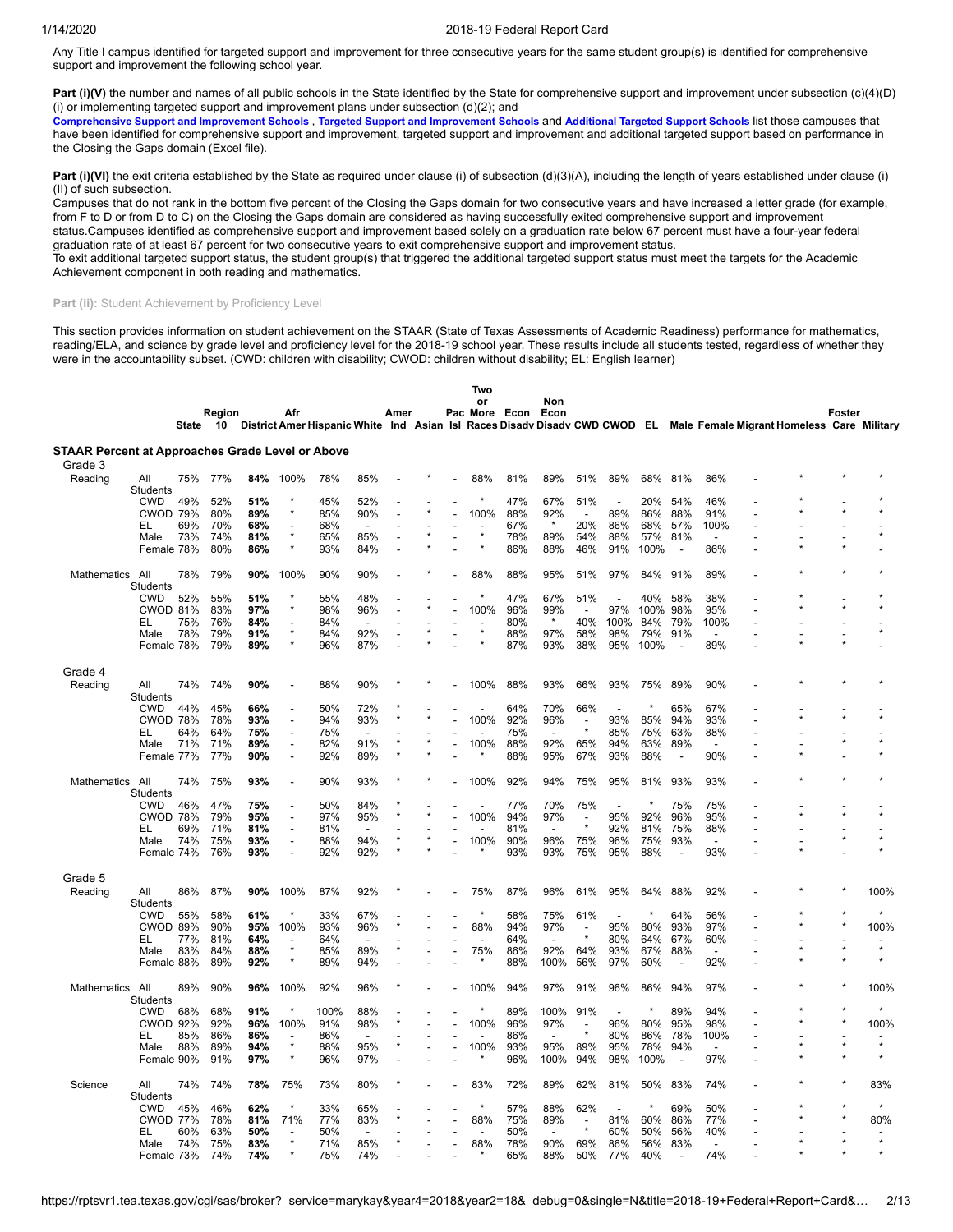Any Title I campus identified for targeted support and improvement for three consecutive years for the same student group(s) is identified for comprehensive support and improvement the following school year.

**Part (i)(V)** the number and names of all public schools in the State identified by the State for comprehensive support and improvement under subsection (c)(4)(D) (i) or implementing targeted support and improvement plans under subsection  $(d)(2)$ ; and

[Comprehensive](https://tea.texas.gov/sites/default/files/comprehensive_support_2019.xlsx) Support and [Improvement](https://tea.texas.gov/sites/default/files/target_support_2019.xlsx) Schools, Targeted Support and Improvement Schools and [Additional](https://tea.texas.gov/sites/default/files/additional_targeted_support_2019.xlsx) Targeted Support Schools list those campuses that have been identified for comprehensive support and improvement, targeted support and improvement and additional targeted support based on performance in the Closing the Gaps domain (Excel file).

Part (i)(VI) the exit criteria established by the State as required under clause (i) of subsection (d)(3)(A), including the length of years established under clause (i) (II) of such subsection.

Campuses that do not rank in the bottom five percent of the Closing the Gaps domain for two consecutive years and have increased a letter grade (for example, from F to D or from D to C) on the Closing the Gaps domain are considered as having successfully exited comprehensive support and improvement status.Campuses identified as comprehensive support and improvement based solely on a graduation rate below 67 percent must have a four-year federal

graduation rate of at least 67 percent for two consecutive years to exit comprehensive support and improvement status.

To exit additional targeted support status, the student group(s) that triggered the additional targeted support status must meet the targets for the Academic Achievement component in both reading and mathematics.

# Part (ii): Student Achievement by Proficiency Level

This section provides information on student achievement on the STAAR (State of Texas Assessments of Academic Readiness) performance for mathematics, reading/ELA, and science by grade level and proficiency level for the 2018-19 school year. These results include all students tested, regardless of whether they were in the accountability subset. (CWD: children with disability; CWOD: children without disability; EL: English learner)

|                                                  |                        |       |              |     |      |      |                          |      |  | Two  |                    |         |                          |                          |         |                          |                                                                                                                       |  |        |         |
|--------------------------------------------------|------------------------|-------|--------------|-----|------|------|--------------------------|------|--|------|--------------------|---------|--------------------------|--------------------------|---------|--------------------------|-----------------------------------------------------------------------------------------------------------------------|--|--------|---------|
|                                                  |                        | State | Region<br>10 |     | Afr  |      |                          | Amer |  | or   | Pac More Econ Econ | Non     |                          |                          |         |                          | District Amer Hispanic White Ind Asian Isl Races Disadv Disadv CWD CWOD EL Male Female Migrant Homeless Care Military |  | Foster |         |
| STAAR Percent at Approaches Grade Level or Above |                        |       |              |     |      |      |                          |      |  |      |                    |         |                          |                          |         |                          |                                                                                                                       |  |        |         |
| Grade 3                                          |                        |       |              |     |      |      |                          |      |  |      |                    |         |                          |                          |         |                          |                                                                                                                       |  |        |         |
| Reading                                          | All                    | 75%   | 77%          | 84% | 100% | 78%  | 85%                      |      |  | 88%  | 81%                | 89%     | 51%                      | 89%                      | 68%     | 81%                      | 86%                                                                                                                   |  |        |         |
|                                                  | Students<br><b>CWD</b> | 49%   | 52%          | 51% |      | 45%  | 52%                      |      |  |      | 47%                | 67%     | 51%                      | $\overline{\phantom{a}}$ | 20%     | 54%                      | 46%                                                                                                                   |  |        |         |
|                                                  | <b>CWOD 79%</b>        |       | 80%          | 89% |      | 85%  | 90%                      |      |  | 100% | 88%                | 92%     | $\overline{a}$           | 89%                      | 86%     | 88%                      | 91%                                                                                                                   |  |        |         |
|                                                  | EL                     | 69%   | 70%          | 68% |      | 68%  |                          |      |  |      | 67%                | $\star$ | 20%                      | 86%                      | 68%     | 57%                      | 100%                                                                                                                  |  |        |         |
|                                                  | Male                   | 73%   | 74%          | 81% |      | 65%  | 85%                      |      |  |      | 78%                | 89%     | 54%                      | 88%                      | 57%     | 81%                      | $\overline{\phantom{a}}$                                                                                              |  |        |         |
|                                                  | Female 78%             |       | 80%          | 86% |      | 93%  | 84%                      | Ĭ.   |  |      | 86%                | 88%     | 46%                      | 91%                      | 100%    | $\overline{\phantom{a}}$ | 86%                                                                                                                   |  |        |         |
| Mathematics                                      | All<br><b>Students</b> | 78%   | 79%          | 90% | 100% | 90%  | 90%                      |      |  | 88%  | 88%                | 95%     | 51%                      | 97%                      | 84%     | 91%                      | 89%                                                                                                                   |  |        |         |
|                                                  | <b>CWD</b>             | 52%   | 55%          | 51% |      | 55%  | 48%                      |      |  |      | 47%                | 67%     | 51%                      | $\overline{a}$           | 40%     | 58%                      | 38%                                                                                                                   |  |        |         |
|                                                  | CWOD 81%               |       | 83%          | 97% |      | 98%  | 96%                      |      |  | 100% | 96%                | 99%     |                          | 97%                      | 100%    | 98%                      | 95%                                                                                                                   |  |        |         |
|                                                  | EL                     | 75%   | 76%          | 84% |      | 84%  | $\overline{\phantom{a}}$ |      |  |      | 80%                | $\star$ | 40%                      | 100%                     | 84%     | 79%                      | 100%                                                                                                                  |  |        |         |
|                                                  | Male                   | 78%   | 79%          | 91% |      | 84%  | 92%                      | Ĭ.   |  |      | 88%                | 97%     | 58%                      | 98%                      | 79%     | 91%                      | $\blacksquare$                                                                                                        |  |        |         |
|                                                  | Female 78%             |       | 79%          | 89% |      | 96%  | 87%                      |      |  |      | 87%                | 93%     | 38%                      | 95%                      | 100%    | $\overline{\phantom{a}}$ | 89%                                                                                                                   |  |        |         |
| Grade 4                                          |                        |       |              |     |      |      |                          |      |  |      |                    |         |                          |                          |         |                          |                                                                                                                       |  |        |         |
| Reading                                          | All<br>Students        | 74%   | 74%          | 90% |      | 88%  | 90%                      |      |  | 100% | 88%                | 93%     | 66%                      | 93%                      | 75%     | 89%                      | 90%                                                                                                                   |  |        |         |
|                                                  | <b>CWD</b>             | 44%   | 45%          | 66% |      | 50%  | 72%                      |      |  |      | 64%                | 70%     | 66%                      | $\overline{\phantom{a}}$ |         | 65%                      | 67%                                                                                                                   |  |        |         |
|                                                  | CWOD 78%               |       | 78%          | 93% |      | 94%  | 93%                      |      |  | 100% | 92%                | 96%     | $\overline{a}$           | 93%                      | 85%     | 94%                      | 93%                                                                                                                   |  |        |         |
|                                                  | EL                     | 64%   | 64%          | 75% |      | 75%  |                          |      |  |      | 75%                |         | $\star$                  | 85%                      | 75%     | 63%                      | 88%                                                                                                                   |  |        |         |
|                                                  | Male                   | 71%   | 71%          | 89% |      | 82%  | 91%                      |      |  | 100% | 88%                | 92%     | 65%                      | 94%                      | 63%     | 89%                      | $\overline{a}$                                                                                                        |  |        |         |
|                                                  | Female 77%             |       | 77%          | 90% |      | 92%  | 89%                      |      |  |      | 88%                | 95%     | 67%                      | 93%                      | 88%     | ÷,                       | 90%                                                                                                                   |  |        |         |
| Mathematics All                                  | Students               | 74%   | 75%          | 93% |      | 90%  | 93%                      |      |  | 100% | 92%                | 94%     | 75%                      | 95%                      | 81%     | 93%                      | 93%                                                                                                                   |  |        |         |
|                                                  | <b>CWD</b>             | 46%   | 47%          | 75% |      | 50%  | 84%                      |      |  |      | 77%                | 70%     | 75%                      | $\overline{a}$           | $\star$ | 75%                      | 75%                                                                                                                   |  |        |         |
|                                                  | <b>CWOD 78%</b>        |       | 79%          | 95% |      | 97%  | 95%                      |      |  | 100% | 94%                | 97%     |                          | 95%                      | 92%     | 96%                      | 95%                                                                                                                   |  |        |         |
|                                                  | EL                     | 69%   | 71%          | 81% |      | 81%  |                          |      |  |      | 81%                |         | $\star$                  | 92%                      | 81%     | 75%                      | 88%                                                                                                                   |  |        |         |
|                                                  | Male                   | 74%   | 75%          | 93% |      | 88%  | 94%                      |      |  | 100% | 90%                | 96%     | 75%                      | 96%                      | 75%     | 93%                      |                                                                                                                       |  |        |         |
|                                                  | Female 74%             |       | 76%          | 93% |      | 92%  | 92%                      |      |  |      | 93%                | 93%     | 75%                      | 95%                      | 88%     | $\overline{a}$           | 93%                                                                                                                   |  |        |         |
| Grade 5                                          |                        |       |              |     |      |      |                          |      |  |      |                    |         |                          |                          |         |                          |                                                                                                                       |  |        |         |
| Reading                                          | All<br>Students        | 86%   | 87%          | 90% | 100% | 87%  | 92%                      |      |  | 75%  | 87%                | 96%     | 61%                      | 95%                      | 64%     | 88%                      | 92%                                                                                                                   |  |        | 100%    |
|                                                  | <b>CWD</b>             | 55%   | 58%          | 61% |      | 33%  | 67%                      |      |  |      | 58%                | 75%     | 61%                      |                          | $\star$ | 64%                      | 56%                                                                                                                   |  |        |         |
|                                                  | CWOD 89%               |       | 90%          | 95% | 100% | 93%  | 96%                      |      |  | 88%  | 94%                | 97%     | $\overline{\phantom{a}}$ | 95%                      | 80%     | 93%                      | 97%                                                                                                                   |  |        | 100%    |
|                                                  | EL                     | 77%   | 81%          | 64% |      | 64%  |                          |      |  |      | 64%                |         |                          | 80%                      | 64%     | 67%                      | 60%                                                                                                                   |  |        |         |
|                                                  | Male                   | 83%   | 84%          | 88% |      | 85%  | 89%                      |      |  | 75%  | 86%                | 92%     | 64%                      | 93%                      | 67%     | 88%                      | $\overline{a}$                                                                                                        |  |        | $\star$ |
|                                                  | Female 88%             |       | 89%          | 92% |      | 89%  | 94%                      |      |  |      | 88%                | 100%    | 56%                      | 97%                      | 60%     | $\overline{\phantom{a}}$ | 92%                                                                                                                   |  |        |         |
| Mathematics                                      | All<br>Students        | 89%   | 90%          | 96% | 100% | 92%  | 96%                      |      |  | 100% | 94%                | 97%     | 91%                      | 96%                      | 86%     | 94%                      | 97%                                                                                                                   |  |        | 100%    |
|                                                  | <b>CWD</b>             | 68%   | 68%          | 91% |      | 100% | 88%                      |      |  |      | 89%                | 100%    | 91%                      | $\overline{\phantom{a}}$ | $\star$ | 89%                      | 94%                                                                                                                   |  |        |         |
|                                                  | <b>CWOD 92%</b>        |       | 92%          | 96% | 100% | 91%  | 98%                      |      |  | 100% | 96%                | 97%     |                          | 96%                      | 80%     | 95%                      | 98%                                                                                                                   |  |        | 100%    |
|                                                  | EL                     | 85%   | 86%          | 86% |      | 86%  |                          |      |  |      | 86%                |         | $\star$                  | 80%                      | 86%     | 78%                      | 100%                                                                                                                  |  |        |         |
|                                                  | Male                   | 88%   | 89%          | 94% |      | 88%  | 95%                      |      |  | 100% | 93%                | 95%     | 89%                      | 95%                      | 78%     | 94%                      | $\overline{\phantom{a}}$                                                                                              |  |        | $\star$ |
|                                                  | Female 90%             |       | 91%          | 97% |      | 96%  | 97%                      |      |  |      | 96%                | 100%    | 94%                      | 98%                      | 100%    | $\overline{\phantom{a}}$ | 97%                                                                                                                   |  |        |         |
| Science                                          | All<br>Students        | 74%   | 74%          | 78% | 75%  | 73%  | 80%                      |      |  | 83%  | 72%                | 89%     | 62%                      | 81%                      | 50%     | 83%                      | 74%                                                                                                                   |  |        | 83%     |
|                                                  | <b>CWD</b>             | 45%   | 46%          | 62% |      | 33%  | 65%                      |      |  |      | 57%                | 88%     | 62%                      | ÷                        | $\star$ | 69%                      | 50%                                                                                                                   |  |        |         |
|                                                  | <b>CWOD 77%</b>        |       | 78%          | 81% | 71%  | 77%  | 83%                      |      |  | 88%  | 75%                | 89%     |                          | 81%                      | 60%     | 86%                      | 77%                                                                                                                   |  |        | 80%     |
|                                                  | EL                     | 60%   | 63%          | 50% |      | 50%  | $\overline{a}$           |      |  |      | 50%                |         | $\star$                  | 60%                      | 50%     | 56%                      | 40%                                                                                                                   |  |        |         |
|                                                  | Male                   | 74%   | 75%          | 83% |      | 71%  | 85%                      |      |  | 88%  | 78%                | 90%     | 69%                      | 86%                      | 56%     | 83%                      | $\overline{\phantom{a}}$                                                                                              |  |        |         |
|                                                  | Female 73%             |       | 74%          | 74% |      | 75%  | 74%                      |      |  |      | 65%                | 88%     | 50%                      | 77%                      | 40%     |                          | 74%                                                                                                                   |  |        |         |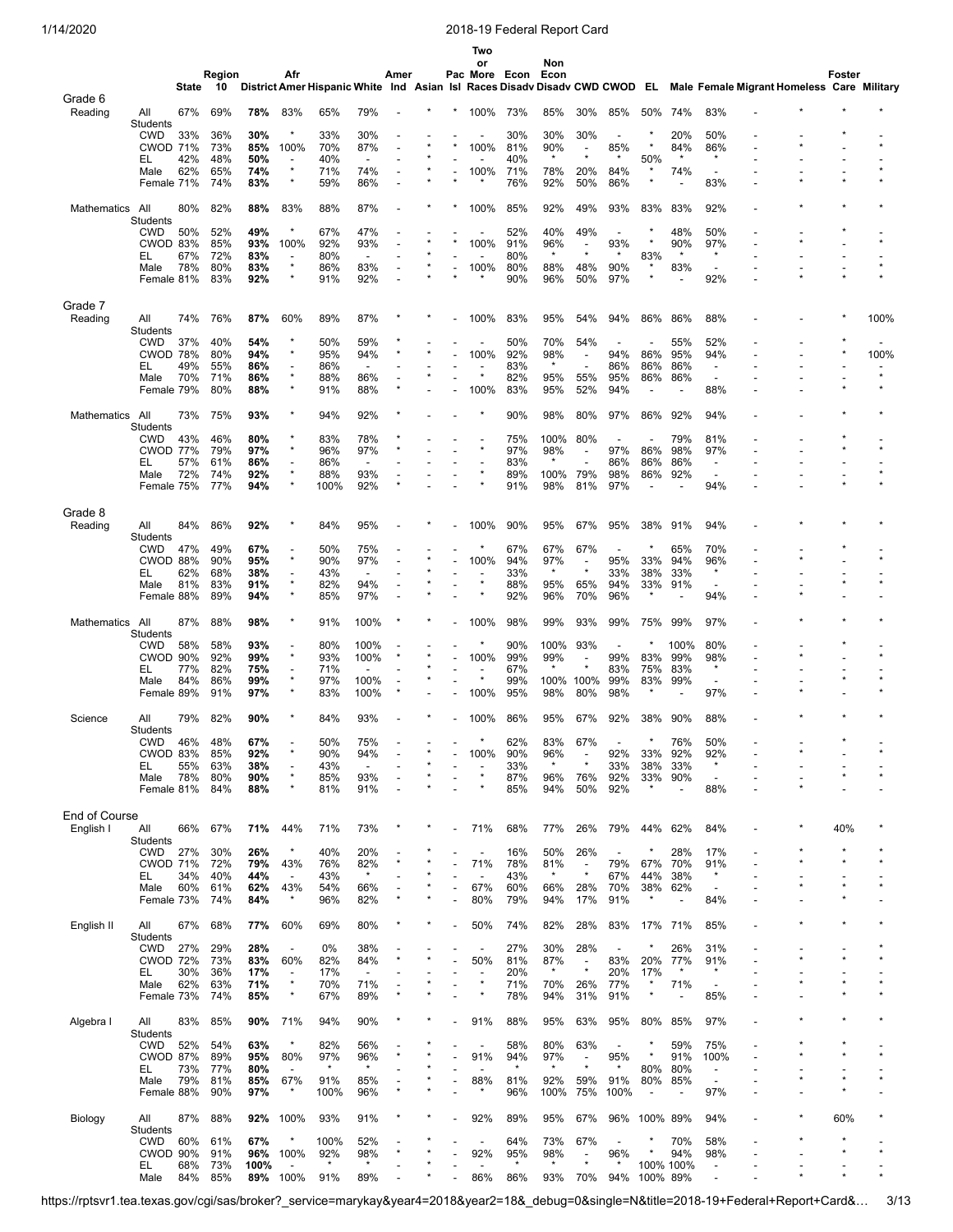|                    |                               |            |            |            |                                 |                |                                 |      |  | Two                      |                    |                |                                     |                          |                |                |                                                      |                                                                                                                       |        |         |
|--------------------|-------------------------------|------------|------------|------------|---------------------------------|----------------|---------------------------------|------|--|--------------------------|--------------------|----------------|-------------------------------------|--------------------------|----------------|----------------|------------------------------------------------------|-----------------------------------------------------------------------------------------------------------------------|--------|---------|
|                    |                               |            | Region     |            | Afr                             |                |                                 | Amer |  | or                       |                    | Non            |                                     |                          |                |                |                                                      |                                                                                                                       | Foster |         |
|                    |                               | State      | 10         |            |                                 |                |                                 |      |  |                          | Pac More Econ Econ |                |                                     |                          |                |                |                                                      | District Amer Hispanic White Ind Asian Isl Races Disady Disady CWD CWOD EL Male Female Migrant Homeless Care Military |        |         |
| Grade 6            |                               |            |            |            |                                 |                |                                 |      |  |                          |                    |                |                                     |                          |                |                |                                                      |                                                                                                                       |        |         |
| Reading            | All<br>Students               | 67%        | 69%        | 78%        | 83%                             | 65%            | 79%                             |      |  | 100%                     | 73%                | 85%            | 30%                                 | 85%                      | 50%            | 74%            | 83%                                                  |                                                                                                                       |        |         |
|                    | <b>CWD</b>                    | 33%        | 36%        | 30%        | $\star$                         | 33%            | 30%                             |      |  |                          | 30%                | 30%            | 30%                                 |                          | $\star$        | 20%            | 50%                                                  |                                                                                                                       |        |         |
|                    | <b>CWOD 71%</b><br>EL         | 42%        | 73%<br>48% | 85%<br>50% | 100%                            | 70%<br>40%     | 87%                             |      |  | 100%                     | 81%<br>40%         | 90%<br>$\star$ | $\overline{a}$<br>$\star$           | 85%                      | 50%            | 84%            | 86%<br>$\star$                                       |                                                                                                                       |        |         |
|                    | Male                          | 62%        | 65%        | 74%        | $\star$                         | 71%            | 74%                             |      |  | 100%                     | 71%                | 78%            | 20%                                 | 84%                      | $\star$        | 74%            | $\overline{\phantom{a}}$                             |                                                                                                                       |        |         |
|                    | Female 71%                    |            | 74%        | 83%        | $\star$                         | 59%            | 86%                             |      |  |                          | 76%                | 92%            | 50%                                 | 86%                      | $\star$        |                | 83%                                                  |                                                                                                                       |        |         |
| Mathematics        | All                           | 80%        | 82%        | 88%        | 83%                             | 88%            | 87%                             |      |  | 100%                     | 85%                | 92%            | 49%                                 | 93%                      | 83%            | 83%            | 92%                                                  |                                                                                                                       |        |         |
|                    | Students<br><b>CWD</b>        | 50%        | 52%        | 49%        |                                 | 67%            | 47%                             |      |  |                          | 52%                | 40%            | 49%                                 | $\overline{\phantom{a}}$ |                | 48%            | 50%                                                  |                                                                                                                       |        |         |
|                    | CWOD 83%                      |            | 85%        | 93%        | 100%                            | 92%            | 93%                             |      |  | 100%                     | 91%                | 96%            | $\overline{\phantom{a}}$            | 93%                      | $\star$        | 90%            | 97%                                                  |                                                                                                                       |        |         |
|                    | EL.                           | 67%        | 72%        | 83%        | $\overline{\phantom{a}}$        | 80%            | $\blacksquare$                  |      |  |                          | 80%                | $\star$        | $\star$                             | $\star$                  | 83%            | $\star$        | $\star$                                              |                                                                                                                       |        |         |
|                    | Male<br>Female 81%            | 78%        | 80%<br>83% | 83%<br>92% | $\star$                         | 86%<br>91%     | 83%<br>92%                      |      |  | 100%                     | 80%<br>90%         | 88%<br>96%     | 48%<br>50%                          | 90%<br>97%               | $\star$        | 83%            | 92%                                                  |                                                                                                                       |        |         |
|                    |                               |            |            |            |                                 |                |                                 |      |  |                          |                    |                |                                     |                          |                |                |                                                      |                                                                                                                       |        |         |
| Grade 7            |                               |            |            |            |                                 |                |                                 |      |  |                          |                    |                |                                     |                          |                |                |                                                      |                                                                                                                       |        |         |
| Reading            | All                           | 74%        | 76%        | 87%        | 60%                             | 89%            | 87%                             |      |  | 100%                     | 83%                | 95%            | 54%                                 | 94%                      | 86%            | 86%            | 88%                                                  |                                                                                                                       |        | 100%    |
|                    | Students<br><b>CWD</b>        | 37%        | 40%        | 54%        |                                 | 50%            | 59%                             |      |  |                          | 50%                | 70%            | 54%                                 |                          |                | 55%            | 52%                                                  |                                                                                                                       |        |         |
|                    | CWOD 78%                      |            | 80%        | 94%        |                                 | 95%            | 94%                             |      |  | 100%                     | 92%                | 98%            | $\overline{a}$                      | 94%                      | 86%            | 95%            | 94%                                                  |                                                                                                                       |        | 100%    |
|                    | EL                            | 49%        | 55%        | 86%        | $\overline{\phantom{a}}$        | 86%            |                                 |      |  |                          | 83%                | $\star$        | $\overline{\phantom{a}}$            | 86%                      | 86%            | 86%            | $\overline{\phantom{a}}$                             |                                                                                                                       |        |         |
|                    | Male                          | 70%        | 71%        | 86%        | $\star$                         | 88%            | 86%                             |      |  |                          | 82%                | 95%            | 55%                                 | 95%                      | 86%            | 86%            | $\overline{\phantom{a}}$                             |                                                                                                                       |        | $\star$ |
|                    | Female 79%                    |            | 80%        | 88%        |                                 | 91%            | 88%                             |      |  | 100%                     | 83%                | 95%            | 52%                                 | 94%                      | $\overline{a}$ |                | 88%                                                  |                                                                                                                       |        |         |
| Mathematics        | All                           | 73%        | 75%        | 93%        |                                 | 94%            | 92%                             |      |  |                          | 90%                | 98%            | 80%                                 | 97%                      | 86%            | 92%            | 94%                                                  |                                                                                                                       |        |         |
|                    | <b>Students</b>               |            |            |            |                                 |                |                                 |      |  |                          |                    |                |                                     |                          |                |                |                                                      |                                                                                                                       |        |         |
|                    | CWD<br><b>CWOD 77%</b>        | 43%        | 46%<br>79% | 80%<br>97% | $\star$                         | 83%<br>96%     | 78%<br>97%                      |      |  |                          | 75%<br>97%         | 100%<br>98%    | 80%                                 | 97%                      | 86%            | 79%<br>98%     | 81%<br>97%                                           |                                                                                                                       |        |         |
|                    | EL                            | 57%        | 61%        | 86%        |                                 | 86%            |                                 |      |  |                          | 83%                |                |                                     | 86%                      | 86%            | 86%            | $\overline{\phantom{a}}$                             |                                                                                                                       |        |         |
|                    | Male                          | 72%        | 74%        | 92%        |                                 | 88%            | 93%                             |      |  |                          | 89%                | 100%           | 79%                                 | 98%                      | 86%            | 92%            | $\overline{\phantom{a}}$                             |                                                                                                                       |        |         |
|                    | Female 75%                    |            | 77%        | 94%        |                                 | 100%           | 92%                             |      |  |                          | 91%                | 98%            | 81%                                 | 97%                      |                |                | 94%                                                  |                                                                                                                       |        |         |
|                    |                               |            |            |            |                                 |                |                                 |      |  |                          |                    |                |                                     |                          |                |                |                                                      |                                                                                                                       |        |         |
| Grade 8<br>Reading | All                           | 84%        | 86%        | 92%        |                                 | 84%            | 95%                             |      |  | 100%                     | 90%                | 95%            | 67%                                 | 95%                      | 38%            | 91%            | 94%                                                  |                                                                                                                       |        |         |
|                    | Students                      |            |            |            |                                 |                |                                 |      |  |                          |                    |                |                                     |                          |                |                |                                                      |                                                                                                                       |        |         |
|                    | <b>CWD</b>                    | 47%        | 49%        | 67%        |                                 | 50%            | 75%                             |      |  |                          | 67%                | 67%            | 67%                                 |                          |                | 65%            | 70%                                                  |                                                                                                                       |        |         |
|                    | CWOD 88%<br>EL.               | 62%        | 90%<br>68% | 95%        |                                 | 90%            | 97%<br>$\overline{\phantom{a}}$ |      |  | 100%                     | 94%                | 97%<br>$\star$ | $\overline{\phantom{a}}$<br>$\star$ | 95%<br>33%               | 33%<br>38%     | 94%            | 96%<br>$\star$                                       |                                                                                                                       |        |         |
|                    | Male                          | 81%        | 83%        | 38%<br>91% | $\star$                         | 43%<br>82%     | 94%                             |      |  |                          | 33%<br>88%         | 95%            | 65%                                 | 94%                      | 33%            | 33%<br>91%     |                                                      |                                                                                                                       |        |         |
|                    | Female 88%                    |            | 89%        | 94%        |                                 | 85%            | 97%                             |      |  |                          | 92%                | 96%            | 70%                                 | 96%                      | $\star$        |                | 94%                                                  |                                                                                                                       |        |         |
|                    |                               |            |            |            |                                 |                |                                 |      |  |                          |                    |                |                                     |                          |                |                |                                                      |                                                                                                                       |        |         |
| Mathematics        | All<br>Students               | 87%        | 88%        | 98%        |                                 | 91%            | 100%                            |      |  | 100%                     | 98%                | 99%            | 93%                                 | 99%                      | 75%            | 99%            | 97%                                                  |                                                                                                                       |        |         |
|                    | <b>CWD</b>                    | 58%        | 58%        | 93%        |                                 | 80%            | 100%                            |      |  |                          | 90%                | 100%           | 93%                                 |                          |                | 100%           | 80%                                                  |                                                                                                                       |        |         |
|                    | <b>CWOD 90%</b>               |            | 92%        | 99%        | $\star$                         | 93%            | 100%                            |      |  | 100%                     | 99%                | 99%            |                                     | 99%                      | 83%            | 99%            | 98%                                                  |                                                                                                                       |        |         |
|                    | EL                            | 77%        | 82%        | 75%        | $\star$                         | 71%            |                                 |      |  |                          | 67%                | $\star$        | ×                                   | 83%                      | 75%            | 83%            | $\star$                                              |                                                                                                                       |        |         |
|                    | Male<br>Female 89%            | 84%        | 86%<br>91% | 99%<br>97% |                                 | 97%<br>83%     | 100%<br>100%                    |      |  | 100%                     | 99%<br>95%         | 100%<br>98%    | 100%<br>80%                         | 99%<br>98%               | 83%<br>$\star$ | 99%            | $\overline{\phantom{a}}$<br>97%                      |                                                                                                                       |        |         |
|                    |                               |            |            |            |                                 |                |                                 |      |  |                          |                    |                |                                     |                          |                |                |                                                      |                                                                                                                       |        |         |
| Science            | All                           | 79%        | 82%        | 90%        |                                 | 84%            | 93%                             |      |  | 100%                     | 86%                | 95%            | 67%                                 | 92%                      | 38%            | 90%            | 88%                                                  |                                                                                                                       |        |         |
|                    | Students                      |            |            |            |                                 |                |                                 |      |  |                          |                    |                |                                     |                          |                |                |                                                      |                                                                                                                       |        |         |
|                    | CWD<br>CWOD 83%               | 46%        | 48%<br>85% | 67%<br>92% |                                 | 50%<br>90%     | 75%<br>94%                      |      |  | 100%                     | 62%<br>90%         | 83%<br>96%     | 67%<br>$\overline{\phantom{a}}$     | 92%                      | 33%            | 76%<br>92%     | 50%<br>92%                                           |                                                                                                                       |        |         |
|                    | EL                            | 55%        | 63%        | 38%        |                                 | 43%            |                                 |      |  |                          | 33%                | $\star$        | $\star$                             | 33%                      | 38%            | 33%            | $\star$                                              |                                                                                                                       |        |         |
|                    | Male                          | 78%        | 80%        | 90%        | $\star$                         | 85%            | 93%                             |      |  |                          | 87%                | 96%            | 76%                                 | 92%                      | $\star$        | 33% 90%        | $\overline{\phantom{a}}$                             |                                                                                                                       |        |         |
|                    | Female 81%                    |            | 84%        | 88%        |                                 | 81%            | 91%                             |      |  |                          | 85%                | 94%            | 50%                                 | 92%                      |                |                | 88%                                                  |                                                                                                                       |        |         |
| End of Course      |                               |            |            |            |                                 |                |                                 |      |  |                          |                    |                |                                     |                          |                |                |                                                      |                                                                                                                       |        |         |
| English I          | All                           | 66%        | 67%        | 71%        | 44%                             | 71%            | 73%                             |      |  | 71%                      | 68%                | 77%            | 26%                                 | 79%                      | 44%            | 62%            | 84%                                                  |                                                                                                                       | 40%    |         |
|                    | <b>Students</b>               |            |            |            | $\star$                         |                |                                 |      |  |                          |                    |                |                                     |                          |                |                |                                                      |                                                                                                                       |        |         |
|                    | <b>CWD</b><br><b>CWOD 71%</b> | 27%        | 30%<br>72% | 26%<br>79% | 43%                             | 40%<br>76%     | 20%<br>82%                      |      |  | ÷<br>71%                 | 16%<br>78%         | 50%<br>81%     | 26%                                 | $\blacksquare$<br>79%    | 67%            | 28%<br>70%     | 17%<br>91%                                           |                                                                                                                       |        |         |
|                    | EL                            | 34%        | 40%        | 44%        | $\overline{\phantom{a}}$        | 43%            | $\star$                         |      |  |                          | 43%                | $\star$        | $\star$                             | 67%                      | 44%            | 38%            | $\star$                                              |                                                                                                                       |        |         |
|                    | Male                          | 60%        | 61%        | 62%        | 43%                             | 54%            | 66%                             |      |  | 67%                      | 60%                | 66%            | 28%                                 | 70%                      | 38%            | 62%            | $\overline{\phantom{a}}$                             |                                                                                                                       |        |         |
|                    | Female 73%                    |            | 74%        | 84%        | $\star$                         | 96%            | 82%                             |      |  | 80%                      | 79%                | 94%            | 17%                                 | 91%                      | $\star$        | $\overline{a}$ | 84%                                                  |                                                                                                                       |        |         |
| English II         | All                           | 67%        | 68%        | 77%        | 60%                             | 69%            | 80%                             |      |  | 50%                      | 74%                | 82%            | 28%                                 | 83%                      | 17%            | 71%            | 85%                                                  |                                                                                                                       |        |         |
|                    | Students                      |            |            |            |                                 |                |                                 |      |  |                          |                    |                |                                     |                          |                |                |                                                      |                                                                                                                       |        |         |
|                    | <b>CWD</b>                    | 27%        | 29%        | 28%        |                                 | 0%             | 38%                             |      |  |                          | 27%                | 30%            | 28%                                 |                          | $\ast$         | 26%            | 31%                                                  |                                                                                                                       |        |         |
|                    | <b>CWOD 72%</b><br>EL         | 30%        | 73%<br>36% | 83%<br>17% | 60%<br>$\overline{\phantom{a}}$ | 82%<br>17%     | 84%<br>$\overline{\phantom{a}}$ |      |  | 50%                      | 81%<br>20%         | 87%<br>$\star$ | $\overline{a}$<br>$\star$           | 83%<br>20%               | 20%<br>17%     | 77%<br>$\star$ | 91%<br>$\star$                                       |                                                                                                                       |        |         |
|                    | Male                          | 62%        | 63%        | 71%        | $\star$                         | 70%            | 71%                             |      |  | $\star$                  | 71%                | 70%            | 26%                                 | 77%                      | $\star$        | 71%            | $\overline{\phantom{a}}$                             |                                                                                                                       |        |         |
|                    | Female 73%                    |            | 74%        | 85%        | $\star$                         | 67%            | 89%                             |      |  |                          | 78%                | 94%            | 31%                                 | 91%                      | $\star$        |                | 85%                                                  |                                                                                                                       |        |         |
|                    |                               |            |            |            |                                 |                |                                 |      |  |                          |                    |                |                                     |                          |                |                |                                                      |                                                                                                                       |        |         |
| Algebra I          | All<br>Students               | 83%        | 85%        | 90%        | 71%                             | 94%            | 90%                             |      |  | 91%                      | 88%                | 95%            | 63%                                 | 95%                      | 80%            | 85%            | 97%                                                  |                                                                                                                       |        |         |
|                    | <b>CWD</b>                    | 52%        | 54%        | 63%        |                                 | 82%            | 56%                             |      |  | $\overline{\phantom{a}}$ | 58%                | 80%            | 63%                                 | $\overline{\phantom{a}}$ |                | 59%            | 75%                                                  |                                                                                                                       |        |         |
|                    | <b>CWOD 87%</b>               |            | 89%        | 95%        | 80%                             | 97%            | 96%                             |      |  | 91%                      | 94%                | 97%            | $\overline{\phantom{a}}$<br>$\star$ | 95%                      | $\star$        | 91%            | 100%                                                 |                                                                                                                       |        |         |
|                    | EL<br>Male                    | 73%<br>79% | 77%<br>81% | 80%<br>85% | 67%                             | $\star$<br>91% | 85%                             |      |  | 88%                      | $\star$<br>81%     | $\star$<br>92% | 59%                                 | $\star$<br>91%           | 80%<br>80%     | 80%<br>85%     | $\overline{\phantom{a}}$<br>$\overline{\phantom{a}}$ |                                                                                                                       |        |         |
|                    | Female 88%                    |            | 90%        | 97%        | $\star$                         | 100%           | 96%                             |      |  |                          | 96%                | 100%           | 75%                                 | 100%                     |                |                | 97%                                                  |                                                                                                                       |        |         |
|                    |                               |            |            |            |                                 |                |                                 |      |  |                          |                    |                |                                     |                          |                |                |                                                      |                                                                                                                       |        |         |
| Biology            | All                           | 87%        | 88%        | 92%        | 100%                            | 93%            | 91%                             |      |  | 92%                      | 89%                | 95%            | 67%                                 | 96%                      | 100% 89%       |                | 94%                                                  |                                                                                                                       | 60%    |         |
|                    | Students<br><b>CWD</b>        | 60%        | 61%        | 67%        | ×                               | 100%           | 52%                             |      |  | ÷                        | 64%                | 73%            | 67%                                 | $\blacksquare$           |                | 70%            | 58%                                                  |                                                                                                                       |        |         |
|                    | CWOD 90%                      |            | 91%        | 96%        | 100%                            | 92%            | 98%                             |      |  | 92%                      | 95%                | 98%            |                                     | 96%                      |                | 94%            | 98%                                                  |                                                                                                                       |        | $\star$ |
|                    | EL                            | 68%        | 73%        | 100%       |                                 | $\star$        | $\star$                         |      |  |                          | $\star$            | $\star$        | ×                                   |                          |                | 100% 100%      | $\overline{\phantom{a}}$                             |                                                                                                                       |        |         |
|                    | Male                          | 84%        | 85%        |            | 89% 100%                        | 91%            | 89%                             |      |  | 86%                      | 86%                | 93%            | 70%                                 | 94%                      | 100% 89%       |                |                                                      |                                                                                                                       |        |         |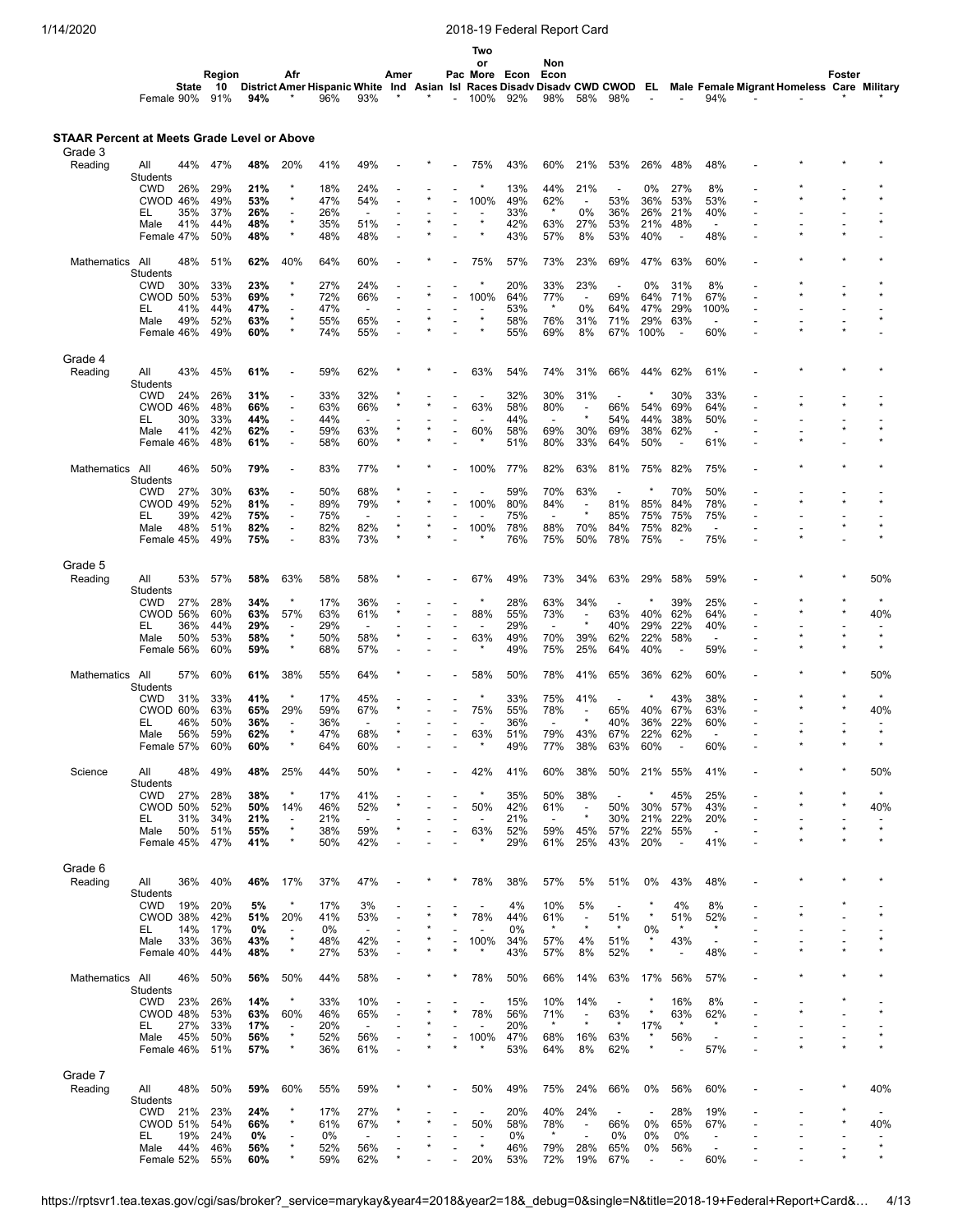| 1/14/2020                                   |                        |            |              |            |                                                      |                                                                            |                                 |      |         |                          |                          | 2018-19 Federal Report Card |                                 |                                |                                 |            |                          |                                  |                                            |         |        |         |
|---------------------------------------------|------------------------|------------|--------------|------------|------------------------------------------------------|----------------------------------------------------------------------------|---------------------------------|------|---------|--------------------------|--------------------------|-----------------------------|---------------------------------|--------------------------------|---------------------------------|------------|--------------------------|----------------------------------|--------------------------------------------|---------|--------|---------|
|                                             |                        |            |              |            |                                                      |                                                                            |                                 |      |         |                          | Two                      |                             |                                 |                                |                                 |            |                          |                                  |                                            |         |        |         |
|                                             |                        |            |              |            |                                                      |                                                                            |                                 |      |         |                          | or                       |                             | Non                             |                                |                                 |            |                          |                                  |                                            |         |        |         |
|                                             |                        | State      | Region<br>10 |            | Afr                                                  | District Amer Hispanic White Ind Asian Isl Races Disady Disady CWD CWOD EL |                                 | Amer |         |                          |                          | Pac More Econ               | Econ                            |                                |                                 |            |                          |                                  | Male Female Migrant Homeless Care Military |         | Foster |         |
|                                             | Female 90%             |            | 91%          | 94%        |                                                      | 96%                                                                        | 93%                             |      | $\star$ | $\overline{\phantom{0}}$ | 100%                     | 92%                         | 98%                             | 58%                            | 98%                             |            |                          | 94%                              |                                            |         |        |         |
|                                             |                        |            |              |            |                                                      |                                                                            |                                 |      |         |                          |                          |                             |                                 |                                |                                 |            |                          |                                  |                                            |         |        |         |
| STAAR Percent at Meets Grade Level or Above |                        |            |              |            |                                                      |                                                                            |                                 |      |         |                          |                          |                             |                                 |                                |                                 |            |                          |                                  |                                            |         |        |         |
| Grade 3                                     |                        |            |              |            |                                                      |                                                                            |                                 |      |         |                          |                          |                             |                                 |                                |                                 |            |                          |                                  |                                            |         |        |         |
| Reading                                     | All<br>Students        | 44%        | 47%          | 48%        | 20%                                                  | 41%                                                                        | 49%                             |      |         |                          | 75%                      | 43%                         | 60%                             | 21%                            | 53%                             | 26%        | 48%                      | 48%                              |                                            |         |        |         |
|                                             | <b>CWD</b>             | 26%        | 29%          | 21%        |                                                      | 18%                                                                        | 24%                             |      |         |                          |                          | 13%                         | 44%                             | 21%                            | $\overline{\phantom{a}}$        | 0%         | 27%                      | 8%                               |                                            |         |        |         |
|                                             | CWOD 46%<br>EL         | 35%        | 49%<br>37%   | 53%<br>26% | $\overline{\phantom{a}}$                             | 47%<br>26%                                                                 | 54%<br>$\overline{\phantom{a}}$ |      |         |                          | 100%                     | 49%<br>33%                  | 62%<br>$\star$                  | $\overline{a}$<br>0%           | 53%<br>36%                      | 36%<br>26% | 53%<br>21%               | 53%<br>40%                       |                                            |         |        |         |
|                                             | Male                   | 41%        | 44%          | 48%        | $\star$<br>$\star$                                   | 35%                                                                        | 51%                             |      |         |                          | $\star$                  | 42%                         | 63%                             | 27%                            | 53%                             | 21%        | 48%                      | $\overline{\phantom{a}}$         |                                            |         |        |         |
|                                             | Female 47%             |            | 50%          | 48%        |                                                      | 48%                                                                        | 48%                             |      |         |                          |                          | 43%                         | 57%                             | 8%                             | 53%                             | 40%        | $\overline{\phantom{a}}$ | 48%                              |                                            |         |        |         |
| Mathematics                                 | All                    | 48%        | 51%          | 62%        | 40%                                                  | 64%                                                                        | 60%                             |      |         |                          | 75%                      | 57%                         | 73%                             | 23%                            | 69%                             | 47%        | 63%                      | 60%                              |                                            |         |        |         |
|                                             | Students<br><b>CWD</b> | 30%        | 33%          | 23%        |                                                      | 27%                                                                        | 24%                             |      |         |                          |                          | 20%                         | 33%                             | 23%                            | $\overline{a}$                  | 0%         | 31%                      | 8%                               |                                            |         |        |         |
|                                             | <b>CWOD 50%</b>        |            | 53%          | 69%        |                                                      | 72%                                                                        | 66%                             |      |         |                          | 100%                     | 64%                         | 77%                             | $\overline{\phantom{a}}$       | 69%                             | 64%        | 71%                      | 67%                              |                                            |         |        |         |
|                                             | EL                     | 41%<br>49% | 44%<br>52%   | 47%<br>63% |                                                      | 47%<br>55%                                                                 | $\blacksquare$<br>65%           |      |         |                          | $\star$                  | 53%<br>58%                  | $\star$                         | 0%<br>31%                      | 64%<br>71%                      | 47%<br>29% | 29%<br>63%               | 100%<br>$\overline{\phantom{a}}$ |                                            |         |        |         |
|                                             | Male<br>Female 46%     |            | 49%          | 60%        |                                                      | 74%                                                                        | 55%                             |      |         |                          |                          | 55%                         | 76%<br>69%                      | 8%                             | 67%                             | 100%       | $\overline{\phantom{a}}$ | 60%                              |                                            |         |        |         |
|                                             |                        |            |              |            |                                                      |                                                                            |                                 |      |         |                          |                          |                             |                                 |                                |                                 |            |                          |                                  |                                            |         |        |         |
| Grade 4<br>Reading                          | All                    | 43%        | 45%          | 61%        |                                                      | 59%                                                                        | 62%                             |      |         |                          | 63%                      | 54%                         | 74%                             | 31%                            | 66%                             | 44%        | 62%                      | 61%                              |                                            |         |        |         |
|                                             | Students               |            |              |            |                                                      |                                                                            |                                 |      |         |                          |                          |                             |                                 |                                |                                 |            |                          |                                  |                                            |         |        |         |
|                                             | <b>CWD</b>             | 24%        | 26%<br>48%   | 31%<br>66% |                                                      | 33%<br>63%                                                                 | 32%<br>66%                      |      |         |                          | 63%                      | 32%<br>58%                  | 30%<br>80%                      | 31%<br>÷,                      | 66%                             | 54%        | 30%<br>69%               | 33%<br>64%                       |                                            |         |        |         |
|                                             | CWOD 46%<br>EL         | 30%        | 33%          | 44%        |                                                      | 44%                                                                        | $\overline{\phantom{a}}$        |      |         |                          |                          | 44%                         | $\blacksquare$                  | $\star$                        | 54%                             | 44%        | 38%                      | 50%                              |                                            |         |        |         |
|                                             | Male                   | 41%        | 42%          | 62%        |                                                      | 59%                                                                        | 63%                             |      |         |                          | 60%                      | 58%                         | 69%                             | 30%                            | 69%                             | 38%        | 62%                      | $\overline{\phantom{a}}$         |                                            |         |        |         |
|                                             | Female 46%             |            | 48%          | 61%        |                                                      | 58%                                                                        | 60%                             |      |         |                          |                          | 51%                         | 80%                             | 33%                            | 64%                             | 50%        |                          | 61%                              |                                            |         |        |         |
| Mathematics                                 | All                    | 46%        | 50%          | 79%        |                                                      | 83%                                                                        | 77%                             |      |         |                          | 100%                     | 77%                         | 82%                             | 63%                            | 81%                             | 75%        | 82%                      | 75%                              |                                            |         |        |         |
|                                             | Students<br><b>CWD</b> | 27%        | 30%          | 63%        |                                                      | 50%                                                                        | 68%                             |      |         |                          |                          | 59%                         | 70%                             | 63%                            |                                 |            | 70%                      | 50%                              |                                            |         |        |         |
|                                             | <b>CWOD 49%</b>        |            | 52%          | 81%        |                                                      | 89%                                                                        | 79%                             |      |         |                          | 100%                     | 80%                         | 84%                             | $\overline{a}$                 | 81%                             | 85%        | 84%                      | 78%                              |                                            |         |        |         |
|                                             | EL<br>Male             | 39%<br>48% | 42%<br>51%   | 75%<br>82% | $\overline{\phantom{a}}$<br>$\overline{\phantom{a}}$ | 75%<br>82%                                                                 | $\overline{\phantom{a}}$<br>82% |      |         |                          | 100%                     | 75%<br>78%                  | $\overline{\phantom{a}}$<br>88% | $\star$<br>70%                 | 85%<br>84%                      | 75%<br>75% | 75%<br>82%               | 75%<br>$\overline{a}$            | $\overline{a}$                             |         |        |         |
|                                             | Female 45%             |            | 49%          | 75%        |                                                      | 83%                                                                        | 73%                             |      |         |                          |                          | 76%                         | 75%                             | 50%                            | 78%                             | 75%        | $\overline{a}$           | 75%                              |                                            |         |        |         |
| Grade 5                                     |                        |            |              |            |                                                      |                                                                            |                                 |      |         |                          |                          |                             |                                 |                                |                                 |            |                          |                                  |                                            |         |        |         |
| Reading                                     | All                    | 53%        | 57%          | 58%        | 63%                                                  | 58%                                                                        | 58%                             |      |         |                          | 67%                      | 49%                         | 73%                             | 34%                            | 63%                             | 29%        | 58%                      | 59%                              |                                            |         |        | 50%     |
|                                             | Students<br><b>CWD</b> | 27%        | 28%          | 34%        |                                                      | 17%                                                                        | 36%                             |      |         |                          |                          | 28%                         | 63%                             | 34%                            | $\overline{\phantom{a}}$        |            | 39%                      | 25%                              |                                            |         |        |         |
|                                             | <b>CWOD 56%</b>        |            | 60%          | 63%        | 57%                                                  | 63%                                                                        | 61%                             |      |         |                          | 88%                      | 55%                         | 73%                             | $\overline{\phantom{a}}$       | 63%                             | 40%        | 62%                      | 64%                              |                                            |         |        | 40%     |
|                                             | EL<br>Male             | 36%<br>50% | 44%<br>53%   | 29%<br>58% | $\star$                                              | 29%<br>50%                                                                 | $\overline{\phantom{a}}$<br>58% |      |         |                          | 63%                      | 29%<br>49%                  | $\overline{\phantom{a}}$<br>70% | $\star$<br>39%                 | 40%<br>62%                      | 29%<br>22% | 22%<br>58%               | 40%<br>$\overline{\phantom{a}}$  |                                            | $\star$ |        |         |
|                                             | Female 56%             |            | 60%          | 59%        |                                                      | 68%                                                                        | 57%                             |      |         |                          |                          | 49%                         | 75%                             | 25%                            | 64%                             | 40%        | $\overline{\phantom{a}}$ | 59%                              |                                            |         |        |         |
|                                             |                        |            |              |            |                                                      |                                                                            |                                 |      |         |                          |                          |                             |                                 |                                |                                 |            |                          |                                  |                                            |         |        |         |
| Mathematics                                 | All<br>Students        | 57%        | 60%          | 61%        | 38%                                                  | 55%                                                                        | 64%                             |      |         |                          | 58%                      | 50%                         | 78%                             | 41%                            | 65%                             | 36%        | 62%                      | 60%                              |                                            |         |        | 50%     |
|                                             | <b>CWD</b>             | 31%        | 33%          | 41%        |                                                      | 17%                                                                        | 45%                             |      |         |                          |                          | 33%                         | 75%                             | 41%                            |                                 |            | 43%                      | 38%                              |                                            |         |        |         |
|                                             | CWOD 60%<br>EL.        | 46%        | 63%<br>50%   | 65%<br>36% | 29%                                                  | 59%<br>36%                                                                 | 67%<br>$\blacksquare$           |      |         |                          | 75%<br>$\overline{a}$    | 55%<br>36%                  | 78%<br>$\blacksquare$           |                                | 65%<br>40%                      | 40%<br>36% | 67%<br>22%               | 63%<br>60%                       |                                            |         |        | 40%     |
|                                             | Male                   | 56%        | 59%          | 62%        | $\star$                                              | 47%                                                                        | 68%                             |      |         |                          | 63%<br>$\star$           | 51%                         | 79%                             | 43%                            | 67%                             | 22%        | 62%                      | $\overline{\phantom{a}}$         |                                            |         |        |         |
|                                             | Female 57%             |            | 60%          | 60%        |                                                      | 64%                                                                        | 60%                             |      |         |                          |                          | 49%                         | 77%                             | 38%                            | 63%                             | 60%        | $\overline{\phantom{a}}$ | 60%                              |                                            |         |        |         |
| Science                                     | All                    | 48%        | 49%          | 48%        | 25%                                                  | 44%                                                                        | 50%                             |      |         |                          | 42%                      | 41%                         | 60%                             | 38%                            | 50%                             | 21%        | 55%                      | 41%                              |                                            |         |        | 50%     |
|                                             | <b>Students</b><br>CWD | 27%        | 28%          | 38%        | $\star$                                              | 17%                                                                        | 41%                             |      |         |                          | $\star$                  | 35%                         | 50%                             | 38%                            |                                 | $\ast$     | 45%                      | 25%                              |                                            |         |        |         |
|                                             | <b>CWOD 50%</b>        |            | 52%          | 50%        | 14%                                                  | 46%                                                                        | 52%                             |      |         |                          | 50%                      | 42%                         | 61%                             | $\overline{\phantom{a}}$       | 50%                             | 30%        | 57%                      | 43%                              |                                            |         |        | 40%     |
|                                             | EL<br>Male             | 31%<br>50% | 34%<br>51%   | 21%<br>55% | $\overline{\phantom{a}}$<br>$\star$                  | 21%<br>38%                                                                 | $\overline{\phantom{a}}$<br>59% |      |         |                          | 63%                      | 21%<br>52%                  | $\overline{\phantom{a}}$<br>59% | $\star$<br>45%                 | 30%<br>57%                      | 21%<br>22% | 22%<br>55%               | 20%<br>$\overline{a}$            |                                            |         |        | $\star$ |
|                                             | Female 45%             |            | 47%          | 41%        | $\star$                                              | 50%                                                                        | 42%                             |      |         |                          |                          | 29%                         | 61%                             | 25%                            | 43%                             | 20%        | $\blacksquare$           | 41%                              |                                            |         |        |         |
|                                             |                        |            |              |            |                                                      |                                                                            |                                 |      |         |                          |                          |                             |                                 |                                |                                 |            |                          |                                  |                                            |         |        |         |
| Grade 6<br>Reading                          | All                    | 36%        | 40%          | 46%        | 17%                                                  | 37%                                                                        | 47%                             |      |         |                          | 78%                      | 38%                         | 57%                             | 5%                             | 51%                             | 0%         | 43%                      | 48%                              |                                            |         |        |         |
|                                             | Students               |            |              |            |                                                      |                                                                            |                                 |      |         |                          |                          |                             |                                 |                                |                                 |            |                          |                                  |                                            |         |        |         |
|                                             | CWD<br>CWOD 38%        | 19%        | 20%<br>42%   | 5%<br>51%  | 20%                                                  | 17%<br>41%                                                                 | 3%<br>53%                       |      |         |                          | 78%                      | 4%<br>44%                   | 10%<br>61%                      | 5%<br>$\overline{\phantom{a}}$ | $\overline{\phantom{a}}$<br>51% |            | 4%<br>51%                | 8%<br>52%                        |                                            |         |        |         |
|                                             | EL                     | 14%        | 17%          | 0%         |                                                      | 0%                                                                         | $\overline{\phantom{a}}$        |      |         |                          |                          | 0%                          | $\star$                         | $\star$                        | $\star$                         | 0%         | $\star$                  | $\star$                          |                                            |         |        |         |
|                                             | Male<br>Female 40%     | 33%        | 36%<br>44%   | 43%<br>48% | $\star$<br>$\star$                                   | 48%<br>27%                                                                 | 42%<br>53%                      |      |         |                          | 100%<br>$\star$          | 34%<br>43%                  | 57%<br>57%                      | 4%<br>8%                       | 51%<br>52%                      |            | 43%                      | $\overline{\phantom{a}}$<br>48%  |                                            |         |        |         |
|                                             |                        |            |              |            |                                                      |                                                                            |                                 |      |         |                          |                          |                             |                                 |                                |                                 |            |                          |                                  |                                            |         |        |         |
| Mathematics                                 | All<br>Students        | 46%        | 50%          | 56%        | 50%                                                  | 44%                                                                        | 58%                             |      |         |                          | 78%                      | 50%                         | 66%                             | 14%                            | 63%                             | 17%        | 56%                      | 57%                              |                                            |         |        |         |
|                                             | CWD                    | 23%        | 26%          | 14%        |                                                      | 33%                                                                        | 10%                             |      |         |                          | $\overline{\phantom{a}}$ | 15%                         | 10%                             | 14%                            |                                 |            | 16%                      | 8%                               |                                            |         |        |         |
|                                             | CWOD 48%<br>EL         | 27%        | 53%<br>33%   | 63%        | 60%<br>$\overline{\phantom{a}}$                      | 46%<br>20%                                                                 | 65%                             |      |         |                          | 78%                      | 56%<br>20%                  | 71%<br>$\star$                  | $\overline{a}$<br>$\star$      | 63%<br>$\star$                  | 17%        | 63%<br>$\star$           | 62%<br>$\star$                   |                                            |         |        |         |
|                                             | Male                   | 45%        | 50%          | 17%<br>56% | $\star$                                              | 52%                                                                        | $\overline{\phantom{a}}$<br>56% |      |         |                          | 100%                     | 47%                         | 68%                             | 16%                            | 63%                             | $\star$    | 56%                      |                                  |                                            |         |        |         |
|                                             | Female 46%             |            | 51%          | 57%        |                                                      | 36%                                                                        | 61%                             |      |         |                          |                          | 53%                         | 64%                             | 8%                             | 62%                             |            |                          | 57%                              |                                            |         |        |         |
| Grade 7                                     |                        |            |              |            |                                                      |                                                                            |                                 |      |         |                          |                          |                             |                                 |                                |                                 |            |                          |                                  |                                            |         |        |         |

Reading All

Students<br>CWD 21%<br>CWOD 51%

48% 50% **59%** 60% 55% 59% \* \* - 50% 49% 75% 24% 66% 0% 56% 60% - - \* 40%

CWD 21% 23% **24%** \* 17% 27% \* - - - 20% 40% 24% - - 28% 19% - - \* - CWOD 51% 54% **66%** \* 61% 67% \* \* - 50% 58% 78% - 66% 0% 65% 67% - - \* 40% EL 19% 24% **0%** - 0% - - - - - 0% \* - 0% 0% 0% - - - - - Male 44% 46% **56%** \* 52% 56% - \* - \* 46% 79% 28% 65% 0% 56% - - - - \* Female 52% 55% **60%** \* 59% 62% \* - - 20% 53% 72% 19% 67% - - 60% - - \* \*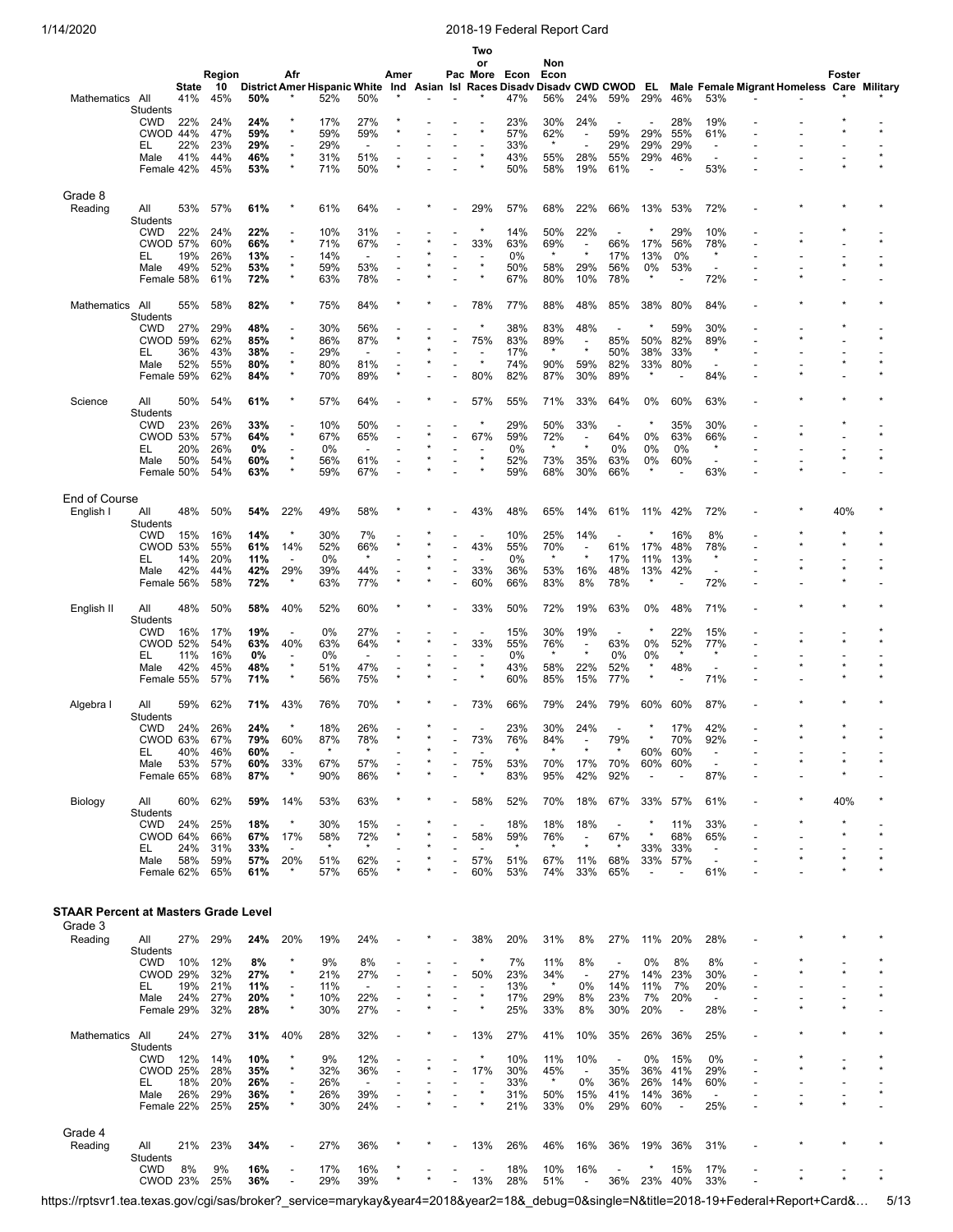|                                      |                               |            |            |            |                                     |                                     |                                 |      |  | Two<br>or                           |                        | Non                |                                     |                                 |                          |                                 |                                                      |                                            |         |         |
|--------------------------------------|-------------------------------|------------|------------|------------|-------------------------------------|-------------------------------------|---------------------------------|------|--|-------------------------------------|------------------------|--------------------|-------------------------------------|---------------------------------|--------------------------|---------------------------------|------------------------------------------------------|--------------------------------------------|---------|---------|
|                                      |                               |            | Region     |            | Afr                                 |                                     |                                 | Amer |  | Pac More                            | Econ                   | Econ               |                                     |                                 |                          |                                 |                                                      |                                            | Foster  |         |
|                                      |                               | State      | 10         |            |                                     | <b>District Amer Hispanic White</b> |                                 | Ind  |  |                                     | Asian Isl Races Disadv | Disady CWD CWOD EL |                                     |                                 |                          |                                 |                                                      | Male Female Migrant Homeless Care Military |         |         |
| Mathematics All                      |                               | 41%        | 45%        | 50%        |                                     | 52%                                 | 50%                             |      |  |                                     | 47%                    | 56%                | 24%                                 | 59%                             | 29%                      | 46%                             | 53%                                                  |                                            |         |         |
|                                      | Students<br><b>CWD</b>        | 22%        | 24%        | 24%        |                                     | 17%                                 | 27%                             |      |  |                                     | 23%                    | 30%                | 24%                                 |                                 |                          | 28%                             | 19%                                                  |                                            |         |         |
|                                      | CWOD 44%                      |            | 47%        | 59%        | $\star$                             | 59%                                 | 59%                             |      |  |                                     | 57%                    | 62%                | $\overline{\phantom{a}}$            | 59%                             | 29%                      | 55%                             | 61%                                                  |                                            |         |         |
|                                      | EL                            | 22%        | 23%        | 29%        | ٠                                   | 29%                                 | $\overline{\phantom{a}}$        |      |  |                                     | 33%                    | $\star$            | $\overline{a}$                      | 29%                             | 29%                      | 29%                             | $\overline{\phantom{a}}$                             |                                            |         |         |
|                                      | Male                          | 41%        | 44%        | 46%        | $\star$<br>$\star$                  | 31%                                 | 51%                             |      |  |                                     | 43%                    | 55%                | 28%                                 | 55%                             | 29%                      | 46%                             | $\overline{\phantom{a}}$                             |                                            |         |         |
|                                      | Female 42%                    |            | 45%        | 53%        |                                     | 71%                                 | 50%                             |      |  |                                     | 50%                    | 58%                | 19%                                 | 61%                             | $\overline{\phantom{a}}$ |                                 | 53%                                                  |                                            |         |         |
| Grade 8                              |                               |            |            |            |                                     |                                     |                                 |      |  |                                     |                        |                    |                                     |                                 |                          |                                 |                                                      |                                            |         |         |
| Reading                              | All                           | 53%        | 57%        | 61%        |                                     | 61%                                 | 64%                             |      |  | 29%                                 | 57%                    | 68%                | 22%                                 | 66%                             | 13%                      | 53%                             | 72%                                                  |                                            |         |         |
|                                      | Students                      |            |            |            |                                     |                                     |                                 |      |  |                                     |                        |                    |                                     |                                 |                          |                                 |                                                      |                                            |         |         |
|                                      | <b>CWD</b>                    | 22%        | 24%        | 22%        |                                     | 10%                                 | 31%                             |      |  |                                     | 14%                    | 50%                | 22%                                 |                                 |                          | 29%                             | 10%                                                  |                                            |         |         |
|                                      | <b>CWOD 57%</b>               | 19%        | 60%<br>26% | 66%<br>13% | $\star$                             | 71%<br>14%                          | 67%<br>$\overline{\phantom{a}}$ |      |  | 33%                                 | 63%<br>0%              | 69%<br>$\star$     | $\overline{\phantom{a}}$<br>$\star$ | 66%<br>17%                      | 17%                      | 56%<br>0%                       | 78%<br>$\star$                                       |                                            |         |         |
|                                      | EL<br>Male                    | 49%        | 52%        | 53%        | $\overline{\phantom{a}}$<br>$\star$ | 59%                                 | 53%                             |      |  | $\star$                             | 50%                    | 58%                | 29%                                 | 56%                             | 13%<br>0%                | 53%                             | $\overline{\phantom{a}}$                             |                                            |         |         |
|                                      | Female 58%                    |            | 61%        | 72%        | $\star$                             | 63%                                 | 78%                             |      |  |                                     | 67%                    | 80%                | 10%                                 | 78%                             | $\star$                  |                                 | 72%                                                  |                                            |         |         |
|                                      |                               |            |            |            |                                     |                                     |                                 |      |  |                                     |                        |                    |                                     |                                 |                          |                                 |                                                      |                                            |         |         |
| <b>Mathematics</b>                   | All                           | 55%        | 58%        | 82%        |                                     | 75%                                 | 84%                             |      |  | 78%                                 | 77%                    | 88%                | 48%                                 | 85%                             | 38%                      | 80%                             | 84%                                                  |                                            |         |         |
|                                      | Students<br><b>CWD</b>        | 27%        | 29%        | 48%        |                                     | 30%                                 | 56%                             |      |  |                                     | 38%                    | 83%                | 48%                                 |                                 |                          | 59%                             | 30%                                                  |                                            |         |         |
|                                      | <b>CWOD 59%</b>               |            | 62%        | 85%        | $\star$                             | 86%                                 | 87%                             |      |  | 75%                                 | 83%                    | 89%                | $\overline{a}$                      | 85%                             | 50%                      | 82%                             | 89%                                                  |                                            |         |         |
|                                      | EL                            | 36%        | 43%        | 38%        | $\overline{\phantom{a}}$            | 29%                                 |                                 |      |  |                                     | 17%                    | $\star$            | $\star$                             | 50%                             | 38%                      | 33%                             | $\star$                                              |                                            |         |         |
|                                      | Male                          | 52%        | 55%<br>62% | 80%        | $\star$<br>$\star$                  | 80%                                 | 81%                             |      |  | $\star$<br>80%                      | 74%                    | 90%<br>87%         | 59%<br>30%                          | 82%                             | 33%<br>$\star$           | 80%                             | 84%                                                  |                                            |         |         |
|                                      | Female 59%                    |            |            | 84%        |                                     | 70%                                 | 89%                             |      |  |                                     | 82%                    |                    |                                     | 89%                             |                          |                                 |                                                      |                                            |         |         |
| Science                              | All                           | 50%        | 54%        | 61%        |                                     | 57%                                 | 64%                             |      |  | 57%                                 | 55%                    | 71%                | 33%                                 | 64%                             | 0%                       | 60%                             | 63%                                                  |                                            |         |         |
|                                      | Students                      |            |            |            |                                     |                                     |                                 |      |  |                                     |                        |                    |                                     |                                 |                          |                                 |                                                      |                                            |         |         |
|                                      | <b>CWD</b>                    | 23%        | 26%        | 33%        | $\star$                             | 10%                                 | 50%                             |      |  |                                     | 29%                    | 50%                | 33%                                 | $\overline{\phantom{a}}$        |                          | 35%                             | 30%                                                  |                                            |         |         |
|                                      | <b>CWOD 53%</b><br>EL         | 20%        | 57%<br>26% | 64%<br>0%  |                                     | 67%<br>0%                           | 65%<br>$\overline{\phantom{a}}$ |      |  | 67%                                 | 59%<br>0%              | 72%<br>$\star$     | $\overline{\phantom{a}}$<br>$\star$ | 64%<br>0%                       | 0%<br>0%                 | 63%<br>0%                       | 66%<br>$\star$                                       |                                            |         |         |
|                                      | Male                          | 50%        | 54%        | 60%        | $\star$                             | 56%                                 | 61%                             |      |  | $\star$                             | 52%                    | 73%                | 35%                                 | 63%                             | 0%                       | 60%                             | $\overline{\phantom{a}}$                             |                                            |         |         |
|                                      | Female 50%                    |            | 54%        | 63%        |                                     | 59%                                 | 67%                             |      |  |                                     | 59%                    | 68%                | 30%                                 | 66%                             | *                        |                                 | 63%                                                  |                                            |         |         |
|                                      |                               |            |            |            |                                     |                                     |                                 |      |  |                                     |                        |                    |                                     |                                 |                          |                                 |                                                      |                                            |         |         |
| End of Course                        |                               |            |            |            |                                     |                                     |                                 |      |  |                                     |                        |                    |                                     |                                 |                          |                                 |                                                      |                                            |         |         |
| English I                            | All<br>Students               | 48%        | 50%        | 54%        | 22%                                 | 49%                                 | 58%                             |      |  | 43%                                 | 48%                    | 65%                | 14%                                 | 61%                             | 11%                      | 42%                             | 72%                                                  |                                            | 40%     |         |
|                                      | <b>CWD</b>                    | 15%        | 16%        | 14%        | $\star$                             | 30%                                 | 7%                              |      |  |                                     | 10%                    | 25%                | 14%                                 |                                 |                          | 16%                             | 8%                                                   |                                            |         |         |
|                                      | <b>CWOD 53%</b>               |            | 55%        | 61%        | 14%                                 | 52%                                 | 66%                             |      |  | 43%                                 | 55%                    | 70%                | $\overline{\phantom{a}}$            | 61%                             | 17%                      | 48%                             | 78%                                                  |                                            | $\star$ |         |
|                                      | EL                            | 14%        | 20%        | 11%        | $\overline{\phantom{a}}$            | 0%                                  | $\star$                         |      |  |                                     | 0%                     | $\star$            | $\star$                             | 17%                             | 11%                      | 13%                             | $\star$                                              |                                            | $\star$ |         |
|                                      | Male<br>Female 56%            | 42%        | 44%<br>58% | 42%<br>72% | 29%                                 | 39%<br>63%                          | 44%<br>77%                      |      |  | 33%<br>60%                          | 36%<br>66%             | 53%<br>83%         | 16%<br>8%                           | 48%<br>78%                      | 13%<br>$\star$           | 42%                             | 72%                                                  |                                            |         |         |
|                                      |                               |            |            |            |                                     |                                     |                                 |      |  |                                     |                        |                    |                                     |                                 |                          |                                 |                                                      |                                            |         |         |
| English II                           | All                           | 48%        | 50%        | 58%        | 40%                                 | 52%                                 | 60%                             |      |  | 33%                                 | 50%                    | 72%                | 19%                                 | 63%                             | 0%                       | 48%                             | 71%                                                  |                                            |         |         |
|                                      | Students                      |            |            |            |                                     |                                     |                                 |      |  |                                     |                        |                    |                                     |                                 | $\star$                  |                                 |                                                      |                                            |         |         |
|                                      | <b>CWD</b><br><b>CWOD 52%</b> | 16%        | 17%<br>54% | 19%<br>63% | ÷<br>40%                            | 0%<br>63%                           | 27%<br>64%                      |      |  | 33%                                 | 15%<br>55%             | 30%<br>76%         | 19%<br>$\overline{\phantom{a}}$     | 63%                             | 0%                       | 22%<br>52%                      | 15%<br>77%                                           |                                            |         |         |
|                                      | EL                            | 11%        | 16%        | 0%         |                                     | 0%                                  | $\blacksquare$                  |      |  |                                     | 0%                     |                    | ×                                   | 0%                              | 0%                       |                                 | $\star$                                              |                                            |         |         |
|                                      | Male                          | 42%        | 45%        | 48%        | $\star$                             | 51%                                 | 47%                             |      |  |                                     | 43%                    | 58%                | 22%                                 | 52%                             | $\star$                  | 48%                             | $\overline{\phantom{a}}$                             |                                            |         |         |
|                                      | Female 55%                    |            | 57%        | 71%        | $\star$                             | 56%                                 | 75%                             |      |  |                                     | 60%                    | 85%                | 15%                                 | 77%                             | $\star$                  |                                 | 71%                                                  |                                            |         |         |
|                                      |                               |            |            |            | 43%                                 |                                     |                                 |      |  |                                     |                        |                    |                                     |                                 |                          | 60%                             | 87%                                                  |                                            |         |         |
| Algebra I                            | All<br>Students               | 59%        | 62%        | 71%        |                                     | 76%                                 | 70%                             |      |  | 73%                                 | 66%                    | 79%                | 24%                                 | 79%                             | 60%                      |                                 |                                                      |                                            |         |         |
|                                      | <b>CWD</b>                    | 24%        | 26%        | 24%        | $\star$                             | 18%                                 | 26%                             |      |  |                                     | 23%                    | 30%                | 24%                                 |                                 |                          | 17%                             | 42%                                                  |                                            |         |         |
|                                      | CWOD 63%                      |            | 67%        | 79%        | 60%                                 | 87%                                 | 78%                             |      |  | 73%                                 | 76%                    | 84%                |                                     | 79%                             |                          | 70%                             | 92%                                                  |                                            | $\star$ | $\star$ |
|                                      | EL.<br>Male                   | 40%<br>53% | 46%<br>57% | 60%<br>60% | 33%                                 | 67%                                 | 57%                             |      |  | 75%                                 | 53%                    | 70%                | 17%                                 | 70%                             | 60%<br>60%               | 60%<br>60%                      | $\overline{\phantom{a}}$<br>$\overline{\phantom{a}}$ |                                            |         |         |
|                                      | Female 65%                    |            | 68%        | 87%        | $\star$                             | 90%                                 | 86%                             |      |  | $\star$                             | 83%                    | 95%                | 42%                                 | 92%                             | $\overline{\phantom{a}}$ |                                 | 87%                                                  |                                            |         |         |
|                                      |                               |            |            |            |                                     |                                     |                                 |      |  |                                     |                        |                    |                                     |                                 |                          |                                 |                                                      |                                            |         |         |
| Biology                              | All                           | 60%        | 62%        | 59%        | 14%                                 | 53%                                 | 63%                             |      |  | 58%                                 | 52%                    | 70%                | 18%                                 | 67%                             | 33%                      | 57%                             | 61%                                                  |                                            | 40%     |         |
|                                      | <b>Students</b>               |            |            |            | $\star$                             |                                     |                                 |      |  |                                     |                        |                    |                                     |                                 |                          |                                 |                                                      |                                            |         |         |
|                                      | <b>CWD</b><br>CWOD 64%        | 24%        | 25%<br>66% | 18%<br>67% | 17%                                 | 30%<br>58%                          | 15%<br>72%                      |      |  | ÷<br>58%                            | 18%<br>59%             | 18%<br>76%         | 18%<br>$\overline{\phantom{a}}$     | $\overline{\phantom{a}}$<br>67% | $\star$                  | 11%<br>68%                      | 33%<br>65%                                           |                                            | $\star$ | $\star$ |
|                                      | EL                            | 24%        | 31%        | 33%        |                                     | $\star$                             | $\star$                         |      |  |                                     |                        |                    | $\star$                             |                                 | 33%                      | 33%                             | $\overline{\phantom{a}}$                             |                                            |         |         |
|                                      | Male                          | 58%        | 59%        | 57%        | 20%                                 | 51%                                 | 62%                             |      |  | 57%                                 | 51%                    | 67%                | 11%                                 | 68%                             | 33%                      | 57%                             | $\overline{\phantom{a}}$                             |                                            | $\star$ | $\star$ |
|                                      | Female 62%                    |            | 65%        | 61%        |                                     | 57%                                 | 65%                             |      |  | 60%                                 | 53%                    | 74%                | 33%                                 | 65%                             | $\overline{\phantom{a}}$ | $\overline{\phantom{a}}$        | 61%                                                  |                                            |         |         |
|                                      |                               |            |            |            |                                     |                                     |                                 |      |  |                                     |                        |                    |                                     |                                 |                          |                                 |                                                      |                                            |         |         |
| STAAR Percent at Masters Grade Level |                               |            |            |            |                                     |                                     |                                 |      |  |                                     |                        |                    |                                     |                                 |                          |                                 |                                                      |                                            |         |         |
| Grade 3                              |                               |            |            |            |                                     |                                     |                                 |      |  |                                     |                        |                    |                                     |                                 |                          |                                 |                                                      |                                            |         |         |
| Reading                              | All                           | 27%        | 29%        | 24%        | 20%                                 | 19%                                 | 24%                             |      |  | 38%                                 | 20%                    | 31%                | 8%                                  | 27%                             | 11%                      | 20%                             | 28%                                                  |                                            |         |         |
|                                      | Students                      |            |            |            |                                     |                                     |                                 |      |  |                                     |                        |                    |                                     |                                 |                          |                                 |                                                      |                                            |         |         |
|                                      | <b>CWD</b><br><b>CWOD 29%</b> | 10%        | 12%<br>32% | 8%<br>27%  | $\star$<br>$\star$                  | 9%<br>21%                           | 8%<br>27%                       |      |  | $\star$<br>50%                      | 7%<br>23%              | 11%<br>34%         | 8%                                  | $\overline{\phantom{a}}$<br>27% | 0%<br>14%                | 8%<br>23%                       | 8%<br>30%                                            |                                            |         |         |
|                                      | EL                            | 19%        | 21%        | 11%        | $\overline{\phantom{a}}$            | 11%                                 | $\overline{a}$                  |      |  |                                     | 13%                    | $\star$            | $\overline{\phantom{a}}$<br>0%      | 14%                             | 11%                      | 7%                              | 20%                                                  |                                            |         |         |
|                                      | Male                          | 24%        | 27%        | 20%        | $\star$                             | 10%                                 | 22%                             |      |  |                                     | 17%                    | 29%                | 8%                                  | 23%                             | 7%                       | 20%                             | $\overline{\phantom{a}}$                             |                                            |         |         |
|                                      | Female 29%                    |            | 32%        | 28%        | $\star$                             | 30%                                 | 27%                             |      |  |                                     | 25%                    | 33%                | 8%                                  | 30%                             | 20%                      | $\overline{\phantom{a}}$        | 28%                                                  |                                            |         |         |
|                                      |                               |            |            |            |                                     |                                     |                                 |      |  |                                     |                        |                    |                                     |                                 |                          |                                 |                                                      |                                            |         |         |
| Mathematics                          | All<br>Students               | 24%        | 27%        | 31%        | 40%                                 | 28%                                 | 32%                             |      |  | 13%                                 | 27%                    | 41%                | 10%                                 | 35%                             | 26%                      | 36%                             | 25%                                                  |                                            |         |         |
|                                      | <b>CWD</b>                    | 12%        | 14%        | 10%        |                                     | 9%                                  | 12%                             |      |  |                                     | 10%                    | 11%                | 10%                                 | $\overline{\phantom{a}}$        | 0%                       | 15%                             | 0%                                                   |                                            |         |         |
|                                      | <b>CWOD 25%</b>               |            | 28%        | 35%        | $\star$                             | 32%                                 | 36%                             |      |  | 17%                                 | 30%                    | 45%                | $\overline{\phantom{a}}$            | 35%                             | 36%                      | 41%                             | 29%                                                  |                                            |         |         |
|                                      | EL                            | 18%        | 20%        | 26%        | $\overline{\phantom{a}}$<br>$\star$ | 26%                                 | $\blacksquare$                  |      |  | $\overline{\phantom{0}}$<br>$\star$ | 33%                    | $\star$            | 0%                                  | 36%                             | 26%                      | 14%                             | 60%                                                  |                                            |         |         |
|                                      | Male<br>Female 22%            | 26%        | 29%<br>25% | 36%<br>25% | $\star$                             | 26%<br>30%                          | 39%<br>24%                      |      |  |                                     | 31%<br>21%             | 50%<br>33%         | 15%<br>0%                           | 41%<br>29%                      | 14%<br>60%               | 36%<br>$\overline{\phantom{a}}$ | $\sim$<br>25%                                        |                                            |         |         |
|                                      |                               |            |            |            |                                     |                                     |                                 |      |  |                                     |                        |                    |                                     |                                 |                          |                                 |                                                      |                                            |         |         |
| Grade 4                              |                               |            |            |            |                                     |                                     |                                 |      |  |                                     |                        |                    |                                     |                                 |                          |                                 |                                                      |                                            |         |         |
| Reading                              | All                           | 21%        | 23%        | 34%        |                                     | 27%                                 | 36%                             |      |  | 13%                                 | 26%                    | 46%                | 16%                                 | 36%                             | 19%                      | 36%                             | 31%                                                  |                                            |         |         |
|                                      | Students                      |            |            |            |                                     |                                     |                                 |      |  |                                     |                        |                    |                                     |                                 |                          |                                 |                                                      |                                            |         |         |
|                                      | <b>CWD</b><br><b>CWOD 23%</b> | 8%         | 9%<br>25%  | 16%<br>36% |                                     | 17%<br>29%                          | 16%<br>39%                      |      |  | 13%                                 | 18%<br>28%             | 10%<br>51%         | 16%<br>$\overline{\phantom{a}}$     | 36%                             | 23%                      | 15%<br>40%                      | 17%<br>33%                                           |                                            |         |         |

https://rptsvr1.tea.texas.gov/cgi/sas/broker?\_service=marykay&year4=2018&year2=18&\_debug=0&single=N&title=2018-19+Federal+Report+Card&… 5/13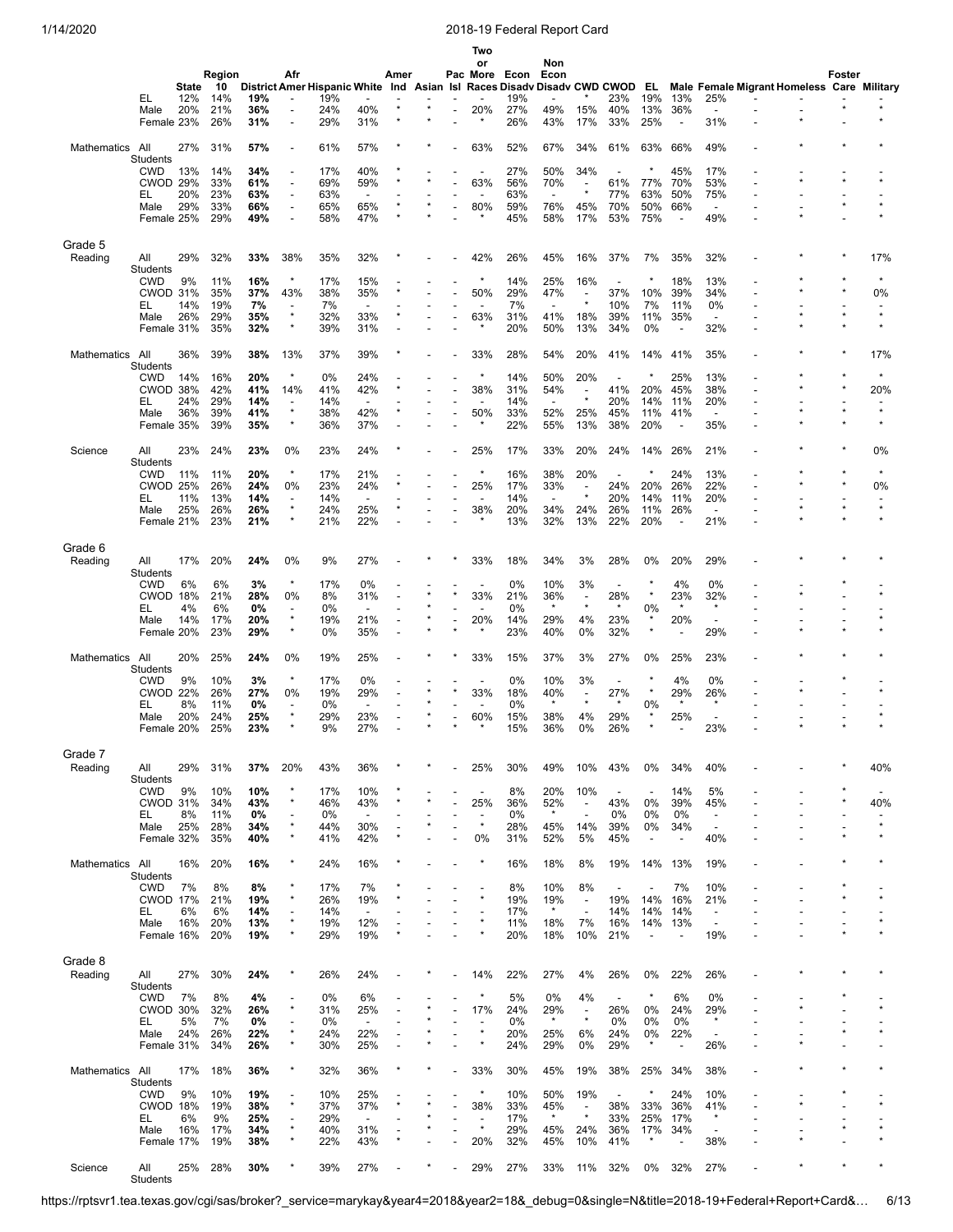|                 |                               |              |            |            |                                     |                                            |                                 |      |         | Two<br>or                           |                              | Non                      |                                     |                                 |                                |                                 |                                                      |                                            |        |               |
|-----------------|-------------------------------|--------------|------------|------------|-------------------------------------|--------------------------------------------|---------------------------------|------|---------|-------------------------------------|------------------------------|--------------------------|-------------------------------------|---------------------------------|--------------------------------|---------------------------------|------------------------------------------------------|--------------------------------------------|--------|---------------|
|                 |                               |              | Region     |            | Afr                                 |                                            |                                 | Amer |         | Pac More Econ                       |                              | Econ                     |                                     |                                 |                                |                                 |                                                      |                                            | Foster |               |
|                 |                               | <b>State</b> | 10         |            |                                     | District Amer Hispanic White Ind Asian Isl |                                 |      |         |                                     | Races Disady Disady CWD CWOD |                          |                                     |                                 | EL.                            |                                 |                                                      | Male Female Migrant Homeless Care Military |        |               |
|                 | EL<br>Male                    | 12%<br>20%   | 14%<br>21% | 19%<br>36% | ÷<br>÷,                             | 19%<br>24%                                 | 40%                             |      | $\star$ | 20%                                 | 19%<br>27%                   | 49%                      | 15%                                 | 23%<br>40%                      | 19%<br>13%                     | 13%<br>36%                      | 25%                                                  |                                            |        |               |
|                 | Female 23%                    |              | 26%        | 31%        | $\overline{a}$                      | 29%                                        | 31%                             |      |         | $\star$                             | 26%                          | 43%                      | 17%                                 | 33%                             | 25%                            | $\overline{\phantom{a}}$        | 31%                                                  |                                            |        |               |
|                 |                               |              |            |            |                                     |                                            |                                 |      |         |                                     |                              |                          |                                     |                                 |                                |                                 |                                                      |                                            |        |               |
| Mathematics     | All<br>Students               | 27%          | 31%        | 57%        | $\overline{a}$                      | 61%                                        | 57%                             |      |         | 63%                                 | 52%                          | 67%                      | 34%                                 | 61%                             | 63%                            | 66%                             | 49%                                                  |                                            |        |               |
|                 | <b>CWD</b>                    | 13%          | 14%        | 34%        |                                     | 17%                                        | 40%                             |      |         |                                     | 27%                          | 50%                      | 34%                                 |                                 | ×                              | 45%                             | 17%                                                  |                                            |        |               |
|                 | <b>CWOD 29%</b>               |              | 33%        | 61%        | $\overline{\phantom{a}}$            | 69%                                        | 59%                             |      |         | 63%                                 | 56%                          | 70%                      | $\overline{\phantom{a}}$            | 61%                             | 77%                            | 70%                             | 53%                                                  |                                            |        |               |
|                 | EL<br>Male                    | 20%<br>29%   | 23%<br>33% | 63%<br>66% | ÷,<br>$\overline{a}$                | 63%<br>65%                                 | $\overline{\phantom{a}}$<br>65% |      | $\star$ | 80%                                 | 63%<br>59%                   | $\blacksquare$<br>76%    | $\star$<br>45%                      | 77%<br>70%                      | 63%<br>50%                     | 50%<br>66%                      | 75%<br>$\overline{\phantom{0}}$                      |                                            |        |               |
|                 | Female 25%                    |              | 29%        | 49%        | $\overline{a}$                      | 58%                                        | 47%                             |      |         |                                     | 45%                          | 58%                      | 17%                                 | 53%                             | 75%                            | $\overline{\phantom{a}}$        | 49%                                                  |                                            |        |               |
|                 |                               |              |            |            |                                     |                                            |                                 |      |         |                                     |                              |                          |                                     |                                 |                                |                                 |                                                      |                                            |        |               |
| Grade 5         |                               |              |            |            |                                     |                                            |                                 |      |         |                                     |                              |                          |                                     |                                 |                                |                                 |                                                      |                                            |        |               |
| Reading         | All<br>Students               | 29%          | 32%        | 33%        | 38%                                 | 35%                                        | 32%                             |      |         | 42%                                 | 26%                          | 45%                      | 16%                                 | 37%                             | 7%                             | 35%                             | 32%                                                  |                                            |        | 17%           |
|                 | <b>CWD</b>                    | 9%           | 11%        | 16%        | $\star$                             | 17%                                        | 15%                             |      |         | $\star$                             | 14%                          | 25%                      | 16%                                 | $\overline{\phantom{a}}$        | ×                              | 18%                             | 13%                                                  |                                            |        | $\star$       |
|                 | <b>CWOD 31%</b>               |              | 35%        | 37%        | 43%                                 | 38%                                        | 35%                             |      |         | 50%                                 | 29%                          | 47%                      | $\overline{\phantom{a}}$            | 37%                             | 10%                            | 39%                             | 34%                                                  |                                            |        | 0%            |
|                 | EL                            | 14%<br>26%   | 19%<br>29% | 7%<br>35%  | $\star$                             | 7%<br>32%                                  | 33%                             |      |         | 63%                                 | 7%<br>31%                    | 41%                      | $\star$<br>18%                      | 10%<br>39%                      | 7%<br>11%                      | 11%<br>35%                      | 0%<br>$\overline{\phantom{a}}$                       |                                            |        | $\star$       |
|                 | Male<br>Female 31%            |              | 35%        | 32%        | ×                                   | 39%                                        | 31%                             |      |         |                                     | 20%                          | 50%                      | 13%                                 | 34%                             | 0%                             |                                 | 32%                                                  |                                            |        |               |
|                 |                               |              |            |            |                                     |                                            |                                 |      |         |                                     |                              |                          |                                     |                                 |                                |                                 |                                                      |                                            |        |               |
| Mathematics     | All                           | 36%          | 39%        | 38%        | 13%                                 | 37%                                        | 39%                             |      |         | 33%                                 | 28%                          | 54%                      | 20%                                 | 41%                             | 14%                            | 41%                             | 35%                                                  |                                            |        | 17%           |
|                 | <b>Students</b><br><b>CWD</b> | 14%          | 16%        | 20%        |                                     | 0%                                         | 24%                             |      |         |                                     | 14%                          | 50%                      | 20%                                 |                                 |                                | 25%                             | 13%                                                  |                                            |        |               |
|                 | CWOD 38%                      |              | 42%        | 41%        | 14%                                 | 41%                                        | 42%                             |      |         | 38%                                 | 31%                          | 54%                      | $\overline{\phantom{a}}$            | 41%                             | 20%                            | 45%                             | 38%                                                  |                                            |        | 20%           |
|                 | EL                            | 24%          | 29%        | 14%        | $\overline{\phantom{a}}$            | 14%                                        | $\overline{a}$                  |      |         |                                     | 14%                          | $\blacksquare$           | $\star$                             | 20%                             | 14%                            | 11%                             | 20%                                                  |                                            |        |               |
|                 | Male                          | 36%          | 39%        | 41%        | $\star$<br>$\star$                  | 38%                                        | 42%                             |      |         | 50%<br>$\star$                      | 33%                          | 52%                      | 25%                                 | 45%                             | 11%                            | 41%                             | $\overline{\phantom{a}}$                             |                                            |        | $\star$       |
|                 | Female 35%                    |              | 39%        | 35%        |                                     | 36%                                        | 37%                             |      |         |                                     | 22%                          | 55%                      | 13%                                 | 38%                             | 20%                            | $\overline{\phantom{a}}$        | 35%                                                  |                                            |        |               |
| Science         | All                           | 23%          | 24%        | 23%        | 0%                                  | 23%                                        | 24%                             |      |         | 25%                                 | 17%                          | 33%                      | 20%                                 | 24%                             | 14%                            | 26%                             | 21%                                                  |                                            |        | 0%            |
|                 | <b>Students</b>               |              |            |            |                                     |                                            |                                 |      |         |                                     |                              |                          |                                     |                                 |                                |                                 |                                                      |                                            |        |               |
|                 | <b>CWD</b><br><b>CWOD 25%</b> | 11%          | 11%<br>26% | 20%<br>24% | $\star$<br>0%                       | 17%<br>23%                                 | 21%<br>24%                      |      |         | 25%                                 | 16%<br>17%                   | 38%<br>33%               | 20%<br>$\overline{\phantom{a}}$     | $\overline{\phantom{a}}$<br>24% | 20%                            | 24%<br>26%                      | 13%<br>22%                                           |                                            |        | $\star$<br>0% |
|                 | EL                            | 11%          | 13%        | 14%        | $\overline{\phantom{a}}$            | 14%                                        | $\overline{\phantom{a}}$        |      |         | $\overline{\phantom{0}}$            | 14%                          | $\overline{\phantom{a}}$ | $\star$                             | 20%                             | 14%                            | 11%                             | 20%                                                  |                                            |        |               |
|                 | Male                          | 25%          | 26%        | 26%        | $\star$                             | 24%                                        | 25%                             |      |         | 38%                                 | 20%                          | 34%                      | 24%                                 | 26%                             | 11%                            | 26%                             | $\sim$                                               |                                            |        | $\star$       |
|                 | Female 21%                    |              | 23%        | 21%        | $\star$                             | 21%                                        | 22%                             |      |         |                                     | 13%                          | 32%                      | 13%                                 | 22%                             | 20%                            | $\overline{\phantom{a}}$        | 21%                                                  |                                            |        |               |
| Grade 6         |                               |              |            |            |                                     |                                            |                                 |      |         |                                     |                              |                          |                                     |                                 |                                |                                 |                                                      |                                            |        |               |
| Reading         | All                           | 17%          | 20%        | 24%        | 0%                                  | 9%                                         | 27%                             |      |         | 33%                                 | 18%                          | 34%                      | 3%                                  | 28%                             | 0%                             | 20%                             | 29%                                                  |                                            |        |               |
|                 | Students                      |              |            |            |                                     |                                            |                                 |      |         |                                     |                              |                          |                                     |                                 |                                |                                 |                                                      |                                            |        |               |
|                 | <b>CWD</b>                    | 6%           | 6%         | 3%         | ×                                   | 17%                                        | 0%                              |      |         |                                     | 0%                           | 10%                      | 3%                                  | $\overline{\phantom{a}}$        | $\star$                        | 4%                              | 0%                                                   |                                            |        |               |
|                 | CWOD 18%<br>EL                | 4%           | 21%<br>6%  | 28%<br>0%  | 0%                                  | 8%<br>0%                                   | 31%<br>$\overline{\phantom{a}}$ |      |         | 33%                                 | 21%<br>0%                    | 36%<br>$\star$           | $\overline{\phantom{a}}$<br>$\star$ | 28%<br>$\star$                  | 0%                             | 23%                             | 32%<br>$\star$                                       |                                            |        |               |
|                 | Male                          | 14%          | 17%        | 20%        | ×                                   | 19%                                        | 21%                             |      |         | 20%                                 | 14%                          | 29%                      | 4%                                  | 23%                             |                                | 20%                             | $\overline{\phantom{a}}$                             |                                            |        |               |
|                 | Female 20%                    |              | 23%        | 29%        | ×                                   | 0%                                         | 35%                             |      |         |                                     | 23%                          | 40%                      | 0%                                  | 32%                             | $\star$                        |                                 | 29%                                                  |                                            |        |               |
|                 |                               |              |            |            |                                     |                                            |                                 |      |         |                                     |                              |                          |                                     |                                 |                                |                                 |                                                      |                                            |        |               |
| Mathematics     | All<br>Students               | 20%          | 25%        | 24%        | 0%                                  | 19%                                        | 25%                             |      |         | 33%                                 | 15%                          | 37%                      | 3%                                  | 27%                             | 0%                             | 25%                             | 23%                                                  |                                            |        |               |
|                 | <b>CWD</b>                    | 9%           | 10%        | 3%         | $\star$                             | 17%                                        | 0%                              |      |         |                                     | 0%                           | 10%                      | 3%                                  | $\blacksquare$                  |                                | 4%                              | 0%                                                   |                                            |        |               |
|                 | <b>CWOD 22%</b>               |              | 26%        | 27%        | 0%                                  | 19%                                        | 29%                             |      |         | 33%                                 | 18%                          | 40%                      | $\overline{a}$<br>$\star$           | 27%                             | $\star$                        | 29%                             | 26%                                                  |                                            |        |               |
|                 | EL<br>Male                    | 8%<br>20%    | 11%<br>24% | 0%<br>25%  | $\overline{\phantom{a}}$<br>$\star$ | 0%<br>29%                                  | $\overline{\phantom{a}}$<br>23% |      |         | 60%                                 | 0%<br>15%                    | $\star$<br>38%           | 4%                                  | $\star$<br>29%                  | 0%<br>$\star$                  | $\star$<br>25%                  | $\star$                                              |                                            |        |               |
|                 | Female 20%                    |              | 25%        | 23%        |                                     | 9%                                         | 27%                             |      |         | $\star$                             | 15%                          | 36%                      | 0%                                  | 26%                             | $\star$                        |                                 | 23%                                                  |                                            |        |               |
|                 |                               |              |            |            |                                     |                                            |                                 |      |         |                                     |                              |                          |                                     |                                 |                                |                                 |                                                      |                                            |        |               |
| Grade 7         |                               |              |            |            |                                     |                                            |                                 |      |         |                                     |                              |                          |                                     |                                 |                                |                                 |                                                      |                                            |        |               |
| Reading         | All<br>Students               | 29%          | 31%        | 37%        | 20%                                 | 43%                                        | 36%                             |      |         | 25%                                 | 30%                          | 49%                      | 10%                                 | 43%                             | 0%                             | 34%                             | 40%                                                  |                                            |        | 40%           |
|                 | <b>CWD</b>                    | 9%           | 10%        | 10%        | $\star$                             | 17%                                        | 10%                             |      |         |                                     | 8%                           | 20%                      | 10%                                 | $\blacksquare$                  | ÷,                             | 14%                             | 5%                                                   |                                            |        |               |
|                 | <b>CWOD 31%</b>               |              | 34%        | 43%        | ×                                   | 46%                                        | 43%                             |      |         | 25%                                 | 36%                          | 52%                      | $\overline{\phantom{a}}$            | 43%                             | 0%                             | 39%                             | 45%                                                  |                                            |        | 40%           |
|                 | EL                            | 8%           | 11%        | 0%         | $\overline{\phantom{a}}$<br>$\star$ | 0%                                         | $\overline{\phantom{a}}$        |      |         | $\overline{\phantom{a}}$<br>$\star$ | 0%                           | $\star$                  | $\overline{a}$<br>14%               | 0%                              | 0%                             | 0%                              | $\overline{\phantom{a}}$<br>$\overline{\phantom{a}}$ |                                            |        | $\star$       |
|                 | Male<br>Female 32%            | 25%          | 28%<br>35% | 34%<br>40% | ×                                   | 44%<br>41%                                 | 30%<br>42%                      |      |         | 0%                                  | 28%<br>31%                   | 45%<br>52%               | 5%                                  | 39%<br>45%                      | 0%<br>$\overline{\phantom{a}}$ | 34%<br>$\overline{\phantom{a}}$ | 40%                                                  |                                            |        |               |
|                 |                               |              |            |            |                                     |                                            |                                 |      |         |                                     |                              |                          |                                     |                                 |                                |                                 |                                                      |                                            |        |               |
| Mathematics All |                               | 16%          | 20%        | 16%        |                                     | 24%                                        | 16%                             |      |         |                                     | 16%                          | 18%                      | 8%                                  | 19%                             | 14%                            | 13%                             | 19%                                                  |                                            |        |               |
|                 | <b>Students</b><br><b>CWD</b> | 7%           | 8%         | 8%         | ×                                   | 17%                                        | 7%                              |      |         |                                     | 8%                           | 10%                      | 8%                                  | $\overline{\phantom{a}}$        | $\overline{a}$                 | 7%                              | 10%                                                  |                                            |        |               |
|                 | <b>CWOD 17%</b>               |              | 21%        | 19%        | $\star$                             | 26%                                        | 19%                             |      |         |                                     | 19%                          | 19%                      | $\overline{\phantom{a}}$            | 19%                             | 14%                            | 16%                             | 21%                                                  |                                            |        | $\star$       |
|                 | EL                            | 6%           | 6%         | 14%        | ÷                                   | 14%                                        | $\overline{\phantom{a}}$        |      |         |                                     | 17%                          | $\star$                  | $\overline{\phantom{a}}$            | 14%                             | 14%                            | 14%                             | $\overline{\phantom{a}}$                             |                                            |        |               |
|                 | Male                          | 16%          | 20%        | 13%        | $\star$<br>×                        | 19%                                        | 12%                             |      |         |                                     | 11%                          | 18%                      | 7%                                  | 16%                             | 14%                            | 13%                             | $\overline{\phantom{a}}$                             |                                            |        | $\star$       |
|                 | Female 16%                    |              | 20%        | 19%        |                                     | 29%                                        | 19%                             |      |         |                                     | 20%                          | 18%                      | 10%                                 | 21%                             | ÷,                             |                                 | 19%                                                  |                                            |        |               |
| Grade 8         |                               |              |            |            |                                     |                                            |                                 |      |         |                                     |                              |                          |                                     |                                 |                                |                                 |                                                      |                                            |        |               |
| Reading         | All                           | 27%          | 30%        | 24%        |                                     | 26%                                        | 24%                             |      |         | 14%                                 | 22%                          | 27%                      | 4%                                  | 26%                             | 0%                             | 22%                             | 26%                                                  |                                            |        |               |
|                 | <b>Students</b>               |              |            |            |                                     |                                            |                                 |      |         |                                     |                              |                          |                                     |                                 |                                |                                 |                                                      |                                            |        |               |
|                 | <b>CWD</b><br><b>CWOD 30%</b> | 7%           | 8%<br>32%  | 4%<br>26%  | $\star$                             | 0%<br>31%                                  | 6%                              |      |         | 17%                                 | 5%                           | 0%<br>29%                | 4%<br>$\overline{\phantom{a}}$      | $\blacksquare$<br>26%           | $\star$<br>0%                  | 6%<br>24%                       | 0%<br>29%                                            |                                            |        |               |
|                 | EL                            | 5%           | 7%         | 0%         |                                     | 0%                                         | 25%<br>$\blacksquare$           |      |         | ÷                                   | 24%<br>0%                    | $\star$                  | $\star$                             | 0%                              | 0%                             | 0%                              | $\star$                                              |                                            |        |               |
|                 | Male                          | 24%          | 26%        | 22%        | $\star$                             | 24%                                        | 22%                             |      |         | $\star$                             | 20%                          | 25%                      | 6%                                  | 24%                             | 0%                             | 22%                             | $\overline{\phantom{a}}$                             |                                            |        |               |
|                 | Female 31%                    |              | 34%        | 26%        | $\star$                             | 30%                                        | 25%                             |      |         |                                     | 24%                          | 29%                      | 0%                                  | 29%                             | $\star$                        | $\blacksquare$                  | 26%                                                  |                                            |        |               |
| Mathematics All |                               | 17%          | 18%        |            | ×                                   | 32%                                        |                                 |      |         | 33%                                 | 30%                          | 45%                      | 19%                                 |                                 |                                | 34%                             | 38%                                                  |                                            |        |               |
|                 | Students                      |              |            | 36%        |                                     |                                            | 36%                             |      |         |                                     |                              |                          |                                     | 38%                             | 25%                            |                                 |                                                      |                                            |        |               |
|                 | <b>CWD</b>                    | 9%           | 10%        | 19%        |                                     | 10%                                        | 25%                             |      |         | $\star$                             | 10%                          | 50%                      | 19%                                 |                                 | $\star$                        | 24%                             | 10%                                                  |                                            |        |               |
|                 | CWOD 18%                      |              | 19%        | 38%        | $\star$                             | 37%                                        | 37%                             |      |         | 38%                                 | 33%                          | 45%<br>$\star$           | $\overline{\phantom{a}}$<br>$\star$ | 38%                             | 33%                            | 36%                             | 41%<br>$\star$                                       |                                            |        | $\star$       |
|                 | EL<br>Male                    | 6%<br>16%    | 9%<br>17%  | 25%<br>34% | $\overline{\phantom{a}}$<br>$\star$ | 29%<br>40%                                 | $\overline{\phantom{a}}$<br>31% |      |         | ÷<br>$\star$                        | 17%<br>29%                   | 45%                      | 24%                                 | 33%<br>36%                      | 25%<br>17%                     | 17%<br>34%                      | $\overline{\phantom{a}}$                             |                                            |        | $\star$       |
|                 | Female 17%                    |              | 19%        | 38%        | ×                                   | 22%                                        | 43%                             |      |         | 20%                                 | 32%                          | 45%                      | 10%                                 | 41%                             | $\star$                        |                                 | 38%                                                  |                                            |        |               |
|                 |                               |              |            |            |                                     |                                            |                                 |      |         |                                     |                              |                          |                                     |                                 |                                |                                 |                                                      |                                            |        |               |
| Science         | All<br>Students               | 25%          | 28%        | 30%        |                                     | 39%                                        | 27%                             |      |         | 29%                                 | 27%                          | 33%                      | 11%                                 | 32%                             | 0%                             | 32%                             | 27%                                                  |                                            |        |               |
|                 |                               |              |            |            |                                     |                                            |                                 |      |         |                                     |                              |                          |                                     |                                 |                                |                                 |                                                      |                                            |        |               |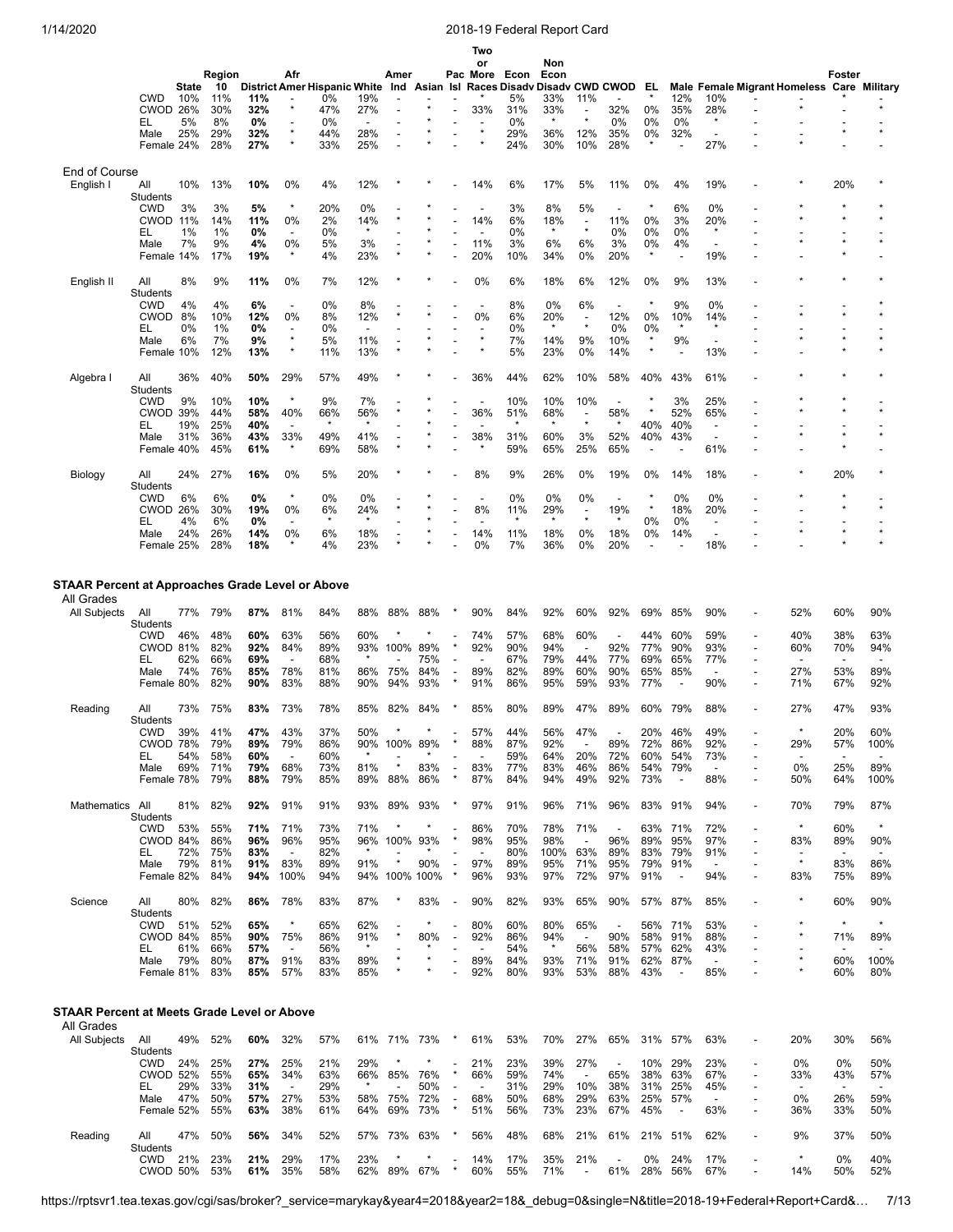|                                                                                       |                                                                |                          |                                 |                                 |                                                      |                                 |                                 |                           |                   |                                       | Two<br>or                      |                                 | Non                             |                                                      |                                                      |                                 |                                 |                                                      |                          |                                                    |                                                     |                                                      |
|---------------------------------------------------------------------------------------|----------------------------------------------------------------|--------------------------|---------------------------------|---------------------------------|------------------------------------------------------|---------------------------------|---------------------------------|---------------------------|-------------------|---------------------------------------|--------------------------------|---------------------------------|---------------------------------|------------------------------------------------------|------------------------------------------------------|---------------------------------|---------------------------------|------------------------------------------------------|--------------------------|----------------------------------------------------|-----------------------------------------------------|------------------------------------------------------|
|                                                                                       |                                                                |                          | Region                          |                                 | Afr                                                  |                                 |                                 | Amer                      |                   |                                       | Pac More                       | Econ                            | Econ                            |                                                      |                                                      |                                 |                                 |                                                      |                          |                                                    | Foster                                              |                                                      |
|                                                                                       |                                                                | State                    | 10                              |                                 |                                                      | District Amer Hispanic White    |                                 |                           | Ind Asian Isl     |                                       |                                | <b>Races Disadv</b>             |                                 |                                                      | Disady CWD CWOD                                      | EL                              |                                 |                                                      |                          | Male Female Migrant Homeless Care Military         |                                                     |                                                      |
|                                                                                       | CWD                                                            | 10%                      | 11%                             | 11%                             | $\overline{\phantom{a}}$<br>$\star$                  | 0%                              | 19%                             |                           |                   |                                       |                                | 5%                              | 33%                             | 11%                                                  |                                                      | $\star$                         | 12%                             | 10%                                                  |                          |                                                    |                                                     |                                                      |
|                                                                                       | CWOD 26%                                                       | 5%                       | 30%<br>8%                       | 32%<br>0%                       | $\overline{a}$                                       | 47%<br>0%                       | 27%<br>$\overline{\phantom{a}}$ | $\overline{\phantom{a}}$  |                   |                                       | 33%                            | 31%<br>0%                       | 33%<br>$\star$                  | $\overline{\phantom{a}}$<br>$\star$                  | 32%<br>0%                                            | 0%<br>0%                        | 35%<br>0%                       | 28%<br>$\star$                                       |                          |                                                    |                                                     |                                                      |
|                                                                                       | EL<br>Male                                                     | 25%                      | 29%                             | 32%                             | $\star$                                              | 44%                             | 28%                             |                           |                   |                                       |                                | 29%                             | 36%                             | 12%                                                  | 35%                                                  | 0%                              | 32%                             | $\overline{\phantom{a}}$                             |                          |                                                    |                                                     |                                                      |
|                                                                                       | Female 24%                                                     |                          | 28%                             | 27%                             | $\star$                                              | 33%                             | 25%                             |                           |                   |                                       |                                | 24%                             | 30%                             | 10%                                                  | 28%                                                  | $\star$                         |                                 | 27%                                                  |                          |                                                    |                                                     |                                                      |
|                                                                                       |                                                                |                          |                                 |                                 |                                                      |                                 |                                 |                           |                   |                                       |                                |                                 |                                 |                                                      |                                                      |                                 |                                 |                                                      |                          |                                                    |                                                     |                                                      |
| End of Course<br>English I                                                            | All                                                            | 10%                      | 13%                             | 10%                             | 0%                                                   | 4%                              | 12%                             |                           |                   |                                       | 14%                            | 6%                              | 17%                             | 5%                                                   | 11%                                                  | 0%                              | 4%                              | 19%                                                  |                          |                                                    | 20%                                                 |                                                      |
|                                                                                       | Students                                                       |                          |                                 |                                 |                                                      |                                 |                                 |                           |                   |                                       |                                |                                 |                                 |                                                      |                                                      |                                 |                                 |                                                      |                          |                                                    |                                                     |                                                      |
|                                                                                       | <b>CWD</b>                                                     | 3%                       | 3%                              | 5%                              | ×                                                    | 20%                             | 0%                              |                           |                   |                                       |                                | 3%                              | 8%                              | 5%                                                   | $\overline{\phantom{a}}$                             | $\star$                         | 6%                              | 0%                                                   |                          |                                                    |                                                     |                                                      |
|                                                                                       | <b>CWOD 11%</b><br>EL                                          | 1%                       | 14%<br>1%                       | 11%<br>0%                       | 0%                                                   | 2%<br>0%                        | 14%<br>$\star$                  |                           |                   |                                       | 14%                            | 6%<br>0%                        | 18%<br>$\star$                  | $\overline{\phantom{a}}$<br>$\star$                  | 11%<br>0%                                            | 0%<br>0%                        | 3%<br>0%                        | 20%<br>$\star$                                       |                          |                                                    |                                                     |                                                      |
|                                                                                       | Male                                                           | 7%                       | 9%                              | 4%                              | 0%                                                   | 5%                              | 3%                              |                           |                   |                                       | 11%                            | 3%                              | 6%                              | 6%                                                   | 3%                                                   | 0%                              | 4%                              | $\overline{\phantom{a}}$                             |                          |                                                    | $\star$                                             | $\star$                                              |
|                                                                                       | Female 14%                                                     |                          | 17%                             | 19%                             |                                                      | 4%                              | 23%                             |                           |                   |                                       | 20%                            | 10%                             | 34%                             | 0%                                                   | 20%                                                  | $\star$                         |                                 | 19%                                                  |                          |                                                    |                                                     |                                                      |
|                                                                                       |                                                                |                          |                                 |                                 |                                                      |                                 |                                 |                           |                   |                                       |                                |                                 |                                 |                                                      |                                                      |                                 |                                 |                                                      |                          |                                                    |                                                     |                                                      |
| English II                                                                            | All<br>Students                                                | 8%                       | 9%                              | 11%                             | 0%                                                   | 7%                              | 12%                             |                           |                   |                                       | 0%                             | 6%                              | 18%                             | 6%                                                   | 12%                                                  | 0%                              | 9%                              | 13%                                                  |                          |                                                    |                                                     |                                                      |
|                                                                                       | CWD                                                            | 4%                       | 4%                              | 6%                              | $\overline{\phantom{a}}$                             | 0%                              | 8%                              |                           |                   |                                       |                                | 8%                              | 0%                              | 6%                                                   |                                                      |                                 | 9%                              | 0%                                                   |                          |                                                    |                                                     |                                                      |
|                                                                                       | <b>CWOD</b>                                                    | 8%                       | 10%                             | 12%                             | 0%                                                   | 8%                              | 12%                             |                           |                   |                                       | 0%                             | 6%                              | 20%                             | $\overline{\phantom{a}}$<br>$\star$                  | 12%                                                  | 0%                              | 10%                             | 14%                                                  |                          |                                                    |                                                     |                                                      |
|                                                                                       | EL<br>Male                                                     | 0%<br>6%                 | 1%<br>7%                        | 0%<br>9%                        | ×                                                    | 0%<br>5%                        | $\overline{\phantom{a}}$<br>11% |                           |                   |                                       |                                | 0%<br>7%                        | $\star$<br>14%                  | 9%                                                   | $0\%$<br>10%                                         | 0%<br>$\star$                   | 9%                              | $\star$<br>$\overline{\phantom{a}}$                  |                          |                                                    |                                                     |                                                      |
|                                                                                       | Female 10%                                                     |                          | 12%                             | 13%                             | $\star$                                              | 11%                             | 13%                             |                           |                   |                                       |                                | 5%                              | 23%                             | 0%                                                   | 14%                                                  | $\star$                         |                                 | 13%                                                  |                          |                                                    |                                                     |                                                      |
|                                                                                       |                                                                |                          |                                 |                                 |                                                      |                                 |                                 |                           |                   |                                       |                                |                                 |                                 |                                                      |                                                      |                                 |                                 |                                                      |                          |                                                    |                                                     |                                                      |
| Algebra I                                                                             | All                                                            | 36%                      | 40%                             | 50%                             | 29%                                                  | 57%                             | 49%                             |                           |                   |                                       | 36%                            | 44%                             | 62%                             | 10%                                                  | 58%                                                  | 40%                             | 43%                             | 61%                                                  |                          |                                                    |                                                     |                                                      |
|                                                                                       | Students<br><b>CWD</b>                                         | 9%                       | 10%                             | 10%                             | $\star$                                              | 9%                              | 7%                              |                           |                   |                                       |                                | 10%                             | 10%                             | 10%                                                  | $\overline{\phantom{a}}$                             |                                 | 3%                              | 25%                                                  |                          |                                                    |                                                     |                                                      |
|                                                                                       | CWOD 39%                                                       |                          | 44%                             | 58%                             | 40%                                                  | 66%                             | 56%                             |                           |                   |                                       | 36%                            | 51%                             | 68%                             | ÷                                                    | 58%                                                  | $\star$                         | 52%                             | 65%                                                  |                          |                                                    |                                                     |                                                      |
|                                                                                       | EL                                                             | 19%                      | 25%                             | 40%                             | $\blacksquare$                                       | $\star$                         | $\star$                         |                           |                   |                                       |                                | $\star$                         | $\star$                         | $\star$                                              | $\star$                                              | 40%                             | 40%                             | $\overline{\phantom{a}}$                             |                          |                                                    |                                                     |                                                      |
|                                                                                       | Male<br>Female 40%                                             | 31%                      | 36%<br>45%                      | 43%<br>61%                      | 33%<br>*                                             | 49%<br>69%                      | 41%<br>58%                      |                           |                   |                                       | 38%<br>×                       | 31%<br>59%                      | 60%<br>65%                      | 3%<br>25%                                            | 52%<br>65%                                           | 40%<br>$\overline{\phantom{a}}$ | 43%                             | $\overline{\phantom{a}}$<br>61%                      |                          |                                                    |                                                     |                                                      |
|                                                                                       |                                                                |                          |                                 |                                 |                                                      |                                 |                                 |                           |                   |                                       |                                |                                 |                                 |                                                      |                                                      |                                 |                                 |                                                      |                          |                                                    |                                                     |                                                      |
| Biology                                                                               | All                                                            | 24%                      | 27%                             | 16%                             | 0%                                                   | 5%                              | 20%                             |                           |                   |                                       | 8%                             | 9%                              | 26%                             | 0%                                                   | 19%                                                  | 0%                              | 14%                             | 18%                                                  |                          |                                                    | 20%                                                 |                                                      |
|                                                                                       | Students                                                       |                          |                                 |                                 | ×                                                    |                                 |                                 |                           |                   |                                       |                                |                                 |                                 |                                                      |                                                      |                                 |                                 |                                                      |                          |                                                    |                                                     |                                                      |
|                                                                                       | <b>CWD</b><br><b>CWOD 26%</b>                                  | 6%                       | 6%<br>30%                       | 0%<br>19%                       | 0%                                                   | 0%<br>6%                        | 0%<br>24%                       |                           |                   |                                       | ٠<br>8%                        | 0%<br>11%                       | 0%<br>29%                       | 0%<br>$\overline{a}$                                 | $\overline{\phantom{a}}$<br>19%                      | $\star$                         | 0%<br>18%                       | 0%<br>20%                                            |                          |                                                    | $\star$                                             | $\star$                                              |
|                                                                                       | EL                                                             | 4%                       | 6%                              | 0%                              |                                                      | $\star$                         | $\star$                         |                           |                   |                                       |                                |                                 | $\star$                         | $\star$                                              |                                                      | 0%                              | 0%                              | $\overline{\phantom{a}}$                             |                          |                                                    |                                                     |                                                      |
|                                                                                       | Male                                                           | 24%                      | 26%                             | 14%                             | 0%                                                   | 6%                              | 18%                             |                           |                   |                                       | 14%                            | 11%                             | 18%                             | 0%                                                   | 18%                                                  | 0%                              | 14%                             | $\overline{\phantom{a}}$                             |                          |                                                    | $\star$                                             | $\star$                                              |
|                                                                                       | Female 25%                                                     |                          | 28%                             | 18%                             |                                                      | 4%                              | 23%                             |                           |                   |                                       | 0%                             | 7%                              | 36%                             | 0%                                                   | 20%                                                  | $\overline{\phantom{a}}$        |                                 | 18%                                                  |                          |                                                    |                                                     |                                                      |
| <b>STAAR Percent at Approaches Grade Level or Above</b><br>All Grades<br>All Subjects | All<br>Students                                                | 77%                      | 79%                             | 87%                             | 81%                                                  | 84%                             | 88%                             | 88%                       | 88%               |                                       | 90%                            | 84%                             | 92%                             | 60%                                                  | 92%                                                  | 69%                             | 85%                             | 90%                                                  |                          | 52%                                                | 60%                                                 | 90%                                                  |
|                                                                                       | <b>CWD</b><br><b>CWOD 81%</b>                                  | 46%                      | 48%<br>82%                      | 60%<br>92%                      | 63%<br>84%                                           | 56%<br>89%                      | 60%<br>93%                      | ×<br>100%                 | 89%               |                                       | 74%<br>92%                     | 57%<br>90%                      | 68%<br>94%                      | 60%<br>$\overline{\phantom{a}}$                      | 92%                                                  | 44%<br>77%                      | 60%<br>90%                      | 59%<br>93%                                           | $\overline{\phantom{a}}$ | 40%<br>60%                                         | 38%<br>70%                                          | 63%<br>94%                                           |
|                                                                                       | EL                                                             | 62%                      | 66%                             | 69%                             | $\blacksquare$                                       | 68%                             | $\star$                         |                           | 75%               | $\overline{\phantom{a}}$              | $\overline{a}$                 | 67%                             | 79%                             | 44%                                                  | 77%                                                  | 69%                             | 65%                             | 77%                                                  |                          | $\overline{a}$                                     |                                                     |                                                      |
|                                                                                       | Male                                                           | 74%                      | 76%                             | 85%                             | 78%                                                  | 81%                             | 86%                             | 75%                       | 84%               | $\overline{a}$                        | 89%                            | 82%                             | 89%                             | 60%                                                  | 90%                                                  | 65%                             | 85%                             | $\overline{\phantom{a}}$                             |                          | 27%                                                | 53%                                                 | 89%                                                  |
|                                                                                       | Female 80%                                                     |                          | 82%                             | 90%                             | 83%                                                  | 88%                             | 90%                             | 94%                       | 93%               |                                       | 91%                            | 86%                             | 95%                             | 59%                                                  | 93%                                                  | 77%                             |                                 | 90%                                                  |                          | 71%                                                | 67%                                                 | 92%                                                  |
| Reading                                                                               | All                                                            | 73%                      | 75%                             | 83%                             | 73%                                                  | 78%                             | 85%                             | 82%                       | 84%               |                                       | 85%                            | 80%                             | 89%                             | 47%                                                  | 89%                                                  | 60%                             | 79%                             | 88%                                                  |                          | 27%                                                | 47%                                                 | 93%                                                  |
|                                                                                       | Students                                                       |                          |                                 |                                 |                                                      |                                 |                                 |                           |                   |                                       |                                |                                 |                                 |                                                      |                                                      |                                 |                                 |                                                      |                          |                                                    |                                                     |                                                      |
|                                                                                       | <b>CWD</b><br>CWOD 78%                                         | 39%                      | 41%<br>79%                      | 47%<br>89%                      | 43%<br>79%                                           | 37%<br>86%                      | 50%<br>90%                      | 100%                      | 89%               |                                       | 57%<br>88%                     | 44%<br>87%                      | 56%<br>92%                      | 47%                                                  | 89%                                                  | 20%<br>72%                      | 46%<br>86%                      | 49%<br>92%                                           |                          | 29%                                                | 20%<br>57%                                          | 60%<br>100%                                          |
|                                                                                       | EL                                                             | 54%                      | 58%                             | 60%                             | $\overline{\phantom{a}}$                             | 60%                             | $\star$                         |                           | *                 |                                       | $\overline{a}$                 | 59%                             | 64%                             | 20%                                                  | 72%                                                  | 60%                             | 54%                             | 73%                                                  |                          | $\overline{\phantom{0}}$                           | $\overline{a}$                                      |                                                      |
|                                                                                       | Male                                                           | 69%                      | 71%                             | 79%                             | 68%                                                  | 73%                             | 81%                             | $\star$                   | 83%               |                                       | 83%                            | 77%                             | 83%                             | 46%                                                  | 86%                                                  | 54%                             | 79%                             |                                                      |                          | 0%                                                 | 25%                                                 | 89%                                                  |
|                                                                                       | Female 78%                                                     |                          | 79%                             | 88%                             | 79%                                                  | 85%                             | 89%                             | 88%                       | 86%               |                                       | 87%                            | 84%                             | 94%                             | 49%                                                  | 92%                                                  | 73%                             | $\overline{\phantom{a}}$        | 88%                                                  |                          | 50%                                                | 64%                                                 | 100%                                                 |
| Mathematics All                                                                       |                                                                | 81%                      | 82%                             | 92%                             | 91%                                                  | 91%                             | 93%                             | 89%                       | 93%               |                                       | 97%                            | 91%                             | 96%                             | 71%                                                  | 96%                                                  | 83%                             | 91%                             | 94%                                                  |                          | 70%                                                | 79%                                                 | 87%                                                  |
|                                                                                       | Students                                                       |                          |                                 |                                 |                                                      |                                 |                                 |                           |                   |                                       |                                |                                 |                                 |                                                      |                                                      |                                 |                                 |                                                      |                          |                                                    |                                                     |                                                      |
|                                                                                       | <b>CWD</b><br>CWOD 84%                                         | 53%                      | 55%<br>86%                      | 71%<br>96%                      | 71%<br>96%                                           | 73%<br>95%                      | 71%                             | 96% 100%                  | $\ast$<br>93%     |                                       | 86%<br>98%                     | 70%<br>95%                      | 78%<br>98%                      | 71%<br>$\overline{a}$                                | 96%                                                  | 63%<br>89%                      | 71%<br>95%                      | 72%<br>97%                                           |                          | $\star$<br>83%                                     | 60%<br>89%                                          | $\star$<br>90%                                       |
|                                                                                       | EL                                                             | 72%                      | 75%                             | 83%                             | $\overline{\phantom{a}}$                             | 82%                             | $\star$                         |                           |                   |                                       |                                | 80%                             | 100%                            | 63%                                                  | 89%                                                  | 83%                             | 79%                             | 91%                                                  | $\overline{\phantom{a}}$ |                                                    | $\overline{\phantom{a}}$                            |                                                      |
|                                                                                       | Male                                                           | 79%                      | 81%                             | 91%                             | 83%                                                  | 89%                             | 91%                             |                           | 90%               |                                       | 97%                            | 89%                             | 95%                             | 71%                                                  | 95%                                                  | 79%                             | 91%                             | $\sim$                                               |                          | $\star$                                            | 83%                                                 | 86%                                                  |
|                                                                                       | Female 82%                                                     |                          | 84%                             | 94%                             | 100%                                                 | 94%                             |                                 | 94% 100%                  | 100%              | ×                                     | 96%                            | 93%                             | 97%                             | 72%                                                  | 97%                                                  | 91%                             | $\overline{\phantom{a}}$        | 94%                                                  |                          | 83%                                                | 75%                                                 | 89%                                                  |
| Science                                                                               | All                                                            | 80%                      | 82%                             | 86%                             | 78%                                                  | 83%                             | 87%                             |                           | 83%               |                                       | 90%                            | 82%                             | 93%                             | 65%                                                  | 90%                                                  | 57%                             | 87%                             | 85%                                                  |                          |                                                    | 60%                                                 | 90%                                                  |
|                                                                                       | Students                                                       |                          |                                 |                                 |                                                      |                                 |                                 |                           |                   |                                       |                                |                                 |                                 |                                                      |                                                      |                                 |                                 |                                                      |                          |                                                    |                                                     |                                                      |
|                                                                                       | <b>CWD</b>                                                     | 51%                      | 52%                             | 65%                             | $\star$                                              | 65%                             | 62%                             |                           | $\star$           | $\overline{\phantom{a}}$              | 80%                            | 60%                             | 80%                             | 65%                                                  | $\overline{\phantom{a}}$                             | 56%                             | 71%                             | 53%                                                  |                          |                                                    | $\star$                                             | $\star$                                              |
|                                                                                       | CWOD 84%<br>EL                                                 | 61%                      | 85%<br>66%                      | 90%<br>57%                      | 75%<br>$\blacksquare$                                | 86%<br>56%                      | 91%<br>$\star$                  |                           | 80%               | $\overline{a}$                        | 92%                            | 86%<br>54%                      | 94%<br>$\star$                  | $\overline{\phantom{a}}$<br>56%                      | 90%<br>58%                                           | 58%<br>57%                      | 91%<br>62%                      | 88%<br>43%                                           | $\overline{a}$           |                                                    | 71%                                                 | 89%                                                  |
|                                                                                       | Male                                                           | 79%                      | 80%                             | 87%                             | 91%                                                  | 83%                             | 89%                             |                           |                   |                                       | 89%                            | 84%                             | 93%                             | 71%                                                  | 91%                                                  | 62%                             | 87%                             | $\overline{\phantom{a}}$                             |                          |                                                    | 60%                                                 | 100%                                                 |
|                                                                                       | Female 81%                                                     |                          | 83%                             | 85%                             | 57%                                                  | 83%                             | 85%                             |                           |                   |                                       | 92%                            | 80%                             | 93%                             | 53%                                                  | 88%                                                  | 43%                             | $\overline{\phantom{a}}$        | 85%                                                  |                          |                                                    | 60%                                                 | 80%                                                  |
| STAAR Percent at Meets Grade Level or Above<br>All Grades<br>All Subjects             | All<br>Students<br><b>CWD</b><br><b>CWOD 52%</b><br>EL<br>Male | 49%<br>24%<br>29%<br>47% | 52%<br>25%<br>55%<br>33%<br>50% | 60%<br>27%<br>65%<br>31%<br>57% | 32%<br>25%<br>34%<br>$\overline{\phantom{a}}$<br>27% | 57%<br>21%<br>63%<br>29%<br>53% | 29%<br>66%<br>58%               | 61% 71% 73%<br>85%<br>75% | 76%<br>50%<br>72% | ×<br>$\overline{a}$<br>$\overline{a}$ | 61%<br>21%<br>66%<br>÷,<br>68% | 53%<br>23%<br>59%<br>31%<br>50% | 70%<br>39%<br>74%<br>29%<br>68% | 27%<br>27%<br>$\overline{\phantom{a}}$<br>10%<br>29% | 65%<br>$\overline{\phantom{a}}$<br>65%<br>38%<br>63% | 31%<br>10%<br>38%<br>31%<br>25% | 57%<br>29%<br>63%<br>25%<br>57% | 63%<br>23%<br>67%<br>45%<br>$\overline{\phantom{a}}$ |                          | 20%<br>0%<br>33%<br>$\overline{\phantom{a}}$<br>0% | 30%<br>0%<br>43%<br>$\overline{\phantom{a}}$<br>26% | 56%<br>50%<br>57%<br>$\overline{\phantom{a}}$<br>59% |
|                                                                                       | Female 52%                                                     |                          | 55%                             | 63%                             | 38%                                                  | 61%                             | 64%                             | 69%                       | 73%               | ×                                     | 51%                            | 56%                             | 73%                             | 23%                                                  | 67%                                                  | 45%                             | $\overline{\phantom{a}}$        | 63%                                                  |                          | 36%                                                | 33%                                                 | 50%                                                  |
| Reading                                                                               | All<br>Students                                                | 47%                      | 50%                             | 56%                             | 34%                                                  | 52%                             | 57%                             | 73%                       | 63%               |                                       | 56%                            | 48%                             | 68%                             | 21%                                                  | 61%                                                  | 21%                             | 51%                             | 62%                                                  |                          | 9%                                                 | 37%                                                 | 50%                                                  |
|                                                                                       | <b>CWD</b><br><b>CWOD 50%</b>                                  | 21%                      | 23%<br>53%                      | 21%<br>61%                      | 29%<br>35%                                           | 17%<br>58%                      | 23%                             | 62% 89% 67%               |                   | $\star$                               | 14%<br>60%                     | 17%<br>55%                      | 35%<br>71%                      | 21%<br>$\overline{\phantom{a}}$                      | 61%                                                  | 0%                              | 24%<br>28% 56%                  | 17%<br>67%                                           | $\blacksquare$           | $\star$<br>14%                                     | 0%<br>50%                                           | 40%<br>52%                                           |
|                                                                                       |                                                                |                          |                                 |                                 |                                                      |                                 |                                 |                           |                   |                                       |                                |                                 |                                 |                                                      |                                                      |                                 |                                 |                                                      |                          |                                                    |                                                     |                                                      |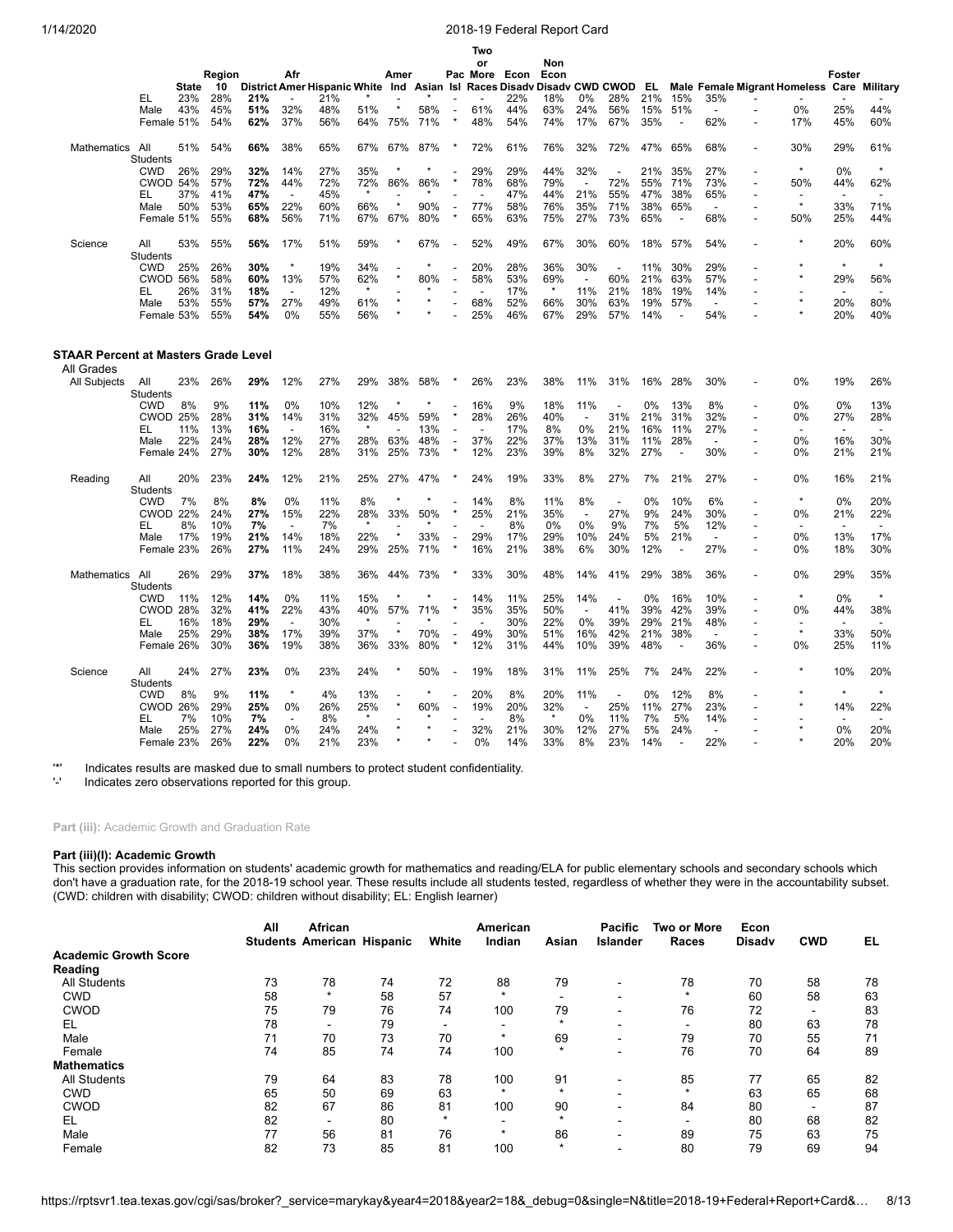|                                                    |                        |              |        |     |                          |                                                         |         |                |         |                          | Two      |      |         |                          |                          |       |                          |                          |                                     |                          |                          |
|----------------------------------------------------|------------------------|--------------|--------|-----|--------------------------|---------------------------------------------------------|---------|----------------|---------|--------------------------|----------|------|---------|--------------------------|--------------------------|-------|--------------------------|--------------------------|-------------------------------------|--------------------------|--------------------------|
|                                                    |                        |              |        |     |                          |                                                         |         |                |         |                          | or       |      | Non     |                          |                          |       |                          |                          |                                     |                          |                          |
|                                                    |                        |              | Region |     | Afr                      |                                                         |         | Amer           |         |                          | Pac More | Econ | Econ    |                          |                          |       |                          |                          |                                     | Foster                   |                          |
|                                                    |                        | <b>State</b> | 10     |     |                          | District Amer Hispanic White Ind Asian Isl Races Disadv |         |                |         |                          |          |      |         |                          | Disady CWD CWOD          | EL.   |                          |                          | <b>Male Female Migrant Homeless</b> |                          | Care Military            |
|                                                    | EL                     | 23%          | 28%    | 21% |                          | 21%                                                     |         |                |         |                          |          | 22%  | 18%     | 0%                       | 28%                      | 21%   | 15%                      | 35%                      |                                     |                          |                          |
|                                                    | Male                   | 43%          | 45%    | 51% | 32%                      | 48%                                                     | 51%     |                | 58%     |                          | 61%      | 44%  | 63%     | 24%                      | 56%                      | 15%   | 51%                      |                          | 0%                                  | 25%                      | 44%                      |
|                                                    | Female 51%             |              | 54%    | 62% | 37%                      | 56%                                                     | 64%     | 75%            | 71%     |                          | 48%      | 54%  | 74%     | 17%                      | 67%                      | 35%   | $\overline{\phantom{a}}$ | 62%                      | 17%                                 | 45%                      | 60%                      |
| Mathematics                                        | All                    | 51%          | 54%    | 66% | 38%                      | 65%                                                     | 67%     | 67%            | 87%     |                          | 72%      | 61%  | 76%     | 32%                      | 72%                      | 47%   | 65%                      | 68%                      | 30%                                 | 29%                      | 61%                      |
|                                                    | <b>Students</b>        |              |        |     |                          |                                                         |         |                |         |                          |          |      |         |                          |                          |       |                          |                          |                                     |                          | $\star$                  |
|                                                    | <b>CWD</b>             | 26%          | 29%    | 32% | 14%                      | 27%                                                     | 35%     |                |         |                          | 29%      | 29%  | 44%     | 32%                      |                          | 21%   | 35%                      | 27%                      |                                     | 0%                       |                          |
|                                                    | <b>CWOD 54%</b>        |              | 57%    | 72% | 44%                      | 72%                                                     | 72%     | 86%            | 86%     |                          | 78%      | 68%  | 79%     | $\overline{a}$           | 72%                      | 55%   | 71%                      | 73%                      | 50%                                 | 44%                      | 62%                      |
|                                                    | EL                     | 37%          | 41%    | 47% | $\overline{a}$           | 45%                                                     | $\star$ |                |         |                          |          | 47%  | 44%     | 21%                      | 55%                      | 47%   | 38%                      | 65%                      |                                     |                          |                          |
|                                                    | Male                   | 50%          | 53%    | 65% | 22%                      | 60%                                                     | 66%     | $\star$        | 90%     | ÷                        | 77%      | 58%  | 76%     | 35%                      | 71%                      | 38%   | 65%                      | $\overline{a}$           | $\star$                             | 33%                      | 71%                      |
|                                                    | Female 51%             |              | 55%    | 68% | 56%                      | 71%                                                     | 67%     | 67%            | 80%     |                          | 65%      | 63%  | 75%     | 27%                      | 73%                      | 65%   | $\sim$                   | 68%                      | 50%                                 | 25%                      | 44%                      |
| Science                                            | All<br><b>Students</b> | 53%          | 55%    | 56% | 17%                      | 51%                                                     | 59%     |                | 67%     | $\overline{a}$           | 52%      | 49%  | 67%     | 30%                      | 60%                      | 18%   | 57%                      | 54%                      |                                     | 20%                      | 60%                      |
|                                                    | <b>CWD</b>             | 25%          | 26%    | 30% | $\star$                  | 19%                                                     | 34%     |                |         |                          | 20%      | 28%  | 36%     | 30%                      |                          | 11%   | 30%                      | 29%                      |                                     | $\star$                  | $\star$                  |
|                                                    | <b>CWOD 56%</b>        |              | 58%    | 60% | 13%                      | 57%                                                     | 62%     | $\star$        | 80%     | $\overline{a}$           | 58%      | 53%  | 69%     | $\overline{\phantom{a}}$ | 60%                      | 21%   | 63%                      | 57%                      |                                     | 29%                      | 56%                      |
|                                                    | EL                     | 26%          | 31%    | 18% | $\overline{\phantom{a}}$ | 12%                                                     |         |                |         |                          |          | 17%  | $\ast$  | 11%                      | 21%                      | 18%   | 19%                      | 14%                      |                                     | $\overline{\phantom{a}}$ | $\overline{\phantom{a}}$ |
|                                                    |                        | 53%          | 55%    | 57% | 27%                      | 49%                                                     | 61%     | $\star$        | $\star$ |                          | 68%      | 52%  | 66%     | 30%                      | 63%                      | 19%   | 57%                      | $\overline{a}$           |                                     | 20%                      | 80%                      |
|                                                    | Male                   |              |        |     | 0%                       |                                                         |         |                |         |                          | 25%      |      |         |                          |                          |       |                          | 54%                      |                                     |                          |                          |
|                                                    | Female 53%             |              | 55%    | 54% |                          | 55%                                                     | 56%     |                |         |                          |          | 46%  | 67%     | 29%                      | 57%                      | 14%   |                          |                          |                                     | 20%                      | 40%                      |
| STAAR Percent at Masters Grade Level<br>All Grades |                        |              |        |     |                          |                                                         |         |                |         |                          |          |      |         |                          |                          |       |                          |                          |                                     |                          |                          |
| <b>All Subjects</b>                                | All<br>Students        | 23%          | 26%    | 29% | 12%                      | 27%                                                     | 29%     | 38%            | 58%     |                          | 26%      | 23%  | 38%     | 11%                      | 31%                      | 16%   | 28%                      | 30%                      | 0%                                  | 19%                      | 26%                      |
|                                                    | <b>CWD</b>             | 8%           | 9%     | 11% | 0%                       | 10%                                                     | 12%     |                |         |                          | 16%      | 9%   | 18%     | 11%                      |                          | 0%    | 13%                      | 8%                       | 0%                                  | 0%                       | 13%                      |
|                                                    | <b>CWOD 25%</b>        |              | 28%    | 31% | 14%                      | 31%                                                     | 32%     | 45%            | 59%     |                          | 28%      | 26%  | 40%     | $\overline{a}$           | 31%                      | 21%   | 31%                      | 32%                      | 0%                                  | 27%                      | 28%                      |
|                                                    |                        | 11%          |        | 16% | $\overline{\phantom{a}}$ |                                                         |         | $\overline{a}$ | 13%     | $\overline{a}$           |          | 17%  | 8%      | 0%                       | 21%                      |       | 11%                      |                          |                                     |                          |                          |
|                                                    | EL                     |              | 13%    |     |                          | 16%                                                     |         |                |         |                          |          |      |         |                          |                          | 16%   |                          | 27%                      |                                     |                          |                          |
|                                                    | Male                   | 22%          | 24%    | 28% | 12%                      | 27%                                                     | 28%     | 63%            | 48%     | $\overline{a}$           | 37%      | 22%  | 37%     | 13%                      | 31%                      | 11%   | 28%                      | $\overline{\phantom{a}}$ | 0%                                  | 16%                      | 30%                      |
|                                                    | Female 24%             |              | 27%    | 30% | 12%                      | 28%                                                     | 31%     | 25%            | 73%     |                          | 12%      | 23%  | 39%     | 8%                       | 32%                      | 27%   | $\overline{a}$           | 30%                      | 0%                                  | 21%                      | 21%                      |
| Reading                                            | All<br><b>Students</b> | 20%          | 23%    | 24% | 12%                      | 21%                                                     | 25%     | 27%            | 47%     |                          | 24%      | 19%  | 33%     | 8%                       | 27%                      | 7%    | 21%                      | 27%                      | 0%                                  | 16%                      | 21%                      |
|                                                    | <b>CWD</b>             | 7%           | 8%     | 8%  | 0%                       | 11%                                                     | 8%      |                |         |                          | 14%      | 8%   | 11%     | 8%                       | $\overline{a}$           | 0%    | 10%                      | 6%                       |                                     | 0%                       | 20%                      |
|                                                    | <b>CWOD 22%</b>        |              | 24%    | 27% | 15%                      | 22%                                                     | 28%     | 33%            | 50%     |                          | 25%      | 21%  | 35%     | $\overline{\phantom{a}}$ | 27%                      | 9%    | 24%                      | 30%                      | 0%                                  | 21%                      | 22%                      |
|                                                    | EL                     | 8%           | 10%    | 7%  |                          | 7%                                                      |         |                |         |                          |          | 8%   | 0%      | 0%                       | 9%                       | 7%    | 5%                       | 12%                      |                                     |                          |                          |
|                                                    | Male                   | 17%          | 19%    | 21% | 14%                      | 18%                                                     | 22%     |                | 33%     |                          | 29%      | 17%  | 29%     | 10%                      | 24%                      | 5%    | 21%                      | $\overline{\phantom{a}}$ | 0%                                  | 13%                      | 17%                      |
|                                                    | Female 23%             |              | 26%    | 27% | 11%                      | 24%                                                     | 29%     | 25%            | 71%     |                          | 16%      | 21%  | 38%     | 6%                       | 30%                      | 12%   |                          | 27%                      | 0%                                  | 18%                      | 30%                      |
| Mathematics                                        | All<br><b>Students</b> | 26%          | 29%    | 37% | 18%                      | 38%                                                     | 36%     | 44%            | 73%     |                          | 33%      | 30%  | 48%     | 14%                      | 41%                      | 29%   | 38%                      | 36%                      | 0%                                  | 29%                      | 35%                      |
|                                                    | <b>CWD</b>             | 11%          | 12%    | 14% | 0%                       | 11%                                                     | 15%     |                |         |                          | 14%      | 11%  | 25%     | 14%                      | $\overline{\phantom{a}}$ | $0\%$ | 16%                      | 10%                      |                                     | 0%                       | $\star$                  |
|                                                    | <b>CWOD 28%</b>        |              | 32%    | 41% | 22%                      | 43%                                                     | 40%     | 57%            | 71%     |                          | 35%      | 35%  | 50%     | $\overline{a}$           | 41%                      | 39%   | 42%                      | 39%                      | 0%                                  | 44%                      | 38%                      |
|                                                    | EL                     | 16%          | 18%    | 29% | ÷,                       | 30%                                                     | $\star$ |                |         |                          |          | 30%  | 22%     | 0%                       | 39%                      | 29%   | 21%                      | 48%                      |                                     | $\overline{\phantom{a}}$ | $\overline{\phantom{a}}$ |
|                                                    | Male                   | 25%          | 29%    | 38% | 17%                      | 39%                                                     | 37%     | $\star$        | 70%     |                          | 49%      | 30%  | 51%     | 16%                      | 42%                      | 21%   | 38%                      | $\sim$                   | $\star$                             | 33%                      | 50%                      |
|                                                    | Female 26%             |              | 30%    | 36% | 19%                      | 38%                                                     | 36%     | 33%            | 80%     |                          | 12%      | 31%  | 44%     | 10%                      | 39%                      | 48%   | $\sim$                   | 36%                      | 0%                                  | 25%                      | 11%                      |
|                                                    |                        |              |        |     |                          |                                                         |         |                |         |                          |          |      |         |                          |                          |       |                          |                          |                                     |                          |                          |
| Science                                            | All<br>Students        | 24%          | 27%    | 23% | 0%                       | 23%                                                     | 24%     |                | 50%     | $\overline{\phantom{a}}$ | 19%      | 18%  | 31%     | 11%                      | 25%                      | 7%    | 24%                      | 22%                      |                                     | 10%                      | 20%                      |
|                                                    | <b>CWD</b>             | 8%           | 9%     | 11% | $\star$                  | 4%                                                      | 13%     |                |         |                          | 20%      | 8%   | 20%     | 11%                      |                          | 0%    | 12%                      | 8%                       |                                     | $\star$                  | $\star$                  |
|                                                    | <b>CWOD 26%</b>        |              | 29%    | 25% | 0%                       | 26%                                                     | 25%     |                | 60%     |                          | 19%      | 20%  | 32%     | $\overline{\phantom{a}}$ | 25%                      | 11%   | 27%                      | 23%                      |                                     | 14%                      | 22%                      |
|                                                    | EL                     | 7%           | 10%    | 7%  |                          | 8%                                                      |         |                |         |                          |          | 8%   | $\star$ | 0%                       | 11%                      | 7%    | 5%                       | 14%                      |                                     |                          |                          |
|                                                    | Male                   | 25%          | 27%    | 24% | 0%                       | 24%                                                     | 24%     |                |         |                          | 32%      | 21%  | 30%     | 12%                      | 27%                      | 5%    | 24%                      | $\overline{\phantom{a}}$ |                                     | 0%                       | 20%                      |
|                                                    | Female 23%             |              | 26%    | 22% | 0%                       | 21%                                                     | 23%     |                | $\star$ |                          | 0%       | 14%  | 33%     | 8%                       | 23%                      | 14%   |                          | 22%                      |                                     | 20%                      | 20%                      |
|                                                    |                        |              |        |     |                          |                                                         |         |                |         |                          |          |      |         |                          |                          |       |                          |                          |                                     |                          |                          |

'\*' Indicates results are masked due to small numbers to protect student confidentiality.

Indicates zero observations reported for this group.

Part (iii): Academic Growth and Graduation Rate

# **Part (iii)(I): Academic Growth**

This section provides information on students' academic growth for mathematics and reading/ELA for public elementary schools and secondary schools which don't have a graduation rate, for the 2018-19 school year. These results include all students tested, regardless of whether they were in the accountability subset. (CWD: children with disability; CWOD: children without disability; EL: English learner)

|                              | All | African<br><b>Students American Hispanic</b> |    | White   | American<br>Indian       | Asian   | <b>Pacific</b><br>Islander | <b>Two or More</b><br>Races | Econ<br><b>Disadv</b> | <b>CWD</b>               | EL |
|------------------------------|-----|----------------------------------------------|----|---------|--------------------------|---------|----------------------------|-----------------------------|-----------------------|--------------------------|----|
| <b>Academic Growth Score</b> |     |                                              |    |         |                          |         |                            |                             |                       |                          |    |
| Reading                      |     |                                              |    |         |                          |         |                            |                             |                       |                          |    |
| <b>All Students</b>          | 73  | 78                                           | 74 | 72      | 88                       | 79      | -                          | 78                          | 70                    | 58                       | 78 |
| <b>CWD</b>                   | 58  | $\star$                                      | 58 | 57      | $\star$                  |         |                            | $\star$                     | 60                    | 58                       | 63 |
| <b>CWOD</b>                  | 75  | 79                                           | 76 | 74      | 100                      | 79      |                            | 76                          | 72                    | $\overline{\phantom{a}}$ | 83 |
| EL                           | 78  | $\sim$                                       | 79 |         | $\overline{\phantom{0}}$ |         |                            |                             | 80                    | 63                       | 78 |
| Male                         | 71  | 70                                           | 73 | 70      | $\star$                  | 69      |                            | 79                          | 70                    | 55                       | 71 |
| Female                       | 74  | 85                                           | 74 | 74      | 100                      | $\star$ | -                          | 76                          | 70                    | 64                       | 89 |
| <b>Mathematics</b>           |     |                                              |    |         |                          |         |                            |                             |                       |                          |    |
| All Students                 | 79  | 64                                           | 83 | 78      | 100                      | 91      |                            | 85                          | 77                    | 65                       | 82 |
| <b>CWD</b>                   | 65  | 50                                           | 69 | 63      | $\star$                  | $\star$ | -                          | $\star$                     | 63                    | 65                       | 68 |
| <b>CWOD</b>                  | 82  | 67                                           | 86 | 81      | 100                      | 90      |                            | 84                          | 80                    | $\overline{\phantom{0}}$ | 87 |
| EL                           | 82  | $\overline{\phantom{0}}$                     | 80 | $\star$ | $\overline{\phantom{a}}$ |         |                            |                             | 80                    | 68                       | 82 |
| Male                         | 77  | 56                                           | 81 | 76      | $\star$                  | 86      |                            | 89                          | 75                    | 63                       | 75 |
| Female                       | 82  | 73                                           | 85 | 81      | 100                      | $\star$ |                            | 80                          | 79                    | 69                       | 94 |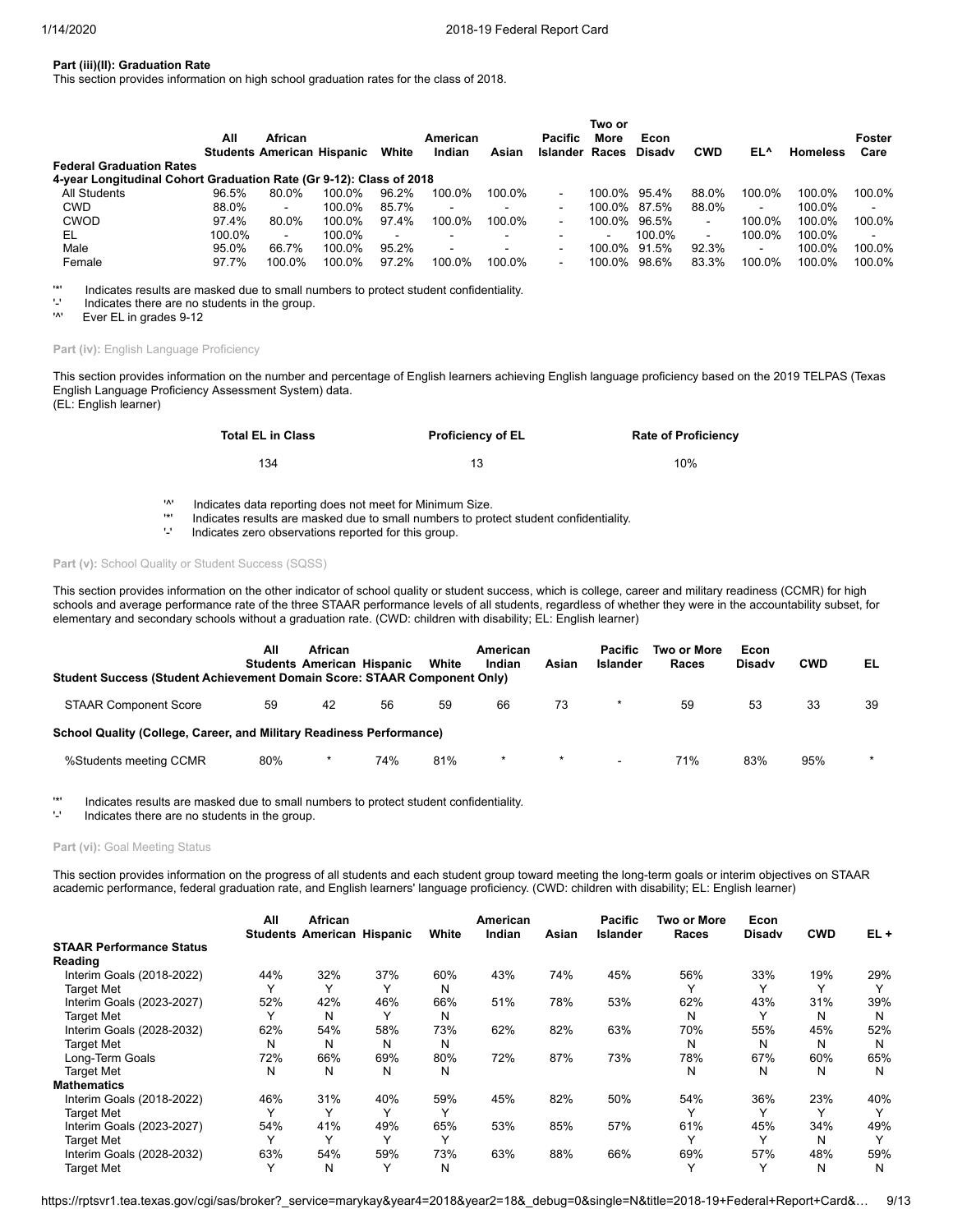## **Part (iii)(II): Graduation Rate**

This section provides information on high school graduation rates for the class of 2018.

|                                                                     |        |                                   |        |                |          |                          |                       | Two or         |               |                |                |                 |                |
|---------------------------------------------------------------------|--------|-----------------------------------|--------|----------------|----------|--------------------------|-----------------------|----------------|---------------|----------------|----------------|-----------------|----------------|
|                                                                     | All    | African                           |        |                | American |                          | Pacific               | More           | Econ          |                |                |                 | Foster         |
|                                                                     |        | <b>Students American Hispanic</b> |        | White          | Indian   | Asian                    | <b>Islander Races</b> |                | <b>Disady</b> | <b>CWD</b>     | EL^            | <b>Homeless</b> | Care           |
| <b>Federal Graduation Rates</b>                                     |        |                                   |        |                |          |                          |                       |                |               |                |                |                 |                |
| 4-year Longitudinal Cohort Graduation Rate (Gr 9-12): Class of 2018 |        |                                   |        |                |          |                          |                       |                |               |                |                |                 |                |
| All Students                                                        | 96.5%  | 80.0%                             | 100.0% | 96.2%          | 100.0%   | 100.0%                   |                       | 100.0%         | 95.4%         | 88.0%          | 100.0%         | 100.0%          | 100.0%         |
| <b>CWD</b>                                                          | 88.0%  | $\sim$                            | 100.0% | 85.7%          | $\sim$   | $\blacksquare$           | $\blacksquare$        | 100.0%         | 87.5%         | 88.0%          | $\blacksquare$ | 100.0%          | $\blacksquare$ |
| CWOD                                                                | 97.4%  | 80.0%                             | 100.0% | 97.4%          | 100.0%   | 100.0%                   | $\blacksquare$        | 100.0%         | 96.5%         | $\sim$         | 100.0%         | 100.0%          | 100.0%         |
| EL                                                                  | 100.0% | $\sim$                            | 100.0% | $\blacksquare$ | $\sim$   | $\blacksquare$           | -                     | $\blacksquare$ | 100.0%        | $\blacksquare$ | 100.0%         | 100.0%          | $\blacksquare$ |
| Male                                                                | 95.0%  | 66.7%                             | 100.0% | 95.2%          | $\sim$   | $\overline{\phantom{0}}$ | -                     | 100.0%         | 91.5%         | 92.3%          | $\blacksquare$ | 100.0%          | 100.0%         |
| Female                                                              | 97.7%  | 100.0%                            | 100.0% | 97.2%          | 100.0%   | 100.0%                   | -                     | 100.0%         | 98.6%         | 83.3%          | 100.0%         | 100.0%          | 100.0%         |

'\*' Indicates results are masked due to small numbers to protect student confidentiality.

 $'$ -' Indicates there are no students in the group.<br>'<sup>A'</sup> Fver FI in grades 9-12

Ever EL in grades 9-12

# Part (iv): English Language Proficiency

This section provides information on the number and percentage of English learners achieving English language proficiency based on the 2019 TELPAS (Texas English Language Proficiency Assessment System) data. (EL: English learner)

| <b>Total EL in Class</b> | <b>Proficiency of EL</b> | <b>Rate of Proficiency</b> |
|--------------------------|--------------------------|----------------------------|
| 134                      |                          | 10%                        |

'^' Indicates data reporting does not meet for Minimum Size.

'\*' Indicates results are masked due to small numbers to protect student confidentiality.

Indicates zero observations reported for this group.

# Part (v): School Quality or Student Success (SQSS)

This section provides information on the other indicator of school quality or student success, which is college, career and military readiness (CCMR) for high schools and average performance rate of the three STAAR performance levels of all students, regardless of whether they were in the accountability subset, for elementary and secondary schools without a graduation rate. (CWD: children with disability; EL: English learner)

| Student Success (Student Achievement Domain Score: STAAR Component Only) | All | <b>African</b> | <b>Students American Hispanic</b> | White | American<br>Indian | Asian | <b>Pacific</b><br>Islander | Two or More<br>Races | Econ<br><b>Disady</b> | <b>CWD</b> | EL      |
|--------------------------------------------------------------------------|-----|----------------|-----------------------------------|-------|--------------------|-------|----------------------------|----------------------|-----------------------|------------|---------|
| <b>STAAR Component Score</b>                                             | 59  | 42             | 56                                | 59    | 66                 | 73    |                            | 59                   | 53                    | 33         | 39      |
| School Quality (College, Career, and Military Readiness Performance)     |     |                |                                   |       |                    |       |                            |                      |                       |            |         |
| %Students meeting CCMR                                                   | 80% | *              | 74%                               | 81%   | *                  |       | -                          | 71%                  | 83%                   | 95%        | $\star$ |

'\*' Indicates results are masked due to small numbers to protect student confidentiality.

Indicates there are no students in the group.

### Part (vi): Goal Meeting Status

This section provides information on the progress of all students and each student group toward meeting the long-term goals or interim objectives on STAAR academic performance, federal graduation rate, and English learners' language proficiency. (CWD: children with disability; EL: English learner)

|                                 | All | African<br><b>Students American Hispanic</b> |              | White | American<br>Indian | Asian | <b>Pacific</b><br><b>Islander</b> | Two or More<br><b>Races</b> | Econ<br><b>Disadv</b> | <b>CWD</b>   | $EL +$       |
|---------------------------------|-----|----------------------------------------------|--------------|-------|--------------------|-------|-----------------------------------|-----------------------------|-----------------------|--------------|--------------|
| <b>STAAR Performance Status</b> |     |                                              |              |       |                    |       |                                   |                             |                       |              |              |
| Reading                         |     |                                              |              |       |                    |       |                                   |                             |                       |              |              |
| Interim Goals (2018-2022)       | 44% | 32%                                          | 37%          | 60%   | 43%                | 74%   | 45%                               | 56%                         | 33%                   | 19%          | 29%          |
| <b>Target Met</b>               |     | $\checkmark$                                 | $\checkmark$ | N     |                    |       |                                   |                             |                       | $\checkmark$ | $\check{ }$  |
| Interim Goals (2023-2027)       | 52% | 42%                                          | 46%          | 66%   | 51%                | 78%   | 53%                               | 62%                         | 43%                   | 31%          | 39%          |
| <b>Target Met</b>               |     | N                                            | $\checkmark$ | N     |                    |       |                                   | N                           |                       | N            | N            |
| Interim Goals (2028-2032)       | 62% | 54%                                          | 58%          | 73%   | 62%                | 82%   | 63%                               | 70%                         | 55%                   | 45%          | 52%          |
| <b>Target Met</b>               | N   | N                                            | N            | N     |                    |       |                                   | N                           | N                     | N            | N            |
| Long-Term Goals                 | 72% | 66%                                          | 69%          | 80%   | 72%                | 87%   | 73%                               | 78%                         | 67%                   | 60%          | 65%          |
| <b>Target Met</b>               | N   | N                                            | N            | N     |                    |       |                                   | N                           | N                     | N            | N            |
| <b>Mathematics</b>              |     |                                              |              |       |                    |       |                                   |                             |                       |              |              |
| Interim Goals (2018-2022)       | 46% | 31%                                          | 40%          | 59%   | 45%                | 82%   | 50%                               | 54%                         | 36%                   | 23%          | 40%          |
| <b>Target Met</b>               |     | $\checkmark$                                 |              |       |                    |       |                                   |                             |                       |              | $\checkmark$ |
| Interim Goals (2023-2027)       | 54% | 41%                                          | 49%          | 65%   | 53%                | 85%   | 57%                               | 61%                         | 45%                   | 34%          | 49%          |
| <b>Target Met</b>               |     |                                              |              |       |                    |       |                                   |                             |                       | N            |              |
| Interim Goals (2028-2032)       | 63% | 54%                                          | 59%          | 73%   | 63%                | 88%   | 66%                               | 69%                         | 57%                   | 48%          | 59%          |
| <b>Target Met</b>               |     | N                                            | $\check{ }$  | N     |                    |       |                                   |                             |                       | N            | N            |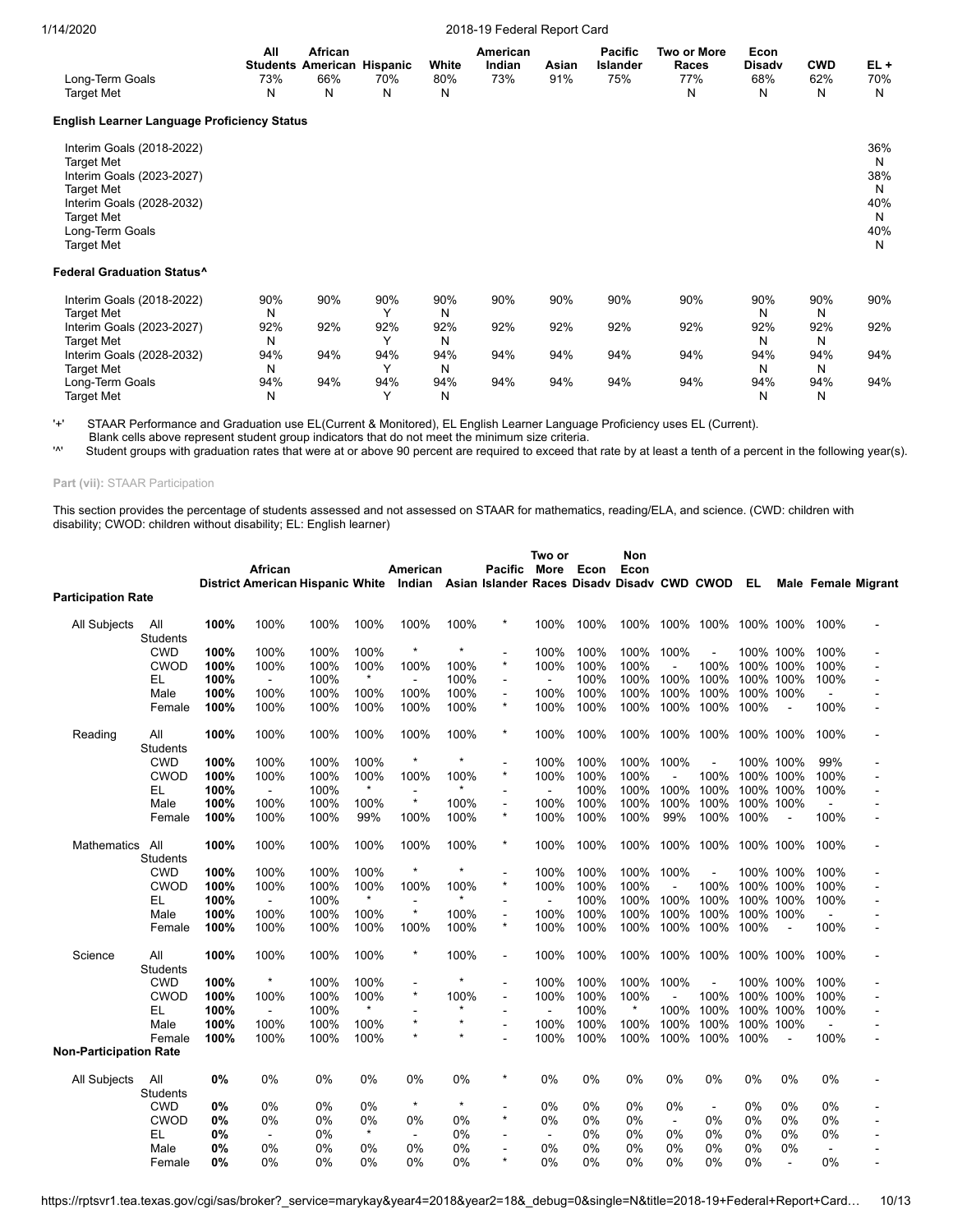| Long-Term Goals<br><b>Target Met</b>                                                                                                                                         | All<br>73%<br>N | African<br><b>Students American Hispanic</b><br>66%<br>N | 70%<br>Ν        | White<br>80%<br>N | American<br>Indian<br>73% | Asian<br>91% | <b>Pacific</b><br>Islander<br>75% | Two or More<br>Races<br>77%<br>Ν | Econ<br><b>Disady</b><br>68%<br>N | <b>CWD</b><br>62%<br>N | $EL +$<br>70%<br>N                           |
|------------------------------------------------------------------------------------------------------------------------------------------------------------------------------|-----------------|----------------------------------------------------------|-----------------|-------------------|---------------------------|--------------|-----------------------------------|----------------------------------|-----------------------------------|------------------------|----------------------------------------------|
| <b>English Learner Language Proficiency Status</b>                                                                                                                           |                 |                                                          |                 |                   |                           |              |                                   |                                  |                                   |                        |                                              |
| Interim Goals (2018-2022)<br><b>Target Met</b><br>Interim Goals (2023-2027)<br><b>Target Met</b><br>Interim Goals (2028-2032)<br>Target Met<br>Long-Term Goals<br>Target Met |                 |                                                          |                 |                   |                           |              |                                   |                                  |                                   |                        | 36%<br>N<br>38%<br>N<br>40%<br>N<br>40%<br>N |
| <b>Federal Graduation Status^</b>                                                                                                                                            |                 |                                                          |                 |                   |                           |              |                                   |                                  |                                   |                        |                                              |
| Interim Goals (2018-2022)<br><b>Target Met</b><br>Interim Goals (2023-2027)                                                                                                  | 90%<br>N<br>92% | 90%<br>92%                                               | 90%<br>Υ<br>92% | 90%<br>N<br>92%   | 90%<br>92%                | 90%<br>92%   | 90%<br>92%                        | 90%<br>92%                       | 90%<br>N<br>92%                   | 90%<br>N<br>92%        | 90%<br>92%                                   |
| <b>Target Met</b><br>Interim Goals (2028-2032)<br>Target Met                                                                                                                 | N<br>94%<br>N   | 94%                                                      | Υ<br>94%<br>Υ   | N<br>94%<br>N     | 94%                       | 94%          | 94%                               | 94%                              | N<br>94%<br>N                     | N<br>94%<br>N          | 94%                                          |
| Long-Term Goals<br><b>Target Met</b>                                                                                                                                         | 94%<br>N        | 94%                                                      | 94%<br>Υ        | 94%<br>N          | 94%                       | 94%          | 94%                               | 94%                              | 94%<br>N                          | 94%<br>N               | 94%                                          |

'+' STAAR Performance and Graduation use EL(Current & Monitored), EL English Learner Language Proficiency uses EL (Current).

Blank cells above represent student group indicators that do not meet the minimum size criteria.<br>Student groups with graduation rates that were at or above 90 percent are required to exceed the

Student groups with graduation rates that were at or above 90 percent are required to exceed that rate by at least a tenth of a percent in the following year(s).

# **Part (vii):** STAAR Participation

This section provides the percentage of students assessed and not assessed on STAAR for mathematics, reading/ELA, and science. (CWD: children with disability; CWOD: children without disability; EL: English learner)

|                               |                        |      | African        |      |         | American<br>District American Hispanic White Indian Asian Islander Races Disadv Disadv CWD CWOD EL |         | Pacific More             | Two or         | Econ | Non<br>Econ |                |                          |           |                |        | <b>Male Female Migrant</b> |
|-------------------------------|------------------------|------|----------------|------|---------|----------------------------------------------------------------------------------------------------|---------|--------------------------|----------------|------|-------------|----------------|--------------------------|-----------|----------------|--------|----------------------------|
| <b>Participation Rate</b>     |                        |      |                |      |         |                                                                                                    |         |                          |                |      |             |                |                          |           |                |        |                            |
| <b>All Subjects</b>           | All                    | 100% | 100%           | 100% | 100%    | 100%                                                                                               | 100%    | $\star$                  | 100%           | 100% | 100%        | 100%           | 100%                     | 100% 100% |                | 100%   |                            |
|                               | <b>Students</b>        |      |                |      |         |                                                                                                    |         |                          |                |      |             |                |                          |           |                |        |                            |
|                               | <b>CWD</b>             | 100% | 100%           | 100% | 100%    | $\star$                                                                                            | $\star$ | $\overline{a}$           | 100%           | 100% | 100%        | 100%           |                          |           | 100% 100%      | 100%   |                            |
|                               | CWOD                   | 100% | 100%           | 100% | 100%    | 100%                                                                                               | 100%    | $\star$                  | 100%           | 100% | 100%        |                | 100%                     | 100% 100% |                | 100%   |                            |
|                               | EL.                    | 100% | $\blacksquare$ | 100% | $\star$ |                                                                                                    | 100%    | $\overline{\phantom{a}}$ |                | 100% | 100%        | 100%           | 100%                     |           | 100% 100%      | 100%   |                            |
|                               | Male                   | 100% | 100%           | 100% | 100%    | 100%                                                                                               | 100%    | $\blacksquare$           | 100%           | 100% | 100%        | 100%           | 100%                     |           | 100% 100%      | ä,     |                            |
|                               | Female                 | 100% | 100%           | 100% | 100%    | 100%                                                                                               | 100%    | $\star$                  | 100%           | 100% | 100%        | 100%           | 100%                     | 100%      |                | 100%   |                            |
| Reading                       | All<br><b>Students</b> | 100% | 100%           | 100% | 100%    | 100%                                                                                               | 100%    | $\star$                  | 100%           | 100% | 100%        | 100%           | 100%                     | 100% 100% |                | 100%   |                            |
|                               | <b>CWD</b>             | 100% | 100%           | 100% | 100%    | $\star$                                                                                            | $\star$ |                          | 100%           | 100% | 100%        | 100%           |                          |           | 100% 100%      | 99%    |                            |
|                               | CWOD                   | 100% | 100%           | 100% | 100%    | 100%                                                                                               | 100%    | $\star$                  | 100%           | 100% | 100%        |                | 100%                     |           | 100% 100%      | 100%   |                            |
|                               | EL                     | 100% | $\blacksquare$ | 100% |         |                                                                                                    | $\star$ |                          |                | 100% | 100%        | 100%           | 100%                     |           | 100% 100%      | 100%   |                            |
|                               | Male                   | 100% | 100%           | 100% | 100%    | $\star$                                                                                            | 100%    | $\blacksquare$           | 100%           | 100% | 100%        | 100%           | 100%                     |           | 100% 100%      |        |                            |
|                               | Female                 | 100% | 100%           | 100% | 99%     | 100%                                                                                               | 100%    | $\star$                  | 100%           | 100% | 100%        | 99%            | 100%                     | 100%      | $\overline{a}$ | 100%   |                            |
| <b>Mathematics</b>            | All<br><b>Students</b> | 100% | 100%           | 100% | 100%    | 100%                                                                                               | 100%    | $\star$                  | 100%           | 100% | 100%        | 100%           | 100%                     | 100% 100% |                | 100%   |                            |
|                               | <b>CWD</b>             | 100% | 100%           | 100% | 100%    | $\star$                                                                                            | $\star$ | $\ddot{\phantom{1}}$     | 100%           | 100% | 100%        | 100%           |                          |           | 100% 100%      | 100%   |                            |
|                               | CWOD                   | 100% | 100%           | 100% | 100%    | 100%                                                                                               | 100%    | $\star$                  | 100%           | 100% | 100%        |                | 100%                     |           | 100% 100%      | 100%   |                            |
|                               | EL.                    | 100% | $\blacksquare$ | 100% | $\star$ |                                                                                                    | $\star$ |                          |                | 100% | 100%        | 100%           | 100%                     |           | 100% 100%      | 100%   |                            |
|                               | Male                   | 100% | 100%           | 100% | 100%    | $\star$                                                                                            | 100%    | $\blacksquare$           | 100%           | 100% | 100%        | 100%           | 100%                     |           | 100% 100%      |        |                            |
|                               | Female                 | 100% | 100%           | 100% | 100%    | 100%                                                                                               | 100%    | $\star$                  | 100%           | 100% | 100%        | 100%           | 100%                     | 100%      |                | 100%   |                            |
| Science                       | All<br><b>Students</b> | 100% | 100%           | 100% | 100%    | $\star$                                                                                            | 100%    | $\blacksquare$           | 100%           | 100% | 100%        | 100%           | 100%                     |           | 100% 100%      | 100%   |                            |
|                               | <b>CWD</b>             | 100% | ×              | 100% | 100%    | $\ddot{\phantom{1}}$                                                                               |         | $\overline{\phantom{a}}$ | 100%           | 100% | 100%        | 100%           |                          |           | 100% 100%      | 100%   |                            |
|                               | CWOD                   | 100% | 100%           | 100% | 100%    | $\star$                                                                                            | 100%    |                          | 100%           | 100% | 100%        |                | 100%                     |           | 100% 100%      | 100%   |                            |
|                               | EL.                    | 100% | $\blacksquare$ | 100% |         |                                                                                                    | $\star$ |                          | ÷.             | 100% | $\star$     | 100%           | 100%                     |           | 100% 100%      | 100%   |                            |
|                               | Male                   | 100% | 100%           | 100% | 100%    | $\star$                                                                                            | $\star$ |                          | 100%           | 100% | 100%        | 100%           | 100%                     |           | 100% 100%      |        |                            |
|                               | Female                 | 100% | 100%           | 100% | 100%    | $\star$                                                                                            | $\star$ |                          | 100%           | 100% | 100%        | 100%           | 100%                     | 100%      |                | 100%   |                            |
| <b>Non-Participation Rate</b> |                        |      |                |      |         |                                                                                                    |         |                          |                |      |             |                |                          |           |                |        |                            |
|                               |                        |      |                |      |         |                                                                                                    |         | $\star$                  |                |      |             |                |                          |           |                |        |                            |
| All Subjects                  | All<br><b>Students</b> | 0%   | 0%             | 0%   | 0%      | 0%                                                                                                 | 0%      |                          | 0%             | 0%   | $0\%$       | $0\%$          | 0%                       | 0%        | 0%             | 0%     |                            |
|                               | <b>CWD</b>             | 0%   | 0%             | 0%   | 0%      | $\star$                                                                                            | $\star$ |                          | 0%             | 0%   | $0\%$       | 0%             | $\overline{\phantom{a}}$ | 0%        | 0%             | 0%     |                            |
|                               | CWOD                   | 0%   | 0%             | 0%   | 0%      | 0%                                                                                                 | 0%      | $\star$                  | 0%             | 0%   | 0%          | $\blacksquare$ | 0%                       | 0%        | 0%             | 0%     |                            |
|                               | EL                     | 0%   | $\blacksquare$ | 0%   | $\star$ | $\sim$                                                                                             | 0%      |                          | $\blacksquare$ | 0%   | 0%          | $0\%$          | 0%                       | 0%        | 0%             | 0%     |                            |
|                               | Male                   | 0%   | 0%             | 0%   | 0%      | 0%                                                                                                 | 0%      |                          | 0%             | 0%   | 0%          | 0%             | 0%                       | 0%        | 0%             | $\sim$ |                            |
|                               | Female                 | 0%   | 0%             | 0%   | $0\%$   | 0%                                                                                                 | $0\%$   | $\ddot{\Phi}$            | $0\%$          | 0%   | 0%          | 0%             | $0\%$                    | 0%        |                | 0%     |                            |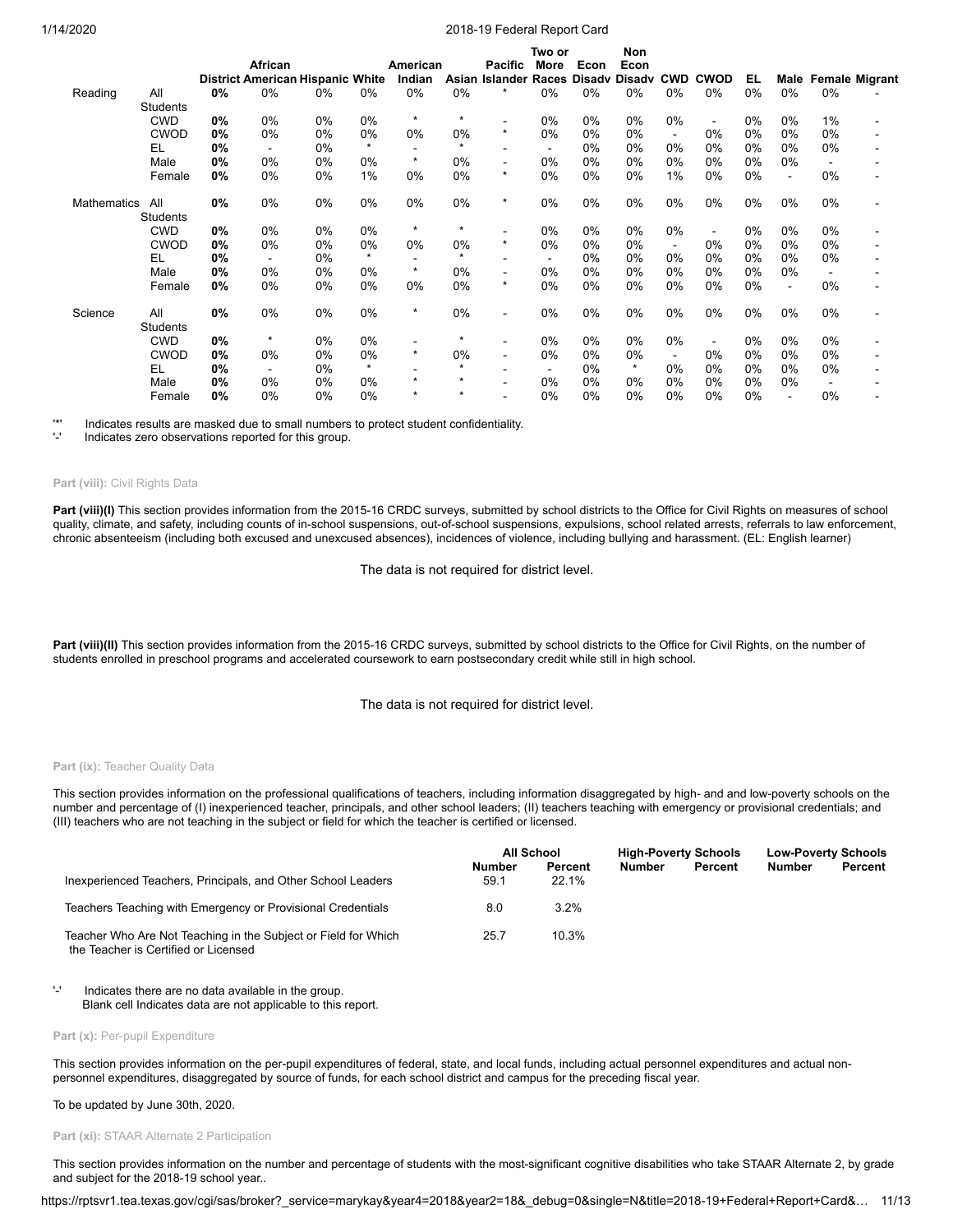|                    |                 |    |         |                                         |         |          |         |                                     | Two or |       | Non     |            |                          |       |                          |       |                       |
|--------------------|-----------------|----|---------|-----------------------------------------|---------|----------|---------|-------------------------------------|--------|-------|---------|------------|--------------------------|-------|--------------------------|-------|-----------------------|
|                    |                 |    | African |                                         |         | American |         | <b>Pacific</b>                      | More   | Econ  | Econ    |            |                          |       |                          |       |                       |
|                    |                 |    |         | <b>District American Hispanic White</b> |         | Indian   | Asian   | <b>Islander Races Disady Disady</b> |        |       |         | <b>CWD</b> | <b>CWOD</b>              | EL    | Male                     |       | <b>Female Migrant</b> |
| Reading            | All             | 0% | 0%      | 0%                                      | 0%      | 0%       | $0\%$   | $\star$                             | 0%     | 0%    | 0%      | 0%         | $0\%$                    | 0%    | 0%                       | 0%    |                       |
|                    | <b>Students</b> |    |         |                                         |         |          |         |                                     |        |       |         |            |                          |       |                          |       |                       |
|                    | <b>CWD</b>      | 0% | 0%      | 0%                                      | 0%      | $\star$  | $\star$ |                                     | 0%     | 0%    | 0%      | 0%         | $\overline{\phantom{a}}$ | 0%    | $0\%$                    | 1%    |                       |
|                    | <b>CWOD</b>     | 0% | 0%      | 0%                                      | 0%      | $0\%$    | $0\%$   | $\star$                             | 0%     | 0%    | $0\%$   | ۰          | $0\%$                    | $0\%$ | 0%                       | $0\%$ |                       |
|                    | EL              | 0% |         | 0%                                      | $\star$ |          | $\star$ |                                     |        | 0%    | $0\%$   | 0%         | 0%                       | 0%    | 0%                       | 0%    |                       |
|                    | Male            | 0% | 0%      | 0%                                      | 0%      | $\star$  | 0%      |                                     | 0%     | 0%    | 0%      | 0%         | $0\%$                    | 0%    | $0\%$                    |       |                       |
|                    | Female          | 0% | 0%      | 0%                                      | 1%      | 0%       | 0%      | $\star$                             | 0%     | $0\%$ | 0%      | 1%         | 0%                       | 0%    | $\blacksquare$           | 0%    |                       |
| <b>Mathematics</b> | All             | 0% | 0%      | 0%                                      | 0%      | 0%       | 0%      | $\star$                             | 0%     | 0%    | 0%      | 0%         | 0%                       | 0%    | 0%                       | 0%    |                       |
|                    | <b>Students</b> |    |         |                                         |         |          |         |                                     |        |       |         |            |                          |       |                          |       |                       |
|                    | <b>CWD</b>      | 0% | 0%      | 0%                                      | 0%      | $\star$  | $\star$ |                                     | 0%     | 0%    | 0%      | 0%         | $\overline{\phantom{a}}$ | 0%    | 0%                       | 0%    |                       |
|                    | <b>CWOD</b>     | 0% | 0%      | 0%                                      | 0%      | $0\%$    | 0%      | $\star$                             | 0%     | $0\%$ | 0%      |            | 0%                       | 0%    | 0%                       | $0\%$ |                       |
|                    | EL              | 0% |         | 0%                                      | $\star$ |          | $\star$ |                                     |        | 0%    | $0\%$   | 0%         | $0\%$                    | 0%    | 0%                       | 0%    |                       |
|                    | Male            | 0% | 0%      | 0%                                      | 0%      | $\star$  | 0%      |                                     | 0%     | $0\%$ | 0%      | 0%         | $0\%$                    | 0%    | 0%                       |       |                       |
|                    | Female          | 0% | 0%      | 0%                                      | 0%      | 0%       | $0\%$   | $\star$                             | 0%     | $0\%$ | 0%      | 0%         | 0%                       | 0%    | $\blacksquare$           | 0%    |                       |
| Science            | All             | 0% | 0%      | 0%                                      | 0%      | $\star$  | $0\%$   | $\blacksquare$                      | 0%     | 0%    | 0%      | 0%         | $0\%$                    | $0\%$ | $0\%$                    | $0\%$ |                       |
|                    | Students        |    |         |                                         |         |          |         |                                     |        |       |         |            |                          |       |                          |       |                       |
|                    | <b>CWD</b>      | 0% | $\star$ | 0%                                      | 0%      |          | $\star$ |                                     | 0%     | 0%    | 0%      | 0%         | $\overline{\phantom{a}}$ | 0%    | 0%                       | 0%    |                       |
|                    | <b>CWOD</b>     | 0% | 0%      | 0%                                      | 0%      | $\star$  | 0%      |                                     | 0%     | $0\%$ | $0\%$   |            | $0\%$                    | 0%    | $0\%$                    | $0\%$ |                       |
|                    | EL              | 0% |         | 0%                                      | $\star$ |          | $\star$ |                                     |        | 0%    | $\star$ | 0%         | $0\%$                    | 0%    | 0%                       | 0%    |                       |
|                    | Male            | 0% | 0%      | 0%                                      | 0%      | $\star$  | *       |                                     | 0%     | $0\%$ | $0\%$   | 0%         | $0\%$                    | 0%    | $0\%$                    |       |                       |
|                    | Female          | 0% | $0\%$   | 0%                                      | $0\%$   | $\star$  | *       |                                     | 0%     | 0%    | 0%      | 0%         | 0%                       | 0%    | $\overline{\phantom{0}}$ | 0%    |                       |

'\*' Indicates results are masked due to small numbers to protect student confidentiality.

Indicates zero observations reported for this group.

#### **Part (viii):** Civil Rights Data

Part (viii)(I) This section provides information from the 2015-16 CRDC surveys, submitted by school districts to the Office for Civil Rights on measures of school quality, climate, and safety, including counts of in-school suspensions, out-of-school suspensions, expulsions, school related arrests, referrals to law enforcement, chronic absenteeism (including both excused and unexcused absences), incidences of violence, including bullying and harassment. (EL: English learner)

The data is not required for district level.

Part (viii)(II) This section provides information from the 2015-16 CRDC surveys, submitted by school districts to the Office for Civil Rights, on the number of students enrolled in preschool programs and accelerated coursework to earn postsecondary credit while still in high school.

The data is not required for district level.

#### Part (ix): Teacher Quality Data

This section provides information on the professional qualifications of teachers, including information disaggregated by high- and and low-poverty schools on the number and percentage of (I) inexperienced teacher, principals, and other school leaders; (II) teachers teaching with emergency or provisional credentials; and (III) teachers who are not teaching in the subject or field for which the teacher is certified or licensed.

|                                                                                                        |                       | All School       |               | <b>High-Poverty Schools</b> |               | <b>Low-Poverty Schools</b> |  |
|--------------------------------------------------------------------------------------------------------|-----------------------|------------------|---------------|-----------------------------|---------------|----------------------------|--|
| Inexperienced Teachers, Principals, and Other School Leaders                                           | <b>Number</b><br>59.1 | Percent<br>22.1% | <b>Number</b> | Percent                     | <b>Number</b> | Percent                    |  |
| Teachers Teaching with Emergency or Provisional Credentials                                            | 8.0                   | $3.2\%$          |               |                             |               |                            |  |
| Teacher Who Are Not Teaching in the Subject or Field for Which<br>the Teacher is Certified or Licensed | 25.7                  | 10.3%            |               |                             |               |                            |  |

'-' Indicates there are no data available in the group. Blank cell Indicates data are not applicable to this report.

#### Part (x): Per-pupil Expenditure

This section provides information on the per-pupil expenditures of federal, state, and local funds, including actual personnel expenditures and actual nonpersonnel expenditures, disaggregated by source of funds, for each school district and campus for the preceding fiscal year.

### To be updated by June 30th, 2020.

**Part (xi):** STAAR Alternate 2 Participation

This section provides information on the number and percentage of students with the most-significant cognitive disabilities who take STAAR Alternate 2, by grade and subject for the 2018-19 school year..

https://rptsvr1.tea.texas.gov/cgi/sas/broker?\_service=marykay&year4=2018&year2=18&\_debug=0&single=N&title=2018-19+Federal+Report+Card&… 11/13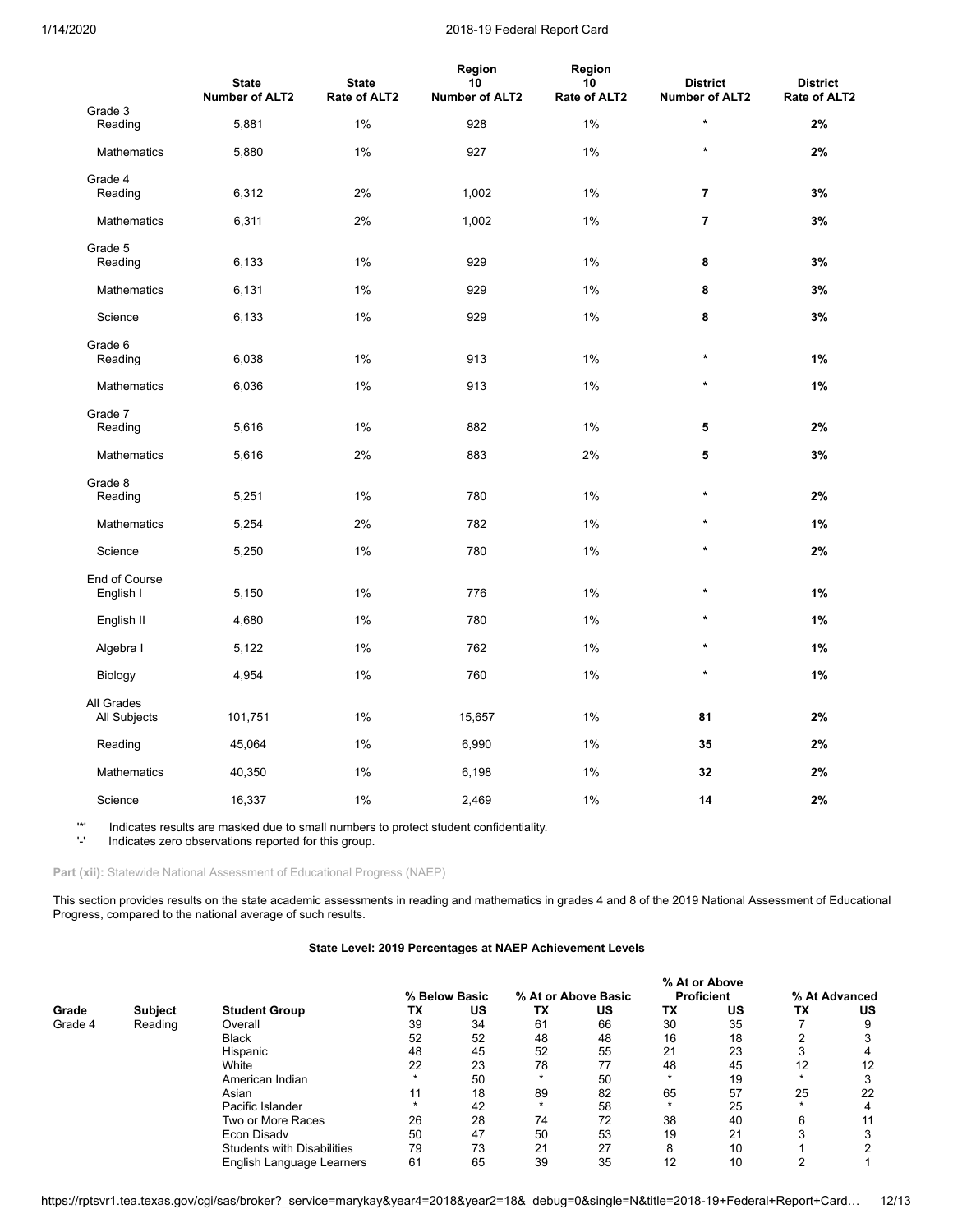|                            | <b>State</b><br><b>Number of ALT2</b> | <b>State</b><br>Rate of ALT2 | Region<br>10<br><b>Number of ALT2</b> | Region<br>10<br>Rate of ALT2 | <b>District</b><br><b>Number of ALT2</b> | <b>District</b><br>Rate of ALT2 |
|----------------------------|---------------------------------------|------------------------------|---------------------------------------|------------------------------|------------------------------------------|---------------------------------|
| Grade 3<br>Reading         | 5,881                                 | $1\%$                        | 928                                   | 1%                           | $\star$                                  | 2%                              |
| <b>Mathematics</b>         | 5,880                                 | 1%                           | 927                                   | 1%                           | $\star$                                  | 2%                              |
| Grade 4<br>Reading         | 6,312                                 | 2%                           | 1,002                                 | 1%                           | $\overline{7}$                           | 3%                              |
| Mathematics                | 6,311                                 | 2%                           | 1,002                                 | 1%                           | $\overline{7}$                           | 3%                              |
| Grade 5<br>Reading         | 6,133                                 | 1%                           | 929                                   | 1%                           | 8                                        | 3%                              |
| Mathematics                | 6,131                                 | 1%                           | 929                                   | 1%                           | 8                                        | 3%                              |
| Science                    | 6,133                                 | 1%                           | 929                                   | 1%                           | 8                                        | 3%                              |
| Grade 6<br>Reading         | 6,038                                 | 1%                           | 913                                   | 1%                           | $\star$                                  | 1%                              |
| <b>Mathematics</b>         | 6,036                                 | 1%                           | 913                                   | 1%                           | $\star$                                  | 1%                              |
| Grade 7<br>Reading         | 5,616                                 | 1%                           | 882                                   | 1%                           | 5                                        | 2%                              |
| Mathematics                | 5,616                                 | 2%                           | 883                                   | 2%                           | 5                                        | 3%                              |
| Grade 8<br>Reading         | 5,251                                 | 1%                           | 780                                   | 1%                           | $\star$                                  | 2%                              |
| Mathematics                | 5,254                                 | 2%                           | 782                                   | 1%                           | $\star$                                  | 1%                              |
| Science                    | 5,250                                 | 1%                           | 780                                   | 1%                           | $\star$                                  | 2%                              |
| End of Course<br>English I | 5,150                                 | 1%                           | 776                                   | 1%                           | $\star$                                  | 1%                              |
| English II                 | 4,680                                 | 1%                           | 780                                   | 1%                           | $\star$                                  | $1\%$                           |
| Algebra I                  | 5,122                                 | 1%                           | 762                                   | 1%                           | $\star$                                  | 1%                              |
| Biology                    | 4,954                                 | 1%                           | 760                                   | 1%                           | $\star$                                  | 1%                              |
| All Grades<br>All Subjects | 101,751                               | 1%                           | 15,657                                | $1\%$                        | 81                                       | 2%                              |
| Reading                    | 45,064                                | 1%                           | 6,990                                 | 1%                           | 35                                       | 2%                              |
| Mathematics                | 40,350                                | 1%                           | 6,198                                 | 1%                           | 32                                       | 2%                              |
| Science                    | 16,337                                | 1%                           | 2,469                                 | 1%                           | 14                                       | 2%                              |

'\*' Indicates results are masked due to small numbers to protect student confidentiality.

Indicates zero observations reported for this group.

Part (xii): Statewide National Assessment of Educational Progress (NAEP)

This section provides results on the state academic assessments in reading and mathematics in grades 4 and 8 of the 2019 National Assessment of Educational Progress, compared to the national average of such results.

# **State Level: 2019 Percentages at NAEP Achievement Levels**

|         |                |                                   |    |               |                     |    | % At or Above     |    |               |    |  |  |  |  |  |
|---------|----------------|-----------------------------------|----|---------------|---------------------|----|-------------------|----|---------------|----|--|--|--|--|--|
|         |                |                                   |    | % Below Basic | % At or Above Basic |    | <b>Proficient</b> |    | % At Advanced |    |  |  |  |  |  |
| Grade   | <b>Subject</b> | <b>Student Group</b>              | TX | US            | ТX                  | บร | <b>TX</b>         | US | ТX            | US |  |  |  |  |  |
| Grade 4 | Reading        | Overall                           | 39 | 34            | 61                  | 66 | 30                | 35 |               |    |  |  |  |  |  |
|         |                | <b>Black</b>                      | 52 | 52            | 48                  | 48 | 16                | 18 |               |    |  |  |  |  |  |
|         |                | Hispanic                          | 48 | 45            | 52                  | 55 | 21                | 23 |               |    |  |  |  |  |  |
|         |                | White                             | 22 | 23            | 78                  | 77 | 48                | 45 | 12            | 12 |  |  |  |  |  |
|         |                | American Indian                   |    | 50            |                     | 50 |                   | 19 |               |    |  |  |  |  |  |
|         |                | Asian                             | 11 | 18            | 89                  | 82 | 65                | 57 | 25            | 22 |  |  |  |  |  |
|         |                | Pacific Islander                  |    | 42            |                     | 58 |                   | 25 |               |    |  |  |  |  |  |
|         |                | Two or More Races                 | 26 | 28            | 74                  | 72 | 38                | 40 | 6             |    |  |  |  |  |  |
|         |                | Econ Disady                       | 50 | 47            | 50                  | 53 | 19                | 21 |               |    |  |  |  |  |  |
|         |                | <b>Students with Disabilities</b> | 79 | 73            | 21                  | 27 | $\circ$<br>Õ      | 10 |               |    |  |  |  |  |  |
|         |                | English Language Learners         | 61 | 65            | 39                  | 35 | 12                | 10 |               |    |  |  |  |  |  |